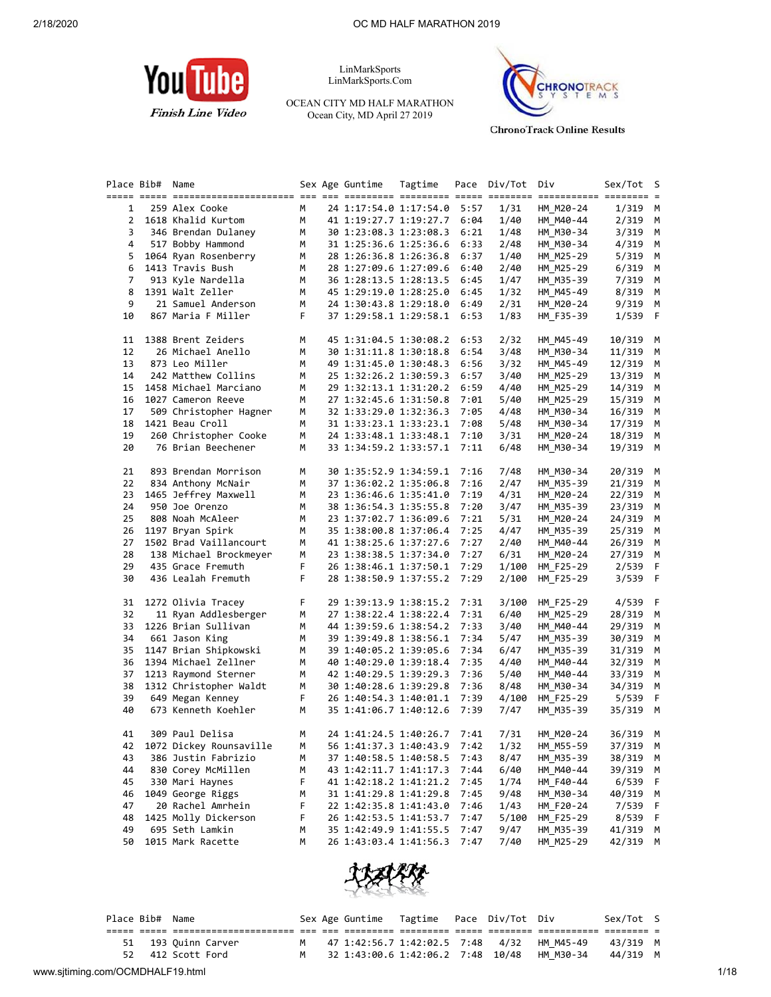

LinMarkSports LinMarkSports.Com

OCEAN CITY MD HALF MARATHON Ocean City, MD April 27 2019



**ChronoTrack Online Results** 

|                | Place Bib# Name |                         |             | Sex Age Guntime             | Tagtime |      | Pace Div/Tot | Div       | Sex/Tot    | s s |
|----------------|-----------------|-------------------------|-------------|-----------------------------|---------|------|--------------|-----------|------------|-----|
|                |                 |                         |             |                             |         |      |              |           |            |     |
| 1              |                 | 259 Alex Cooke          | М           | 24 1:17:54.0 1:17:54.0      |         | 5:57 | 1/31         | HM M20-24 | $1/319$ M  |     |
|                |                 | 2 1618 Khalid Kurtom    | М           | 41 1:19:27.7 1:19:27.7      |         | 6:04 | 1/40         | HM_M40-44 | $2/319$ M  |     |
| 3              |                 | 346 Brendan Dulaney     | M           | 30 1:23:08.3 1:23:08.3      |         | 6:21 | 1/48         | HM M30-34 | 3/319 M    |     |
| 4              |                 | 517 Bobby Hammond       | М           | 31 1:25:36.6 1:25:36.6      |         | 6:33 | 2/48         | HM M30-34 | 4/319      | M   |
| 5              |                 | 1064 Ryan Rosenberry    | М           | 28 1:26:36.8 1:26:36.8      |         | 6:37 | 1/40         | HM M25-29 | $5/319$ M  |     |
| 6              |                 | 1413 Travis Bush        | M           | 28 1:27:09.6 1:27:09.6      |         | 6:40 | 2/40         | HM M25-29 | 6/319      | M   |
| $\overline{7}$ |                 | 913 Kyle Nardella       | M           | 36 1:28:13.5 1:28:13.5      |         | 6:45 | 1/47         | HM_M35-39 | 7/319      | M   |
| 8              |                 | 1391 Walt Zeller        | М           | 45 1:29:19.0 1:28:25.0      |         | 6:45 | 1/32         | HM_M45-49 | 8/319 M    |     |
| 9              |                 | 21 Samuel Anderson      | M           | 24 1:30:43.8 1:29:18.0      |         | 6:49 | 2/31         | HM M20-24 | 9/319 M    |     |
| 10             |                 | 867 Maria F Miller      | F           | 37 1:29:58.1 1:29:58.1      |         | 6:53 | 1/83         | HM F35-39 | 1/539 F    |     |
|                |                 |                         |             |                             |         |      |              |           |            |     |
| 11             |                 | 1388 Brent Zeiders      | М           | 45 1:31:04.5 1:30:08.2      |         | 6:53 | 2/32         | HM M45-49 | 10/319 M   |     |
| 12             |                 | 26 Michael Anello       | M           | 30 1:31:11.8 1:30:18.8      |         | 6:54 | 3/48         | HM M30-34 | 11/319     | M   |
| 13             |                 | 873 Leo Miller          | M           | 49 1:31:45.0 1:30:48.3      |         | 6:56 | 3/32         | HM_M45-49 | $12/319$ M |     |
| 14             |                 | 242 Matthew Collins     | M           | 25 1:32:26.2 1:30:59.3      |         | 6:57 | 3/40         | HM M25-29 | 13/319 M   |     |
|                |                 | 1458 Michael Marciano   | M           |                             |         | 6:59 |              |           |            |     |
| 15             |                 |                         |             | 29 1:32:13.1 1:31:20.2      |         |      | 4/40         | HM M25-29 | 14/319 M   |     |
| 16             |                 | 1027 Cameron Reeve      | М           | 27 1:32:45.6 1:31:50.8      |         | 7:01 | 5/40         | HM M25-29 | 15/319 M   |     |
| 17             |                 | 509 Christopher Hagner  | M           | 32 1:33:29.0 1:32:36.3      |         | 7:05 | 4/48         | HM M30-34 | 16/319     | M   |
| 18             |                 | 1421 Beau Croll         | M           | 31 1:33:23.1 1:33:23.1      |         | 7:08 | 5/48         | HM M30-34 | 17/319 M   |     |
| 19             |                 | 260 Christopher Cooke   | M           | 24 1:33:48.1 1:33:48.1      |         | 7:10 | 3/31         | HM M20-24 | 18/319 M   |     |
| 20             |                 | 76 Brian Beechener      | M           | 33 1:34:59.2 1:33:57.1      |         | 7:11 | 6/48         | HM M30-34 | 19/319 M   |     |
| 21             |                 | 893 Brendan Morrison    | М           | 30 1:35:52.9 1:34:59.1      |         | 7:16 | 7/48         | HM M30-34 | 20/319 M   |     |
| 22             |                 | 834 Anthony McNair      | M           | 37 1:36:02.2 1:35:06.8      |         | 7:16 | 2/47         | HM M35-39 | 21/319 M   |     |
| 23             |                 | 1465 Jeffrey Maxwell    | М           | 23 1:36:46.6 1:35:41.0      |         | 7:19 | 4/31         | HM M20-24 | 22/319 M   |     |
| 24             |                 | 950 Joe Orenzo          | М           | 38 1:36:54.3 1:35:55.8      |         | 7:20 | 3/47         | HM M35-39 | 23/319 M   |     |
| 25             |                 | 808 Noah McAleer        | М           | 23 1:37:02.7 1:36:09.6      |         | 7:21 | 5/31         | HM M20-24 | 24/319 M   |     |
| 26             |                 | 1197 Bryan Spirk        | М           | 35 1:38:00.8 1:37:06.4      |         | 7:25 | 4/47         | HM M35-39 | 25/319 M   |     |
| 27             |                 | 1502 Brad Vaillancourt  | М           | 41 1:38:25.6 1:37:27.6      |         | 7:27 | 2/40         | HM M40-44 | 26/319 M   |     |
|                |                 |                         | М           |                             |         |      |              |           |            |     |
| 28             |                 | 138 Michael Brockmeyer  |             | 23 1:38:38.5 1:37:34.0      |         | 7:27 | 6/31         | HM M20-24 | 27/319     | M   |
| 29             |                 | 435 Grace Fremuth       | F           | 26 1:38:46.1 1:37:50.1      |         | 7:29 | 1/100        | HM_F25-29 | 2/539 F    |     |
| 30             |                 | 436 Lealah Fremuth      | F.          | 28 1:38:50.9 1:37:55.2      |         | 7:29 | 2/100        | HM_F25-29 | 3/539 F    |     |
| 31             |                 | 1272 Olivia Tracey      | F.          | 29 1:39:13.9 1:38:15.2      |         | 7:31 | 3/100        | HM F25-29 | $4/539$ F  |     |
| 32             |                 | 11 Ryan Addlesberger    | М           | 27 1:38:22.4 1:38:22.4      |         | 7:31 | 6/40         | HM M25-29 | 28/319 M   |     |
| 33             |                 | 1226 Brian Sullivan     | М           | 44 1:39:59.6 1:38:54.2      |         | 7:33 | 3/40         | HM M40-44 | 29/319 M   |     |
| 34             |                 | 661 Jason King          | М           | 39 1:39:49.8 1:38:56.1      |         | 7:34 | 5/47         | HM M35-39 | 30/319     | M   |
| 35             |                 | 1147 Brian Shipkowski   | М           | 39 1:40:05.2 1:39:05.6      |         | 7:34 | 6/47         | HM_M35-39 | 31/319 M   |     |
| 36             |                 | 1394 Michael Zellner    | М           | 40 1:40:29.0 1:39:18.4      |         | 7:35 | 4/40         | HM M40-44 | 32/319 M   |     |
| 37             |                 | 1213 Raymond Sterner    | М           | 42 1:40:29.5 1:39:29.3      |         | 7:36 | 5/40         | HM M40-44 | 33/319 M   |     |
| 38             |                 | 1312 Christopher Waldt  | М           | 30 1:40:28.6 1:39:29.8      |         | 7:36 | 8/48         | HM M30-34 | 34/319 M   |     |
| 39             |                 | 649 Megan Kenney        | $\mathsf F$ | 26 1:40:54.3 1:40:01.1      |         | 7:39 | 4/100        | HM F25-29 | $5/539$ F  |     |
| 40             |                 | 673 Kenneth Koehler     | М           | 35 1:41:06.7 1:40:12.6      |         | 7:39 | 7/47         | HM M35-39 | 35/319 M   |     |
|                |                 |                         |             |                             |         |      |              |           |            |     |
| 41             |                 | 309 Paul Delisa         | M           | 24 1:41:24.5 1:40:26.7 7:41 |         |      | 7/31         | HM M20-24 | 36/319 M   |     |
| 42             |                 | 1072 Dickey Rounsaville | M           | 56 1:41:37.3 1:40:43.9      |         | 7:42 | 1/32         | HM_M55-59 | 37/319 M   |     |
| 43             |                 | 386 Justin Fabrizio     | M           | 37 1:40:58.5 1:40:58.5      |         | 7:43 | 8/47         | HM_M35-39 | 38/319 M   |     |
| 44             |                 | 830 Corey McMillen      | М           | 43 1:42:11.7 1:41:17.3      |         | 7:44 | 6/40         | HM M40-44 | 39/319 M   |     |
| 45             |                 | 330 Mari Haynes         | F           | 41 1:42:18.2 1:41:21.2      |         | 7:45 | 1/74         | HM F40-44 | 6/539      | F   |
| 46             |                 | 1049 George Riggs       | М           | 31 1:41:29.8 1:41:29.8      |         | 7:45 | 9/48         | HM_M30-34 | 40/319 M   |     |
| 47             |                 | 20 Rachel Amrhein       | F           | 22 1:42:35.8 1:41:43.0      |         | 7:46 | 1/43         | HM F20-24 | 7/539 F    |     |
| 48             |                 | 1425 Molly Dickerson    | F           | 26 1:42:53.5 1:41:53.7      |         | 7:47 | 5/100        | HM_F25-29 | 8/539 F    |     |
| 49             |                 | 695 Seth Lamkin         | M           | 35 1:42:49.9 1:41:55.5      |         | 7:47 | 9/47         | HM_M35-39 | 41/319 M   |     |
| 50             |                 | 1015 Mark Racette       | М           | 26 1:43:03.4 1:41:56.3      |         | 7:47 | 7/40         | HM_M25-29 | 42/319 M   |     |



| 43/319 M |           |
|----------|-----------|
| 44/319 M |           |
|          | Sex/Tot S |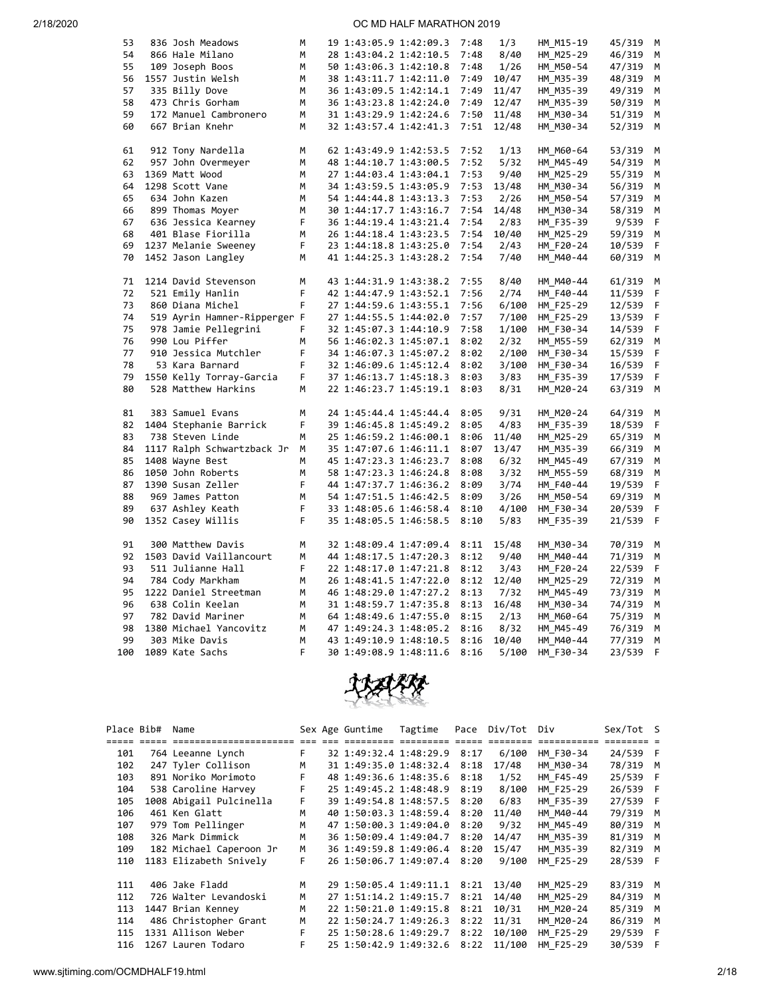| 53  | 836 Josh Meadows             | М  | 19 1:43:05.9 1:42:09.3 |                        | 7:48 | 1/3   | HM M15-19 | 45/319 | M  |
|-----|------------------------------|----|------------------------|------------------------|------|-------|-----------|--------|----|
| 54  | 866 Hale Milano              | M  | 28 1:43:04.2 1:42:10.5 |                        | 7:48 | 8/40  | HM M25-29 | 46/319 | M  |
| 55  | 109 Joseph Boos              | М  | 50 1:43:06.3 1:42:10.8 |                        | 7:48 | 1/26  | HM M50-54 | 47/319 | м  |
| 56  | 1557 Justin Welsh            | М  | 38 1:43:11.7 1:42:11.0 |                        | 7:49 | 10/47 | HM M35-39 | 48/319 | м  |
| 57  | 335 Billy Dove               | M  | 36 1:43:09.5 1:42:14.1 |                        | 7:49 | 11/47 | HM M35-39 | 49/319 | М  |
| 58  | 473 Chris Gorham             | М  | 36 1:43:23.8 1:42:24.0 |                        | 7:49 | 12/47 | HM M35-39 | 50/319 | М  |
| 59  | 172 Manuel Cambronero        | M  | 31 1:43:29.9 1:42:24.6 |                        | 7:50 | 11/48 | HM M30-34 | 51/319 | м  |
| 60  | 667 Brian Knehr              | M  | 32 1:43:57.4 1:42:41.3 |                        | 7:51 | 12/48 | HM_M30-34 | 52/319 | M  |
|     |                              |    |                        |                        |      |       |           |        |    |
| 61  | 912 Tony Nardella            | M  | 62 1:43:49.9 1:42:53.5 |                        | 7:52 | 1/13  | HM M60-64 | 53/319 | M  |
| 62  | 957 John Overmeyer           | M  | 48 1:44:10.7 1:43:00.5 |                        | 7:52 | 5/32  | HM_M45-49 | 54/319 | M  |
| 63  | 1369 Matt Wood               | М  | 27 1:44:03.4 1:43:04.1 |                        | 7:53 | 9/40  | HM M25-29 | 55/319 | м  |
| 64  | 1298 Scott Vane              | М  | 34 1:43:59.5 1:43:05.9 |                        | 7:53 | 13/48 | HM M30-34 | 56/319 | м  |
| 65  | 634 John Kazen               | M  |                        | 54 1:44:44.8 1:43:13.3 | 7:53 | 2/26  | HM M50-54 | 57/319 | м  |
| 66  | 899 Thomas Moyer             | М  | 30 1:44:17.7 1:43:16.7 |                        | 7:54 | 14/48 | HM M30-34 | 58/319 | M  |
| 67  | 636 Jessica Kearney          | F  |                        | 36 1:44:19.4 1:43:21.4 | 7:54 | 2/83  | HM F35-39 | 9/539  | F  |
|     | 401 Blase Fiorilla           | M  |                        |                        | 7:54 |       |           |        |    |
| 68  |                              |    | 26 1:44:18.4 1:43:23.5 |                        |      | 10/40 | HM M25-29 | 59/319 | M  |
| 69  | 1237 Melanie Sweeney         | F  | 23 1:44:18.8 1:43:25.0 |                        | 7:54 | 2/43  | HM_F20-24 | 10/539 | F  |
| 70  | 1452 Jason Langley           | М  | 41 1:44:25.3 1:43:28.2 |                        | 7:54 | 7/40  | HM M40-44 | 60/319 | M  |
|     |                              |    |                        |                        |      |       |           |        |    |
| 71  | 1214 David Stevenson         | М  |                        | 43 1:44:31.9 1:43:38.2 | 7:55 | 8/40  | HM M40-44 | 61/319 | М  |
| 72  | 521 Emily Hanlin             | F  | 42 1:44:47.9 1:43:52.1 |                        | 7:56 | 2/74  | HM F40-44 | 11/539 | F  |
| 73  | 860 Diana Michel             | F  | 27 1:44:59.6 1:43:55.1 |                        | 7:56 | 6/100 | HM_F25-29 | 12/539 | F  |
| 74  | 519 Ayrin Hamner-Ripperger F |    | 27 1:44:55.5 1:44:02.0 |                        | 7:57 | 7/100 | HM F25-29 | 13/539 | F  |
| 75  | 978 Jamie Pellegrini         | F. | 32 1:45:07.3 1:44:10.9 |                        | 7:58 | 1/100 | HM F30-34 | 14/539 | F  |
| 76  | 990 Lou Piffer               | M  | 56 1:46:02.3 1:45:07.1 |                        | 8:02 | 2/32  | HM_M55-59 | 62/319 | M  |
| 77  | 910 Jessica Mutchler         | F  | 34 1:46:07.3 1:45:07.2 |                        | 8:02 | 2/100 | HM_F30-34 | 15/539 | F  |
| 78  | 53 Kara Barnard              | F  |                        | 32 1:46:09.6 1:45:12.4 | 8:02 | 3/100 | HM F30-34 | 16/539 | F  |
| 79  | 1550 Kelly Torray-Garcia     | F  |                        | 37 1:46:13.7 1:45:18.3 | 8:03 | 3/83  | HM_F35-39 | 17/539 | F  |
| 80  | 528 Matthew Harkins          | M  |                        | 22 1:46:23.7 1:45:19.1 | 8:03 | 8/31  | HM_M20-24 | 63/319 | M  |
|     |                              |    |                        |                        |      |       |           |        |    |
| 81  | 383 Samuel Evans             | M  |                        | 24 1:45:44.4 1:45:44.4 | 8:05 | 9/31  | HM_M20-24 | 64/319 | M  |
| 82  | 1404 Stephanie Barrick       | F  | 39 1:46:45.8 1:45:49.2 |                        | 8:05 | 4/83  | HM F35-39 | 18/539 | F  |
| 83  | 738 Steven Linde             | M  | 25 1:46:59.2 1:46:00.1 |                        | 8:06 | 11/40 | HM_M25-29 | 65/319 | М  |
| 84  | 1117 Ralph Schwartzback Jr   | M  | 35 1:47:07.6 1:46:11.1 |                        | 8:07 | 13/47 | HM M35-39 | 66/319 | M  |
| 85  | 1408 Wayne Best              | M  |                        | 45 1:47:23.3 1:46:23.7 | 8:08 | 6/32  | HM M45-49 | 67/319 | М  |
| 86  | 1050 John Roberts            | М  | 58 1:47:23.3 1:46:24.8 |                        | 8:08 | 3/32  | HM M55-59 | 68/319 | м  |
| 87  | 1390 Susan Zeller            | F  |                        | 44 1:47:37.7 1:46:36.2 | 8:09 | 3/74  | HM F40-44 | 19/539 | F  |
| 88  | 969 James Patton             | M  | 54 1:47:51.5 1:46:42.5 |                        | 8:09 | 3/26  | HM M50-54 | 69/319 | M  |
| 89  | 637 Ashley Keath             | F  |                        | 33 1:48:05.6 1:46:58.4 | 8:10 | 4/100 | HM F30-34 | 20/539 | F  |
| 90  | 1352 Casey Willis            | F  | 35 1:48:05.5 1:46:58.5 |                        | 8:10 | 5/83  | HM_F35-39 | 21/539 | -F |
|     |                              |    |                        |                        |      |       |           |        |    |
| 91  | 300 Matthew Davis            | М  |                        | 32 1:48:09.4 1:47:09.4 | 8:11 | 15/48 | HM M30-34 | 70/319 | M  |
| 92  | 1503 David Vaillancourt      | M  | 44 1:48:17.5 1:47:20.3 |                        | 8:12 | 9/40  | HM M40-44 | 71/319 | М  |
| 93  | 511 Julianne Hall            | F  | 22 1:48:17.0 1:47:21.8 |                        | 8:12 | 3/43  | HM F20-24 | 22/539 | F  |
| 94  | 784 Cody Markham             | M  | 26 1:48:41.5 1:47:22.0 |                        | 8:12 | 12/40 | HM M25-29 | 72/319 | м  |
| 95  | 1222 Daniel Streetman        | М  | 46 1:48:29.0 1:47:27.2 |                        | 8:13 | 7/32  | HM M45-49 | 73/319 | М  |
| 96  | 638 Colin Keelan             | М  |                        | 31 1:48:59.7 1:47:35.8 | 8:13 | 16/48 | HM M30-34 | 74/319 | М  |
| 97  | 782 David Mariner            | М  |                        | 64 1:48:49.6 1:47:55.0 | 8:15 | 2/13  | HM M60-64 | 75/319 | М  |
| 98  | 1380 Michael Yancovitz       | М  |                        | 47 1:49:24.3 1:48:05.2 | 8:16 | 8/32  | HM M45-49 | 76/319 | М  |
| 99  | 303 Mike Davis               | M  | 43 1:49:10.9 1:48:10.5 |                        | 8:16 | 10/40 | HM M40-44 | 77/319 | М  |
| 100 | 1089 Kate Sachs              | F  | 30 1:49:08.9 1:48:11.6 |                        | 8:16 | 5/100 | HM F30-34 | 23/539 | F  |
|     |                              |    |                        |                        |      |       |           |        |    |



| Place Bib# | Name                    |    | Sex Age Guntime        | Tagtime | Pace | Div/Tot Div |           | Sex/Tot S |     |
|------------|-------------------------|----|------------------------|---------|------|-------------|-----------|-----------|-----|
|            | =====================   |    |                        |         |      |             |           |           |     |
| 101        | 764 Leeanne Lynch       | F. | 32 1:49:32.4 1:48:29.9 |         | 8:17 | 6/100       | HM F30-34 | 24/539 F  |     |
| 102        | 247 Tyler Collison      | M  | 31 1:49:35.0 1:48:32.4 |         | 8:18 | 17/48       | HM M30-34 | 78/319    | M   |
| 103        | 891 Noriko Morimoto     | F. | 48 1:49:36.6 1:48:35.6 |         | 8:18 | 1/52        | HM F45-49 | 25/539 F  |     |
| 104        | 538 Caroline Harvey     | F. | 25 1:49:45.2 1:48:48.9 |         | 8:19 | 8/100       | HM F25-29 | 26/539 F  |     |
| 105        | 1008 Abigail Pulcinella | F. | 39 1:49:54.8 1:48:57.5 |         | 8:20 | 6/83        | HM F35-39 | 27/539 F  |     |
| 106        | 461 Ken Glatt           | M  | 40 1:50:03.3 1:48:59.4 |         | 8:20 | 11/40       | HM M40-44 | 79/319 M  |     |
| 107        | 979 Tom Pellinger       | M  | 47 1:50:00.3 1:49:04.0 |         | 8:20 | 9/32        | HM M45-49 | 80/319    | M   |
| 108        | 326 Mark Dimmick        | M  | 36 1:50:09.4 1:49:04.7 |         | 8:20 | 14/47       | HM M35-39 | 81/319    | M   |
| 109        | 182 Michael Caperoon Jr | M  | 36 1:49:59.8 1:49:06.4 |         | 8:20 | 15/47       | HM M35-39 | 82/319    | M   |
| 110        | 1183 Elizabeth Snively  | F. | 26 1:50:06.7 1:49:07.4 |         | 8:20 | 9/100       | HM F25-29 | 28/539 F  |     |
| 111        | 406 Jake Fladd          | M  | 29 1:50:05.4 1:49:11.1 |         | 8:21 | 13/40       | HM M25-29 | 83/319 M  |     |
| 112        | 726 Walter Levandoski   | M  | 27 1:51:14.2 1:49:15.7 |         | 8:21 | 14/40       | HM M25-29 | 84/319    | M   |
| 113        | 1447 Brian Kenney       | M  | 22 1:50:21.0 1:49:15.8 |         | 8:21 | 10/31       | HM M20-24 | 85/319    | M   |
| 114        | 486 Christopher Grant   | M  | 22 1:50:24.7 1:49:26.3 |         | 8:22 | 11/31       | HM M20-24 | 86/319    | M   |
| 115        | 1331 Allison Weber      | F  | 25 1:50:28.6 1:49:29.7 |         | 8:22 | 10/100      | HM F25-29 | 29/539    | - F |
| 116        | 1267 Lauren Todaro      | F. | 25 1:50:42.9 1:49:32.6 |         | 8:22 | 11/100      | HM F25-29 | 30/539    | - F |
|            |                         |    |                        |         |      |             |           |           |     |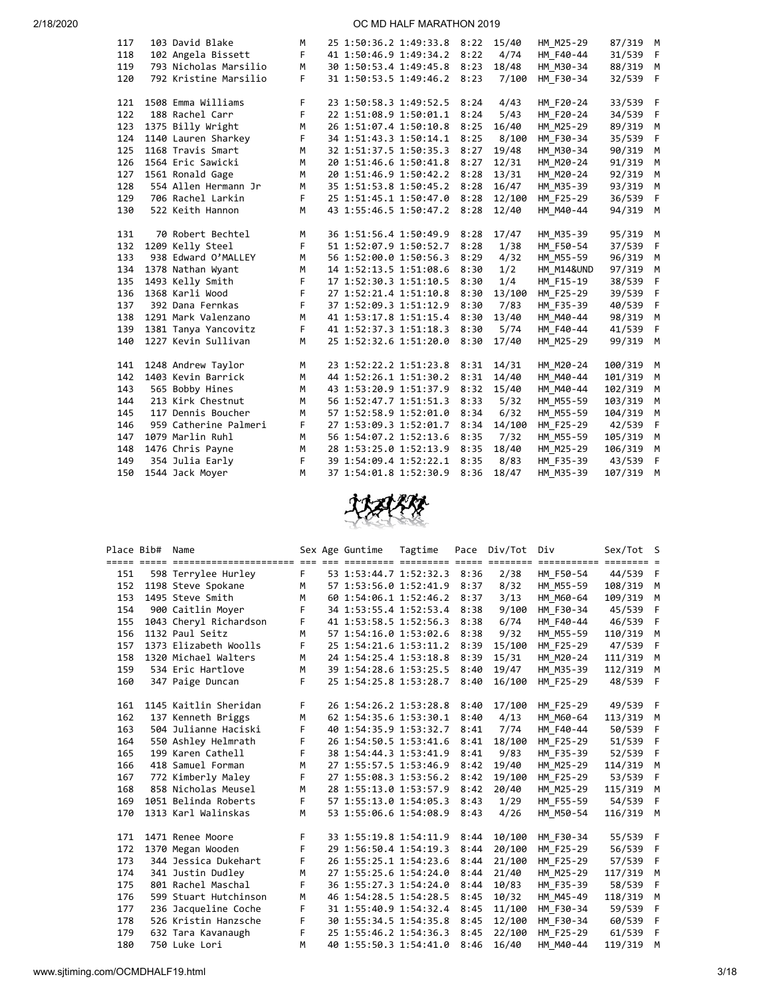| 117 | 103 David Blake       | M |                        | 25 1:50:36.2 1:49:33.8 | 8:22 | 15/40  | HM M25-29             | 87/319 M |             |
|-----|-----------------------|---|------------------------|------------------------|------|--------|-----------------------|----------|-------------|
| 118 | 102 Angela Bissett    | F | 41 1:50:46.9 1:49:34.2 |                        | 8:22 | 4/74   | HM_F40-44             | 31/539   | $\mathsf F$ |
| 119 | 793 Nicholas Marsilio | M |                        | 30 1:50:53.4 1:49:45.8 | 8:23 | 18/48  | HM M30-34             | 88/319   | M           |
| 120 | 792 Kristine Marsilio | F |                        | 31 1:50:53.5 1:49:46.2 | 8:23 | 7/100  | HM F30-34             | 32/539   | - F         |
|     |                       |   |                        |                        |      |        |                       |          |             |
| 121 | 1508 Emma Williams    | F | 23 1:50:58.3 1:49:52.5 |                        | 8:24 | 4/43   | HM_F20-24             | 33/539   | - F         |
| 122 | 188 Rachel Carr       | F | 22 1:51:08.9 1:50:01.1 |                        | 8:24 | 5/43   | HM F20-24             | 34/539   | F           |
| 123 | 1375 Billy Wright     | M | 26 1:51:07.4 1:50:10.8 |                        | 8:25 | 16/40  | HM M25-29             | 89/319   | M           |
| 124 | 1140 Lauren Sharkey   | F | 34 1:51:43.3 1:50:14.1 |                        | 8:25 | 8/100  | HM F30-34             | 35/539   | F           |
| 125 | 1168 Travis Smart     | M | 32 1:51:37.5 1:50:35.3 |                        | 8:27 | 19/48  | HM_M30-34             | 90/319   | M           |
| 126 | 1564 Eric Sawicki     | M | 20 1:51:46.6 1:50:41.8 |                        | 8:27 | 12/31  | HM M20-24             | 91/319   | M           |
| 127 | 1561 Ronald Gage      | M | 20 1:51:46.9 1:50:42.2 |                        | 8:28 | 13/31  | HM_M20-24             | 92/319   | M           |
| 128 | 554 Allen Hermann Jr  | M | 35 1:51:53.8 1:50:45.2 |                        | 8:28 | 16/47  | HM M35-39             | 93/319   | M           |
| 129 | 706 Rachel Larkin     | F | 25 1:51:45.1 1:50:47.0 |                        | 8:28 | 12/100 | HM F25-29             | 36/539   | -F          |
| 130 | 522 Keith Hannon      | M |                        | 43 1:55:46.5 1:50:47.2 | 8:28 | 12/40  | HM M40-44             | 94/319   | M           |
|     |                       |   |                        |                        |      |        |                       |          |             |
| 131 | 70 Robert Bechtel     | M | 36 1:51:56.4 1:50:49.9 |                        | 8:28 | 17/47  | HM M35-39             | 95/319   | М           |
| 132 | 1209 Kelly Steel      | F | 51 1:52:07.9 1:50:52.7 |                        | 8:28 | 1/38   | HM F50-54             | 37/539   | F           |
| 133 | 938 Edward O'MALLEY   | M | 56 1:52:00.0 1:50:56.3 |                        | 8:29 | 4/32   | HM M55-59             | 96/319   | M           |
| 134 | 1378 Nathan Wyant     | M | 14 1:52:13.5 1:51:08.6 |                        | 8:30 | 1/2    | <b>HM M14&amp;UND</b> | 97/319   | M           |
| 135 | 1493 Kelly Smith      | F | 17 1:52:30.3 1:51:10.5 |                        | 8:30 | 1/4    | HM_F15-19             | 38/539   | -F          |
| 136 | 1368 Karli Wood       | F | 27 1:52:21.4 1:51:10.8 |                        | 8:30 | 13/100 | HM_F25-29             | 39/539   | -F          |
| 137 | 392 Dana Fernkas      | F | 37 1:52:09.3 1:51:12.9 |                        | 8:30 | 7/83   | HM F35-39             | 40/539   | F           |
| 138 | 1291 Mark Valenzano   | M |                        | 41 1:53:17.8 1:51:15.4 | 8:30 | 13/40  | HM M40-44             | 98/319   | М           |
| 139 | 1381 Tanya Yancovitz  | F | 41 1:52:37.3 1:51:18.3 |                        | 8:30 | 5/74   | HM F40-44             | 41/539   | F           |
| 140 | 1227 Kevin Sullivan   | M | 25 1:52:32.6 1:51:20.0 |                        | 8:30 | 17/40  | HM M25-29             | 99/319   | M           |
|     |                       |   |                        |                        |      |        |                       |          |             |
| 141 | 1248 Andrew Taylor    | М | 23 1:52:22.2 1:51:23.8 |                        | 8:31 | 14/31  | HM M20-24             | 100/319  | M           |
| 142 | 1403 Kevin Barrick    | M |                        | 44 1:52:26.1 1:51:30.2 | 8:31 | 14/40  | HM M40-44             | 101/319  | М           |
| 143 | 565 Bobby Hines       | M | 43 1:53:20.9 1:51:37.9 |                        | 8:32 | 15/40  | HM M40-44             | 102/319  | M           |
| 144 | 213 Kirk Chestnut     | M | 56 1:52:47.7 1:51:51.3 |                        | 8:33 | 5/32   | HM M55-59             | 103/319  | М           |
| 145 | 117 Dennis Boucher    | M | 57 1:52:58.9 1:52:01.0 |                        | 8:34 | 6/32   | HM M55-59             | 104/319  | M           |
| 146 | 959 Catherine Palmeri | F |                        | 27 1:53:09.3 1:52:01.7 | 8:34 | 14/100 | HM F25-29             | 42/539   | F           |
| 147 | 1079 Marlin Ruhl      | M | 56 1:54:07.2 1:52:13.6 |                        | 8:35 | 7/32   | HM M55-59             | 105/319  | M           |
| 148 | 1476 Chris Payne      | M | 28 1:53:25.0 1:52:13.9 |                        | 8:35 | 18/40  | HM M25-29             | 106/319  | M           |
| 149 | 354 Julia Early       | F | 39 1:54:09.4 1:52:22.1 |                        | 8:35 | 8/83   | HM F35-39             | 43/539   | F           |
| 150 | 1544 Jack Moyer       | M | 37 1:54:01.8 1:52:30.9 |                        | 8:36 | 18/47  | HM M35-39             | 107/319  | M           |



| Place Bib# | Name                   |    | Sex Age Guntime        | Tagtime |      | Pace Div/Tot | Div                     | Sex/Tot S |   |
|------------|------------------------|----|------------------------|---------|------|--------------|-------------------------|-----------|---|
|            |                        |    |                        |         |      |              | ============ ======== = |           |   |
| 151        | 598 Terrylee Hurley    | F. | 53 1:53:44.7 1:52:32.3 |         | 8:36 | 2/38         | HM F50-54               | 44/539 F  |   |
| 152        | 1198 Steve Spokane     | M  | 57 1:53:56.0 1:52:41.9 |         | 8:37 | 8/32         | HM M55-59               | 108/319 M |   |
| 153        | 1495 Steve Smith       | M  | 60 1:54:06.1 1:52:46.2 |         | 8:37 | 3/13         | HM M60-64               | 109/319   | M |
| 154        | 900 Caitlin Moyer      | F  | 34 1:53:55.4 1:52:53.4 |         | 8:38 | 9/100        | HM F30-34               | 45/539 F  |   |
| 155        | 1043 Cheryl Richardson | F  | 41 1:53:58.5 1:52:56.3 |         | 8:38 | 6/74         | HM F40-44               | 46/539 F  |   |
| 156        | 1132 Paul Seitz        | M  | 57 1:54:16.0 1:53:02.6 |         | 8:38 | 9/32         | HM M55-59               | 110/319 M |   |
| 157        | 1373 Elizabeth Woolls  | F  | 25 1:54:21.6 1:53:11.2 |         | 8:39 | 15/100       | HM F25-29               | 47/539 F  |   |
| 158        | 1320 Michael Walters   | M  | 24 1:54:25.4 1:53:18.8 |         | 8:39 | 15/31        | HM M20-24               | 111/319   | M |
| 159        | 534 Eric Hartlove      | M  | 39 1:54:28.6 1:53:25.5 |         | 8:40 | 19/47        | HM M35-39               | 112/319 M |   |
| 160        | 347 Paige Duncan       | F. | 25 1:54:25.8 1:53:28.7 |         | 8:40 | 16/100       | HM F25-29               | 48/539 F  |   |
|            |                        |    |                        |         |      |              |                         |           |   |
| 161        | 1145 Kaitlin Sheridan  | F. | 26 1:54:26.2 1:53:28.8 |         | 8:40 | 17/100       | HM F25-29               | 49/539 F  |   |
| 162        | 137 Kenneth Briggs     | M  | 62 1:54:35.6 1:53:30.1 |         | 8:40 | 4/13         | HM M60-64               | 113/319 M |   |
| 163        | 504 Julianne Haciski   | F  | 40 1:54:35.9 1:53:32.7 |         | 8:41 | 7/74         | HM F40-44               | 50/539 F  |   |
| 164        | 550 Ashley Helmrath    | F  | 26 1:54:50.5 1:53:41.6 |         | 8:41 | 18/100       | HM F25-29               | 51/539 F  |   |
| 165        | 199 Karen Cathell      | F  | 38 1:54:44.3 1:53:41.9 |         | 8:41 | 9/83         | HM F35-39               | 52/539 F  |   |
| 166        | 418 Samuel Forman      | M  | 27 1:55:57.5 1:53:46.9 |         | 8:42 | 19/40        | HM M25-29               | 114/319 M |   |
| 167        | 772 Kimberly Maley     | F. | 27 1:55:08.3 1:53:56.2 |         | 8:42 | 19/100       | HM F25-29               | 53/539 F  |   |
| 168        | 858 Nicholas Meusel    | M  | 28 1:55:13.0 1:53:57.9 |         | 8:42 | 20/40        | HM M25-29               | 115/319 M |   |
| 169        | 1051 Belinda Roberts   | F. | 57 1:55:13.0 1:54:05.3 |         | 8:43 | 1/29         | HM F55-59               | 54/539 F  |   |
| 170        | 1313 Karl Walinskas    | M  | 53 1:55:06.6 1:54:08.9 |         | 8:43 | 4/26         | HM M50-54               | 116/319 M |   |
|            |                        |    |                        |         |      |              |                         |           |   |
| 171        | 1471 Renee Moore       | F  | 33 1:55:19.8 1:54:11.9 |         | 8:44 | 10/100       | HM F30-34               | 55/539 F  |   |
| 172        | 1370 Megan Wooden      | E  | 29 1:56:50.4 1:54:19.3 |         | 8:44 | 20/100       | HM F25-29               | 56/539 F  |   |
| 173        | 344 Jessica Dukehart   | F  | 26 1:55:25.1 1:54:23.6 |         | 8:44 | 21/100       | HM F25-29               | 57/539 F  |   |
| 174        | 341 Justin Dudley      | M  | 27 1:55:25.6 1:54:24.0 |         | 8:44 | 21/40        | HM M25-29               | 117/319 M |   |
| 175        | 801 Rachel Maschal     | F  | 36 1:55:27.3 1:54:24.0 |         | 8:44 | 10/83        | HM F35-39               | 58/539 F  |   |
| 176        | 599 Stuart Hutchinson  | M  | 46 1:54:28.5 1:54:28.5 |         | 8:45 | 10/32        | HM M45-49               | 118/319 M |   |
| 177        | 236 Jacqueline Coche   | F  | 31 1:55:40.9 1:54:32.4 |         | 8:45 | 11/100       | HM F30-34               | 59/539 F  |   |
| 178        | 526 Kristin Hanzsche   | F  | 30 1:55:34.5 1:54:35.8 |         | 8:45 | 12/100       | HM F30-34               | 60/539 F  |   |
| 179        | 632 Tara Kavanaugh     | F  | 25 1:55:46.2 1:54:36.3 |         | 8:45 | 22/100       | HM F25-29               | 61/539 F  |   |
| 180        | 750 Luke Lori          | M  | 40 1:55:50.3 1:54:41.0 |         | 8:46 | 16/40        | HM M40-44               | 119/319   | M |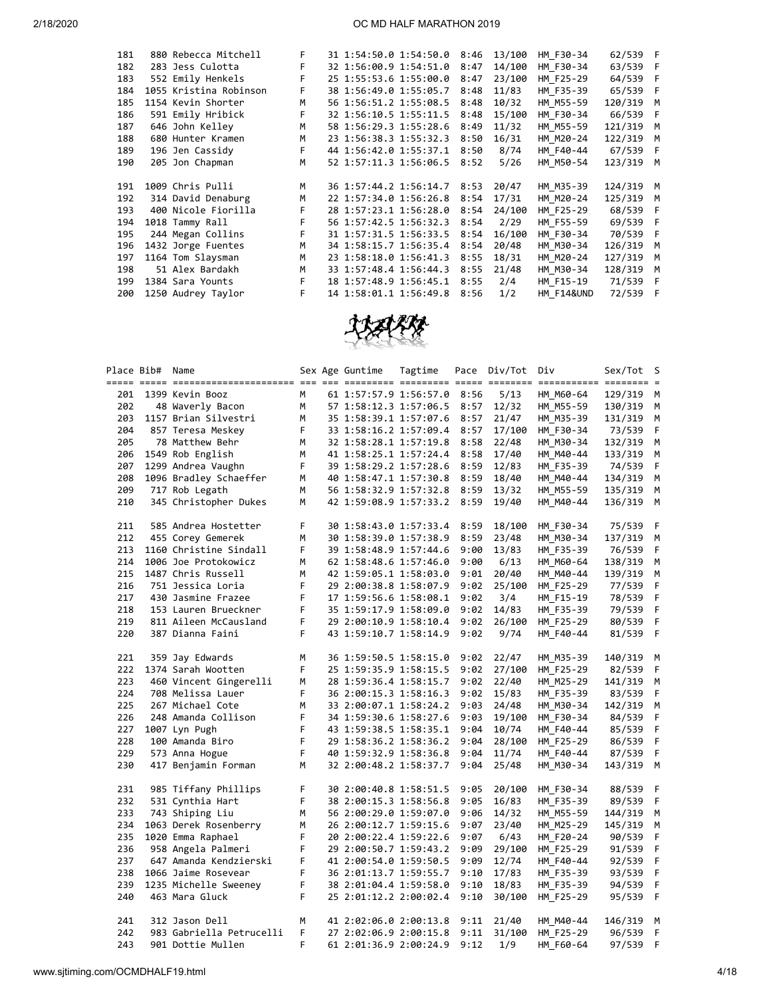| 181 | 880 Rebecca Mitchell   | F. | 31 1:54:50.0 1:54:50.0      | 8:46 | 13/100 | HM F30-34  | 62/539 F  |          |
|-----|------------------------|----|-----------------------------|------|--------|------------|-----------|----------|
| 182 | 283 Jess Culotta       | F  | 32 1:56:00.9 1:54:51.0      | 8:47 | 14/100 | HM F30-34  | 63/539 F  |          |
| 183 | 552 Emily Henkels      | F  | 25 1:55:53.6 1:55:00.0      | 8:47 | 23/100 | HM F25-29  | 64/539 F  |          |
| 184 | 1055 Kristina Robinson | F. | 38 1:56:49.0 1:55:05.7      | 8:48 | 11/83  | HM F35-39  | 65/539 F  |          |
| 185 | 1154 Kevin Shorter     | M  | 56 1:56:51.2 1:55:08.5      | 8:48 | 10/32  | HM M55-59  | 120/319 M |          |
| 186 | 591 Emily Hribick      | F. | 32 1:56:10.5 1:55:11.5      | 8:48 | 15/100 | HM F30-34  | 66/539 F  |          |
| 187 | 646 John Kelley        | M  | 58 1:56:29.3 1:55:28.6      | 8:49 | 11/32  | HM M55-59  | 121/319   | M        |
| 188 | 680 Hunter Kramen      | M  | 23 1:56:38.3 1:55:32.3      | 8:50 | 16/31  | HM M20-24  | 122/319 M |          |
| 189 | 196 Jen Cassidy        | F. | 44 1:56:42.0 1:55:37.1      | 8:50 | 8/74   | HM F40-44  | 67/539 F  |          |
| 190 | 205 Jon Chapman        | M  | 52 1:57:11.3 1:56:06.5 8:52 |      | 5/26   | HM M50-54  | 123/319 M |          |
|     |                        |    |                             |      |        |            |           |          |
| 191 | 1009 Chris Pulli       | M  | 36 1:57:44.2 1:56:14.7 8:53 |      | 20/47  | HM M35-39  | 124/319 M |          |
| 192 | 314 David Denaburg     | M  | 22 1:57:34.0 1:56:26.8      | 8:54 | 17/31  | HM M20-24  | 125/319 M |          |
| 193 | 400 Nicole Fiorilla    | F. | 28 1:57:23.1 1:56:28.0      | 8:54 | 24/100 | HM F25-29  | 68/539 F  |          |
| 194 | 1018 Tammy Rall        | F. | 56 1:57:42.5 1:56:32.3      | 8:54 | 2/29   | HM F55-59  | 69/539 F  |          |
| 195 | 244 Megan Collins      | F. | 31 1:57:31.5 1:56:33.5      | 8:54 | 16/100 | HM F30-34  | 70/539 F  |          |
| 196 | 1432 Jorge Fuentes     | M  | 34 1:58:15.7 1:56:35.4      | 8:54 | 20/48  | HM M30-34  | 126/319   | M        |
| 197 | 1164 Tom Slaysman      | M  | 23 1:58:18.0 1:56:41.3      | 8:55 | 18/31  | HM M20-24  | 127/319   | <b>M</b> |
| 198 | 51 Alex Bardakh        | M  | 33 1:57:48.4 1:56:44.3      | 8:55 | 21/48  | HM M30-34  | 128/319 M |          |
| 199 | 1384 Sara Younts       | F  | 18 1:57:48.9 1:56:45.1      | 8:55 | 2/4    | HM F15-19  | 71/539 F  |          |
| 200 | 1250 Audrey Taylor     | F  | 14 1:58:01.1 1:56:49.8      | 8:56 | 1/2    | HM F14&UND | 72/539 F  |          |
|     |                        |    |                             |      |        |            |           |          |



|     | Place Bib# Name |                          |    | Sex Age Guntime        | Tagtime | Pace | Div/Tot | Div       | Sex/Tot   | - S |
|-----|-----------------|--------------------------|----|------------------------|---------|------|---------|-----------|-----------|-----|
|     |                 | 201 1399 Kevin Booz      | M  | 61 1:57:57.9 1:56:57.0 |         | 8:56 | 5/13    | HM M60-64 | 129/319 M |     |
| 202 |                 | 48 Waverly Bacon         | M  | 57 1:58:12.3 1:57:06.5 |         | 8:57 | 12/32   | HM_M55-59 | 130/319 M |     |
| 203 |                 | 1157 Brian Silvestri     | M  | 35 1:58:39.1 1:57:07.6 |         | 8:57 | 21/47   | HM M35-39 | 131/319 M |     |
| 204 |                 | 857 Teresa Meskey        | F. | 33 1:58:16.2 1:57:09.4 |         | 8:57 | 17/100  | HM F30-34 | 73/539    | F   |
| 205 |                 | 78 Matthew Behr          | M  | 32 1:58:28.1 1:57:19.8 |         | 8:58 | 22/48   | HM M30-34 | 132/319 M |     |
| 206 |                 | 1549 Rob English         | M  | 41 1:58:25.1 1:57:24.4 |         | 8:58 | 17/40   | HM M40-44 | 133/319   | M   |
| 207 |                 | 1299 Andrea Vaughn       | F  | 39 1:58:29.2 1:57:28.6 |         | 8:59 | 12/83   | HM F35-39 | 74/539    | F   |
| 208 |                 | 1096 Bradley Schaeffer   | M  | 40 1:58:47.1 1:57:30.8 |         | 8:59 | 18/40   | HM M40-44 | 134/319   | М   |
| 209 |                 | 717 Rob Legath           | М  | 56 1:58:32.9 1:57:32.8 |         | 8:59 | 13/32   | HM M55-59 | 135/319   | M   |
| 210 |                 | 345 Christopher Dukes    | M  | 42 1:59:08.9 1:57:33.2 |         | 8:59 | 19/40   | HM M40-44 | 136/319   | м   |
| 211 |                 | 585 Andrea Hostetter     | F  | 30 1:58:43.0 1:57:33.4 |         | 8:59 | 18/100  | HM F30-34 | 75/539    | - F |
| 212 |                 | 455 Corey Gemerek        | М  | 30 1:58:39.0 1:57:38.9 |         | 8:59 | 23/48   | HM M30-34 | 137/319   | M   |
| 213 |                 | 1160 Christine Sindall   | F  | 39 1:58:48.9 1:57:44.6 |         | 9:00 | 13/83   | HM F35-39 | 76/539    | F   |
| 214 |                 | 1006 Joe Protokowicz     | M  | 62 1:58:48.6 1:57:46.0 |         | 9:00 | 6/13    | HM_M60-64 | 138/319   | M   |
| 215 |                 | 1487 Chris Russell       | M  | 42 1:59:05.1 1:58:03.0 |         | 9:01 | 20/40   | HM M40-44 | 139/319   | М   |
| 216 |                 | 751 Jessica Loria        | F  | 29 2:00:38.8 1:58:07.9 |         | 9:02 | 25/100  | HM F25-29 | 77/539    | - F |
| 217 |                 | 430 Jasmine Frazee       | F  | 17 1:59:56.6 1:58:08.1 |         | 9:02 | 3/4     | HM_F15-19 | 78/539 F  |     |
| 218 |                 | 153 Lauren Brueckner     | F. | 35 1:59:17.9 1:58:09.0 |         | 9:02 | 14/83   | HM_F35-39 | 79/539    | F   |
| 219 |                 | 811 Aileen McCausland    | F. | 29 2:00:10.9 1:58:10.4 |         | 9:02 | 26/100  | HM F25-29 | 80/539    | - F |
| 220 |                 | 387 Dianna Faini         | F  | 43 1:59:10.7 1:58:14.9 |         | 9:02 | 9/74    | HM_F40-44 | 81/539 F  |     |
| 221 |                 | 359 Jay Edwards          | M  | 36 1:59:50.5 1:58:15.0 |         | 9:02 | 22/47   | HM M35-39 | 140/319 M |     |
| 222 |                 | 1374 Sarah Wootten       | F. | 25 1:59:35.9 1:58:15.5 |         | 9:02 | 27/100  | HM F25-29 | 82/539    | - F |
| 223 |                 | 460 Vincent Gingerelli   | M  | 28 1:59:36.4 1:58:15.7 |         | 9:02 | 22/40   | HM M25-29 | 141/319 M |     |
| 224 |                 | 708 Melissa Lauer        | F  | 36 2:00:15.3 1:58:16.3 |         | 9:02 | 15/83   | HM F35-39 | 83/539    | - F |
| 225 |                 | 267 Michael Cote         | M  | 33 2:00:07.1 1:58:24.2 |         | 9:03 | 24/48   | HM M30-34 | 142/319   | M   |
| 226 |                 | 248 Amanda Collison      | F  | 34 1:59:30.6 1:58:27.6 |         | 9:03 | 19/100  | HM_F30-34 | 84/539    | F   |
| 227 |                 | 1007 Lyn Pugh            | F  | 43 1:59:38.5 1:58:35.1 |         | 9:04 | 10/74   | HM F40-44 | 85/539    | - F |
| 228 |                 | 100 Amanda Biro          | F  | 29 1:58:36.2 1:58:36.2 |         | 9:04 | 28/100  | HM F25-29 | 86/539    | - F |
| 229 |                 | 573 Anna Hogue           | F  | 40 1:59:32.9 1:58:36.8 |         | 9:04 | 11/74   | HM F40-44 | 87/539    | F   |
| 230 |                 | 417 Benjamin Forman      | M  | 32 2:00:48.2 1:58:37.7 |         | 9:04 | 25/48   | HM M30-34 | 143/319   | M   |
| 231 |                 | 985 Tiffany Phillips     | F  | 30 2:00:40.8 1:58:51.5 |         | 9:05 | 20/100  | HM F30-34 | 88/539 F  |     |
| 232 |                 | 531 Cynthia Hart         | F  | 38 2:00:15.3 1:58:56.8 |         | 9:05 | 16/83   | HM_F35-39 | 89/539    | - F |
| 233 |                 | 743 Shiping Liu          | М  | 56 2:00:29.0 1:59:07.0 |         | 9:06 | 14/32   | HM M55-59 | 144/319 M |     |
| 234 |                 | 1063 Derek Rosenberry    | M  | 26 2:00:12.7 1:59:15.6 |         | 9:07 | 23/40   | HM M25-29 | 145/319   | M   |
| 235 |                 | 1020 Emma Raphael        | F  | 20 2:00:22.4 1:59:22.6 |         | 9:07 | 6/43    | HM_F20-24 | 90/539    | F   |
| 236 |                 | 958 Angela Palmeri       | F  | 29 2:00:50.7 1:59:43.2 |         | 9:09 | 29/100  | HM F25-29 | 91/539 F  |     |
| 237 |                 | 647 Amanda Kendzierski   | F  | 41 2:00:54.0 1:59:50.5 |         | 9:09 | 12/74   | HM_F40-44 | 92/539    | F   |
| 238 |                 | 1066 Jaime Rosevear      | F  | 36 2:01:13.7 1:59:55.7 |         | 9:10 | 17/83   | HM_F35-39 | 93/539    | - F |
| 239 |                 | 1235 Michelle Sweeney    | F. | 38 2:01:04.4 1:59:58.0 |         | 9:10 | 18/83   | HM F35-39 | 94/539    | F   |
| 240 |                 | 463 Mara Gluck           | F. | 25 2:01:12.2 2:00:02.4 |         | 9:10 | 30/100  | HM F25-29 | 95/539 F  |     |
| 241 |                 | 312 Jason Dell           | M  | 41 2:02:06.0 2:00:13.8 |         | 9:11 | 21/40   | HM M40-44 | 146/319 M |     |
| 242 |                 | 983 Gabriella Petrucelli | F  | 27 2:02:06.9 2:00:15.8 |         | 9:11 | 31/100  | HM F25-29 | 96/539    | F   |
| 243 |                 | 901 Dottie Mullen        | F  | 61 2:01:36.9 2:00:24.9 |         | 9:12 | 1/9     | HM F60-64 | 97/539    | - F |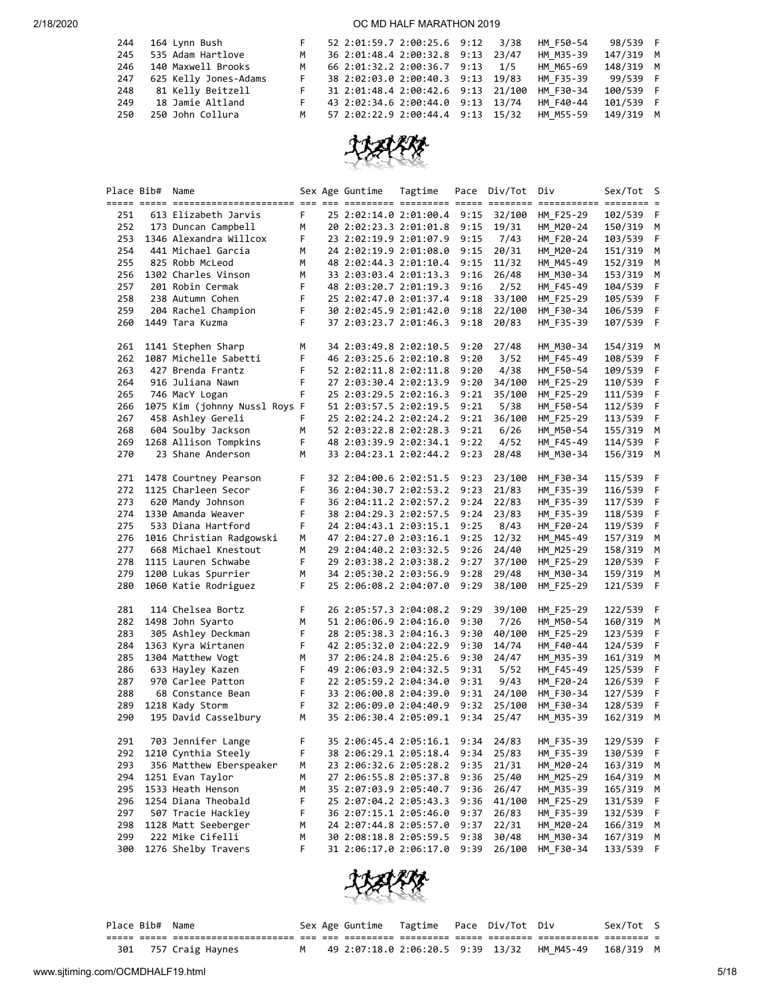| 244 | 164 Lynn Bush         |                | 52 2:01:59.7 2:00:25.6 9:12 3/38   |  | HM F50-54 | 98/539 F  |  |
|-----|-----------------------|----------------|------------------------------------|--|-----------|-----------|--|
| 245 | 535 Adam Hartlove     | M              | 36 2:01:48.4 2:00:32.8 9:13 23/47  |  | HM M35-39 | 147/319 M |  |
| 246 | 140 Maxwell Brooks    | M              | 66 2:01:32.2 2:00:36.7 9:13 1/5    |  | HM M65-69 | 148/319 M |  |
| 247 | 625 Kelly Jones-Adams | F.             | 38 2:02:03.0 2:00:40.3 9:13 19/83  |  | HM F35-39 | 99/539 F  |  |
| 248 | 81 Kelly Beitzell     |                | 31 2:01:48.4 2:00:42.6 9:13 21/100 |  | HM F30-34 | 100/539 F |  |
| 249 | 18 Jamie Altland      | F.             | 43 2:02:34.6 2:00:44.0 9:13 13/74  |  | HM F40-44 | 101/539 F |  |
| 250 | 250 John Collura      | M <sub>N</sub> | 57 2:02:22.9 2:00:44.4 9:13 15/32  |  | HM M55-59 | 149/319 M |  |



|     | Place Bib# Name |                                         |        | Sex Age Guntime        | Tagtime | Pace         | Div/Tot | Div                     | Sex/Tot S          |              |
|-----|-----------------|-----------------------------------------|--------|------------------------|---------|--------------|---------|-------------------------|--------------------|--------------|
|     |                 |                                         |        |                        |         |              |         | ============ ======== = |                    |              |
| 251 |                 | 613 Elizabeth Jarvis                    | F.     | 25 2:02:14.0 2:01:00.4 |         | 9:15         | 32/100  | HM F25-29               | 102/539            | - F          |
| 252 |                 | 173 Duncan Campbell                     | М      | 20 2:02:23.3 2:01:01.8 |         | 9:15         | 19/31   | HM M20-24               | 150/319            | м            |
| 253 |                 | 1346 Alexandra Willcox                  | F      | 23 2:02:19.9 2:01:07.9 |         | 9:15         | 7/43    | HM_F20-24               | 103/539            | F            |
| 254 |                 | 441 Michael Garcia                      | М      | 24 2:02:19.9 2:01:08.0 |         | 9:15         | 20/31   | HM M20-24               | 151/319            | М            |
| 255 |                 | 825 Robb McLeod                         | M      | 48 2:02:44.3 2:01:10.4 |         | 9:15         | 11/32   | HM_M45-49               | 152/319            | М            |
| 256 |                 | 1302 Charles Vinson                     | M      | 33 2:03:03.4 2:01:13.3 |         | 9:16         | 26/48   | HM_M30-34               | 153/319            | М            |
| 257 |                 | 201 Robin Cermak                        | F      | 48 2:03:20.7 2:01:19.3 |         | 9:16         | 2/52    | HM F45-49               | 104/539            | F            |
| 258 |                 | 238 Autumn Cohen                        | F      | 25 2:02:47.0 2:01:37.4 |         | 9:18         | 33/100  | HM_F25-29               | 105/539            | F            |
| 259 |                 | 204 Rachel Champion                     | F      | 30 2:02:45.9 2:01:42.0 |         | 9:18         | 22/100  | HM_F30-34               | 106/539            | F            |
| 260 |                 | 1449 Tara Kuzma                         | F      | 37 2:03:23.7 2:01:46.3 |         | 9:18         | 20/83   | HM_F35-39               | 107/539            | $\mathsf{F}$ |
| 261 |                 | 1141 Stephen Sharp                      | М      | 34 2:03:49.8 2:02:10.5 |         | 9:20         | 27/48   | HM_M30-34               | 154/319 M          |              |
| 262 |                 | 1087 Michelle Sabetti                   | F      | 46 2:03:25.6 2:02:10.8 |         | 9:20         | 3/52    | HM F45-49               | 108/539            | F            |
| 263 |                 | 427 Brenda Frantz                       | F      | 52 2:02:11.8 2:02:11.8 |         | 9:20         | 4/38    | HM F50-54               | 109/539            | F            |
| 264 |                 | 916 Juliana Nawn                        | F      | 27 2:03:30.4 2:02:13.9 |         | 9:20         | 34/100  | HM_F25-29               | 110/539            | F            |
| 265 |                 | 746 MacY Logan                          | F      | 25 2:03:29.5 2:02:16.3 |         | 9:21         | 35/100  | HM F25-29               | 111/539            | F            |
| 266 |                 | 1075 Kim (johnny Nussl Roys F           |        | 51 2:03:57.5 2:02:19.5 |         | 9:21         | 5/38    | HM_F50-54               | 112/539            | F            |
| 267 |                 | 458 Ashley Gereli                       | F      | 25 2:02:24.2 2:02:24.2 |         | 9:21         | 36/100  | HM_F25-29               | 113/539            | F            |
| 268 |                 | 604 Soulby Jackson                      | M      | 52 2:03:22.8 2:02:28.3 |         | 9:21         | 6/26    | HM M50-54               | 155/319            | M            |
| 269 |                 | 1268 Allison Tompkins                   | F      | 48 2:03:39.9 2:02:34.1 |         | 9:22         | 4/52    | HM_F45-49               | 114/539            | F            |
| 270 |                 | 23 Shane Anderson                       | М      | 33 2:04:23.1 2:02:44.2 |         | 9:23         | 28/48   | HM M30-34               | 156/319            | М            |
| 271 |                 | 1478 Courtney Pearson                   | F      | 32 2:04:00.6 2:02:51.5 |         | 9:23         | 23/100  | HM_F30-34               | 115/539            | - F          |
| 272 |                 | 1125 Charleen Secor                     | F      | 36 2:04:30.7 2:02:53.2 |         | 9:23         | 21/83   | HM_F35-39               | 116/539            | F            |
| 273 |                 | 620 Mandy Johnson                       | F      | 36 2:04:11.2 2:02:57.2 |         | 9:24         | 22/83   | HM F35-39               | 117/539            | F            |
| 274 |                 | 1330 Amanda Weaver                      | F      | 38 2:04:29.3 2:02:57.5 |         | 9:24         | 23/83   | HM_F35-39               | 118/539            | F            |
| 275 |                 | 533 Diana Hartford                      | F      | 24 2:04:43.1 2:03:15.1 |         | 9:25         | 8/43    | HM_F20-24               | 119/539            | F            |
| 276 |                 |                                         |        | 47 2:04:27.0 2:03:16.1 |         |              |         | HM M45-49               | 157/319            |              |
|     |                 | 1016 Christian Radgowski                | М<br>M |                        |         | 9:25         | 12/32   |                         |                    | М            |
| 277 |                 | 668 Michael Knestout                    | F.     | 29 2:04:40.2 2:03:32.5 |         | 9:26         | 24/40   | HM_M25-29               | 158/319            | М            |
| 278 |                 | 1115 Lauren Schwabe                     |        | 29 2:03:38.2 2:03:38.2 |         | 9:27         | 37/100  | HM_F25-29               | 120/539            | F            |
| 279 |                 | 1200 Lukas Spurrier                     | M      | 34 2:05:30.2 2:03:56.9 |         | 9:28         | 29/48   | HM M30-34               | 159/319            | м            |
| 280 |                 | 1060 Katie Rodriguez                    | F      | 25 2:06:08.2 2:04:07.0 |         | 9:29         | 38/100  | HM_F25-29               | 121/539            | -F           |
| 281 |                 | 114 Chelsea Bortz                       | F      | 26 2:05:57.3 2:04:08.2 |         | 9:29         | 39/100  | HM_F25-29               | 122/539            | F            |
| 282 |                 | 1498 John Syarto                        | М      | 51 2:06:06.9 2:04:16.0 |         | 9:30         | 7/26    | HM_M50-54               | 160/319            | M            |
| 283 |                 | 305 Ashley Deckman                      | F      | 28 2:05:38.3 2:04:16.3 |         | 9:30         | 40/100  | HM F25-29               | 123/539            | F            |
| 284 |                 | 1363 Kyra Wirtanen                      | F      | 42 2:05:32.0 2:04:22.9 |         | 9:30         | 14/74   | HM F40-44               | 124/539            | F            |
| 285 |                 | 1304 Matthew Vogt                       | М      | 37 2:06:24.8 2:04:25.6 |         | 9:30         | 24/47   | HM_M35-39               | 161/319            | М            |
| 286 |                 | 633 Hayley Kazen                        | F      | 49 2:06:03.9 2:04:32.5 |         | 9:31         | 5/52    | HM_F45-49               | 125/539            | F            |
| 287 |                 | 970 Carlee Patton                       | F      | 22 2:05:59.2 2:04:34.0 |         | 9:31         | 9/43    | HM F20-24               | 126/539            | F            |
| 288 |                 | 68 Constance Bean                       | F      | 33 2:06:00.8 2:04:39.0 |         | 9:31         | 24/100  | HM F30-34               | 127/539            | F            |
| 289 |                 | 1218 Kady Storm                         | F      | 32 2:06:09.0 2:04:40.9 |         | 9:32         | 25/100  | HM_F30-34               | 128/539            | F            |
| 290 |                 | 195 David Casselbury                    | M      | 35 2:06:30.4 2:05:09.1 |         | 9:34         | 25/47   | HM_M35-39               | 162/319            | м            |
| 291 |                 | 703 Jennifer Lange                      | F      | 35 2:06:45.4 2:05:16.1 |         | 9:34         | 24/83   | HM F35-39               | 129/539            | - F          |
| 292 |                 | 1210 Cynthia Steely                     | F      | 38 2:06:29.1 2:05:18.4 |         | 9:34         | 25/83   | HM_F35-39               | 130/539            | F            |
| 293 |                 | 356 Matthew Eberspeaker                 | M      | 23 2:06:32.6 2:05:28.2 |         | 9:35         | 21/31   | HM_M20-24               | 163/319            | M            |
| 294 |                 | 1251 Evan Taylor                        | М      | 27 2:06:55.8 2:05:37.8 |         | 9:36         | 25/40   | HM_M25-29               | 164/319            | M            |
| 295 |                 | 1533 Heath Henson                       |        | 35 2:07:03.9 2:05:40.7 |         |              | 26/47   |                         |                    |              |
| 296 |                 | 1254 Diana Theobald                     | М<br>F |                        |         | 9:36<br>9:36 | 41/100  | HM_M35-39               | 165/319<br>131/539 | M            |
| 297 |                 | 507 Tracie Hackley                      | F      | 25 2:07:04.2 2:05:43.3 |         | 9:37         | 26/83   | HM_F25-29               |                    | F            |
|     |                 |                                         |        | 36 2:07:15.1 2:05:46.0 |         |              |         | HM_F35-39               | 132/539            | F            |
| 298 |                 | 1128 Matt Seeberger<br>222 Mike Cifelli | M      | 24 2:07:44.8 2:05:57.0 |         | 9:37         | 22/31   | HM_M20-24               | 166/319            | M            |
| 299 |                 |                                         | М      | 30 2:08:18.8 2:05:59.5 |         | 9:38         | 30/48   | HM_M30-34               | 167/319            | M            |
| 300 |                 | 1276 Shelby Travers                     | F      | 31 2:06:17.0 2:06:17.0 |         | 9:39         | 26/100  | HM_F30-34               | 133/539            | F            |



| Place Bib# Name |                  |  | Sex Age Guntime   Tagtime   Pace   Div/Tot   Div |  |                                             | Sex/Tot S |  |
|-----------------|------------------|--|--------------------------------------------------|--|---------------------------------------------|-----------|--|
|                 |                  |  |                                                  |  |                                             |           |  |
| 301             | 757 Craig Haynes |  |                                                  |  | 49 2:07:18.0 2:06:20.5 9:39 13/32 HM M45-49 | 168/319 M |  |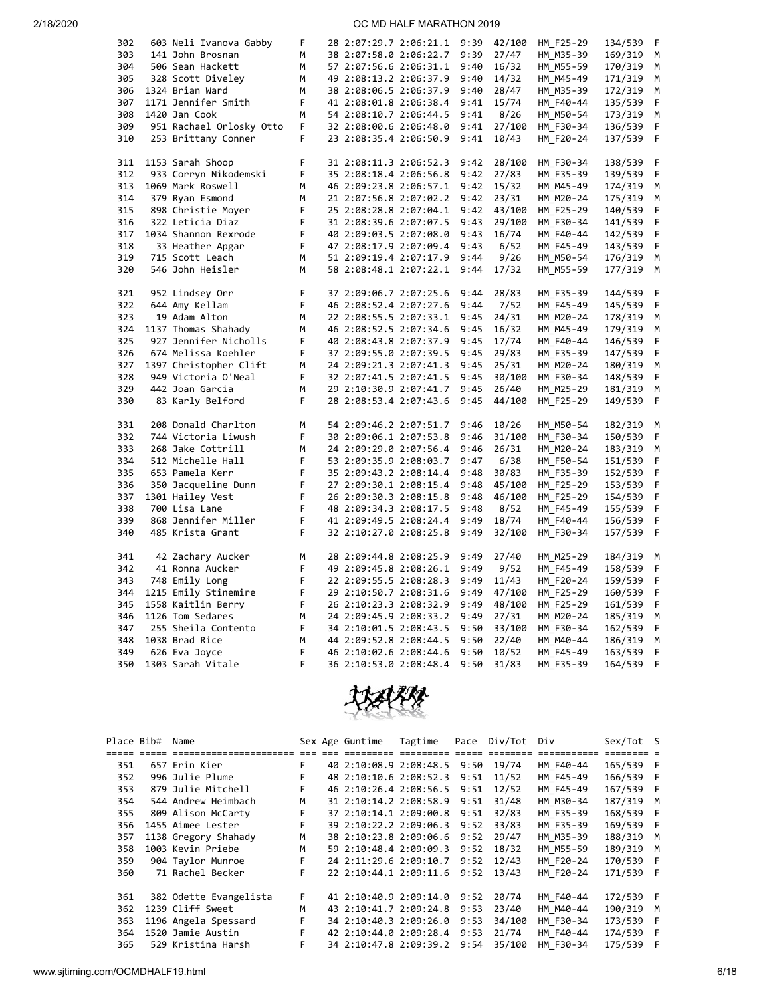| 302        | 603 Neli Ivanova Gabby   | F | 28 2:07:29.7 2:06:21.1 | 9:39         | 42/100 | HM_F25-29 | 134/539 | F |
|------------|--------------------------|---|------------------------|--------------|--------|-----------|---------|---|
| 303        | 141 John Brosnan         | M | 38 2:07:58.0 2:06:22.7 | 9:39         | 27/47  | HM M35-39 | 169/319 | М |
| 304        | 506 Sean Hackett         | М | 57 2:07:56.6 2:06:31.1 | 9:40         | 16/32  | HM M55-59 | 170/319 | М |
| 305        | 328 Scott Diveley        | М | 49 2:08:13.2 2:06:37.9 | 9:40         | 14/32  | HM M45-49 | 171/319 | м |
| 306        | 1324 Brian Ward          | М | 38 2:08:06.5 2:06:37.9 | 9:40         | 28/47  | HM M35-39 | 172/319 | М |
| 307        | 1171 Jennifer Smith      | F | 41 2:08:01.8 2:06:38.4 | 9:41         | 15/74  | HM_F40-44 | 135/539 | F |
| 308        | 1420 Jan Cook            | M | 54 2:08:10.7 2:06:44.5 | 9:41         | 8/26   | HM M50-54 | 173/319 | м |
| 309        | 951 Rachael Orlosky Otto | F | 32 2:08:00.6 2:06:48.0 | 9:41         | 27/100 | HM F30-34 | 136/539 | F |
| 310        | 253 Brittany Conner      | F | 23 2:08:35.4 2:06:50.9 | 9:41         | 10/43  | HM F20-24 | 137/539 | F |
|            |                          |   |                        |              |        |           |         |   |
| 311        | 1153 Sarah Shoop         | F | 31 2:08:11.3 2:06:52.3 | 9:42         | 28/100 | HM F30-34 | 138/539 | F |
| 312        | 933 Corryn Nikodemski    | F | 35 2:08:18.4 2:06:56.8 | 9:42         | 27/83  | HM_F35-39 | 139/539 | F |
| 313        | 1069 Mark Roswell        | м | 46 2:09:23.8 2:06:57.1 | 9:42         | 15/32  | HM M45-49 | 174/319 | М |
| 314        | 379 Ryan Esmond          | M | 21 2:07:56.8 2:07:02.2 | 9:42         | 23/31  | HM M20-24 | 175/319 | м |
| 315        | 898 Christie Moyer       | F | 25 2:08:28.8 2:07:04.1 | 9:42         | 43/100 | HM F25-29 | 140/539 | F |
| 316        | 322 Leticia Diaz         | F | 31 2:08:39.6 2:07:07.5 | 9:43         | 29/100 | HM F30-34 | 141/539 | F |
| 317        | 1034 Shannon Rexrode     | F | 40 2:09:03.5 2:07:08.0 | 9:43         | 16/74  | HM F40-44 | 142/539 | F |
| 318        | 33 Heather Apgar         | F | 47 2:08:17.9 2:07:09.4 | 9:43         | 6/52   | HM F45-49 | 143/539 | F |
| 319        |                          | М |                        | 9:44         |        |           |         | М |
|            | 715 Scott Leach          |   | 51 2:09:19.4 2:07:17.9 |              | 9/26   | HM M50-54 | 176/319 |   |
| 320        | 546 John Heisler         | M | 58 2:08:48.1 2:07:22.1 | 9:44         | 17/32  | HM M55-59 | 177/319 | М |
| 321        | 952 Lindsey Orr          | F | 37 2:09:06.7 2:07:25.6 | 9:44         | 28/83  | HM F35-39 | 144/539 | F |
| 322        | 644 Amy Kellam           | F | 46 2:08:52.4 2:07:27.6 | 9:44         | 7/52   | HM F45-49 | 145/539 | F |
| 323        | 19 Adam Alton            | M | 22 2:08:55.5 2:07:33.1 | 9:45         | 24/31  | HM M20-24 | 178/319 | М |
| 324        | 1137 Thomas Shahady      | M | 46 2:08:52.5 2:07:34.6 | 9:45         | 16/32  | HM M45-49 | 179/319 | М |
| 325        | 927 Jennifer Nicholls    | F | 40 2:08:43.8 2:07:37.9 | 9:45         | 17/74  | HM F40-44 | 146/539 | F |
| 326        | 674 Melissa Koehler      | F | 37 2:09:55.0 2:07:39.5 | 9:45         | 29/83  | HM F35-39 | 147/539 | F |
| 327        | 1397 Christopher Clift   | М | 24 2:09:21.3 2:07:41.3 | 9:45         | 25/31  | HM_M20-24 | 180/319 | м |
| 328        | 949 Victoria O'Neal      | F | 32 2:07:41.5 2:07:41.5 | 9:45         | 30/100 | HM F30-34 | 148/539 | F |
|            |                          | M |                        |              |        |           |         | м |
| 329<br>330 | 442 Joan Garcia          | F | 29 2:10:30.9 2:07:41.7 | 9:45<br>9:45 | 26/40  | HM_M25-29 | 181/319 | F |
|            | 83 Karly Belford         |   | 28 2:08:53.4 2:07:43.6 |              | 44/100 | HM F25-29 | 149/539 |   |
| 331        | 208 Donald Charlton      | М | 54 2:09:46.2 2:07:51.7 | 9:46         | 10/26  | HM M50-54 | 182/319 | М |
| 332        | 744 Victoria Liwush      | F | 30 2:09:06.1 2:07:53.8 | 9:46         | 31/100 | HM F30-34 | 150/539 | F |
| 333        | 268 Jake Cottrill        | М | 24 2:09:29.0 2:07:56.4 | 9:46         | 26/31  | HM M20-24 | 183/319 | М |
| 334        | 512 Michelle Hall        | F | 53 2:09:35.9 2:08:03.7 | 9:47         | 6/38   | HM_F50-54 | 151/539 | F |
| 335        | 653 Pamela Kerr          | F | 35 2:09:43.2 2:08:14.4 | 9:48         | 30/83  | HM F35-39 | 152/539 | F |
| 336        | 350 Jacqueline Dunn      | F | 27 2:09:30.1 2:08:15.4 | 9:48         | 45/100 | HM F25-29 | 153/539 | F |
| 337        | 1301 Hailey Vest         | F | 26 2:09:30.3 2:08:15.8 | 9:48         | 46/100 | HM F25-29 | 154/539 | F |
| 338        | 700 Lisa Lane            | F | 48 2:09:34.3 2:08:17.5 | 9:48         | 8/52   | HM F45-49 | 155/539 | F |
| 339        | 868 Jennifer Miller      | F | 41 2:09:49.5 2:08:24.4 | 9:49         | 18/74  | HM F40-44 | 156/539 | F |
| 340        | 485 Krista Grant         | F | 32 2:10:27.0 2:08:25.8 | 9:49         | 32/100 | HM_F30-34 | 157/539 | F |
|            |                          |   |                        |              |        |           |         |   |
| 341        | 42 Zachary Aucker        | М | 28 2:09:44.8 2:08:25.9 | 9:49         | 27/40  | HM M25-29 | 184/319 | M |
| 342        | 41 Ronna Aucker          | F | 49 2:09:45.8 2:08:26.1 | 9:49         | 9/52   | HM F45-49 | 158/539 | F |
| 343        | 748 Emily Long           | F | 22 2:09:55.5 2:08:28.3 | 9:49         | 11/43  | HM_F20-24 | 159/539 | F |
| 344        | 1215 Emily Stinemire     | F | 29 2:10:50.7 2:08:31.6 | 9:49         | 47/100 | HM_F25-29 | 160/539 | F |
| 345        | 1558 Kaitlin Berry       | F | 26 2:10:23.3 2:08:32.9 | 9:49         | 48/100 | HM_F25-29 | 161/539 | F |
| 346        | 1126 Tom Sedares         | M | 24 2:09:45.9 2:08:33.2 | 9:49         | 27/31  | HM_M20-24 | 185/319 | М |
| 347        | 255 Sheila Contento      | F | 34 2:10:01.5 2:08:43.5 | 9:50         | 33/100 | HM F30-34 | 162/539 | F |
| 348        | 1038 Brad Rice           | M | 44 2:09:52.8 2:08:44.5 | 9:50         | 22/40  | HM M40-44 | 186/319 | М |
| 349        | 626 Eva Joyce            | F | 46 2:10:02.6 2:08:44.6 | 9:50         | 10/52  | HM_F45-49 | 163/539 | F |
| 350        |                          | F |                        | 9:50         |        |           |         | F |
|            | 1303 Sarah Vitale        |   | 36 2:10:53.0 2:08:48.4 |              | 31/83  | HM F35-39 | 164/539 |   |



| Place Bib# | Name                   |    | Sex Age Guntime        | Tagtime |      | Pace Div/Tot Div |           | Sex/Tot S |  |
|------------|------------------------|----|------------------------|---------|------|------------------|-----------|-----------|--|
|            |                        |    |                        |         |      |                  |           |           |  |
| 351        | 657 Erin Kier          | F. | 40 2:10:08.9 2:08:48.5 |         | 9:50 | 19/74            | HM F40-44 | 165/539 F |  |
| 352        | 996 Julie Plume        | F. | 48 2:10:10.6 2:08:52.3 |         | 9:51 | 11/52            | HM F45-49 | 166/539 F |  |
| 353        | 879 Julie Mitchell     | F. | 46 2:10:26.4 2:08:56.5 |         | 9:51 | 12/52            | HM F45-49 | 167/539 F |  |
| 354        | 544 Andrew Heimbach    | M  | 31 2:10:14.2 2:08:58.9 |         | 9:51 | 31/48            | HM M30-34 | 187/319 M |  |
| 355        | 809 Alison McCarty     | F. | 37 2:10:14.1 2:09:00.8 |         | 9:51 | 32/83            | HM F35-39 | 168/539 F |  |
| 356        | 1455 Aimee Lester      | F  | 39 2:10:22.2 2:09:06.3 |         | 9:52 | 33/83            | HM F35-39 | 169/539 F |  |
| 357        | 1138 Gregory Shahady   | M  | 38 2:10:23.8 2:09:06.6 |         | 9:52 | 29/47            | HM M35-39 | 188/319 M |  |
| 358        | 1003 Kevin Priebe      | M  | 59 2:10:48.4 2:09:09.3 |         | 9:52 | 18/32            | HM M55-59 | 189/319 M |  |
| 359        | 904 Taylor Munroe      | F. | 24 2:11:29.6 2:09:10.7 |         | 9:52 | 12/43            | HM F20-24 | 170/539 F |  |
| 360        | 71 Rachel Becker       | F. | 22 2:10:44.1 2:09:11.6 |         | 9:52 | 13/43            | HM F20-24 | 171/539 F |  |
|            |                        |    |                        |         |      |                  |           |           |  |
| 361        | 382 Odette Evangelista | F. | 41 2:10:40.9 2:09:14.0 |         | 9:52 | 20/74            | HM F40-44 | 172/539 F |  |
| 362        | 1239 Cliff Sweet       | M  | 43 2:10:41.7 2:09:24.8 |         | 9:53 | 23/40            | HM M40-44 | 190/319 M |  |
| 363        | 1196 Angela Spessard   | F. | 34 2:10:40.3 2:09:26.0 |         | 9:53 | 34/100           | HM F30-34 | 173/539 F |  |
| 364        | 1520 Jamie Austin      | F  | 42 2:10:44.0 2:09:28.4 |         | 9:53 | 21/74            | HM F40-44 | 174/539 F |  |
| 365        | 529 Kristina Harsh     | F  | 34 2:10:47.8 2:09:39.2 |         | 9:54 | 35/100           | HM F30-34 | 175/539 F |  |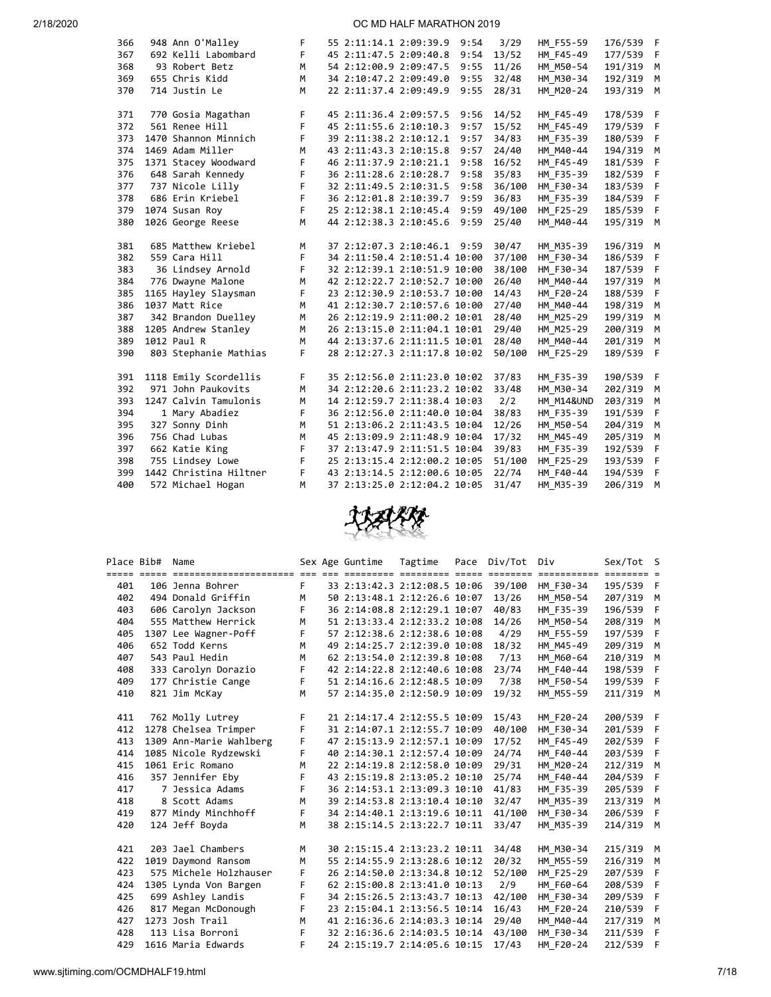| 366 | 948 Ann O'Malley       | F | 55 2:11:14.1 2:09:39.9 |                              | 9:54 | 3/29   | HM F55-59             | 176/539 F |              |
|-----|------------------------|---|------------------------|------------------------------|------|--------|-----------------------|-----------|--------------|
| 367 | 692 Kelli Labombard    | F | 45 2:11:47.5 2:09:40.8 |                              | 9:54 | 13/52  | HM F45-49             | 177/539 F |              |
| 368 | 93 Robert Betz         | M | 54 2:12:00.9 2:09:47.5 |                              | 9:55 | 11/26  | HM M50-54             | 191/319   | М            |
| 369 | 655 Chris Kidd         | М | 34 2:10:47.2 2:09:49.0 |                              | 9:55 | 32/48  | HM M30-34             | 192/319   | М            |
| 370 | 714 Justin Le          | M | 22 2:11:37.4 2:09:49.9 |                              | 9:55 | 28/31  | HM M20-24             | 193/319 M |              |
|     |                        |   |                        |                              |      |        |                       |           |              |
| 371 | 770 Gosia Magathan     | F | 45 2:11:36.4 2:09:57.5 |                              | 9:56 | 14/52  | HM F45-49             | 178/539 F |              |
| 372 | 561 Renee Hill         | F | 45 2:11:55.6 2:10:10.3 |                              | 9:57 | 15/52  | HM F45-49             | 179/539   | $\mathsf{F}$ |
| 373 | 1470 Shannon Minnich   | F | 39 2:11:38.2 2:10:12.1 |                              | 9:57 | 34/83  | HM F35-39             | 180/539   | - F          |
| 374 | 1469 Adam Miller       | M | 43 2:11:43.3 2:10:15.8 |                              | 9:57 | 24/40  | HM M40-44             | 194/319   | M            |
| 375 | 1371 Stacey Woodward   | F | 46 2:11:37.9 2:10:21.1 |                              | 9:58 | 16/52  | HM_F45-49             | 181/539   | - F          |
| 376 | 648 Sarah Kennedy      | F |                        | 36 2:11:28.6 2:10:28.7       | 9:58 | 35/83  | HM_F35-39             | 182/539   | $\mathsf{F}$ |
| 377 | 737 Nicole Lilly       | F | 32 2:11:49.5 2:10:31.5 |                              | 9:58 | 36/100 | HM F30-34             | 183/539   | - F          |
| 378 | 686 Erin Kriebel       | F |                        | 36 2:12:01.8 2:10:39.7       | 9:59 | 36/83  | HM F35-39             | 184/539   | $\mathsf{F}$ |
| 379 | 1074 Susan Roy         | F |                        | 25 2:12:38.1 2:10:45.4       | 9:59 | 49/100 | HM F25-29             | 185/539   | - F          |
| 380 | 1026 George Reese      | M | 44 2:12:38.3 2:10:45.6 |                              | 9:59 | 25/40  | HM M40-44             | 195/319   | M            |
|     |                        |   |                        |                              |      |        |                       |           |              |
| 381 | 685 Matthew Kriebel    | M |                        | 37 2:12:07.3 2:10:46.1 9:59  |      | 30/47  | HM M35-39             | 196/319 M |              |
| 382 | 559 Cara Hill          | F |                        | 34 2:11:50.4 2:10:51.4 10:00 |      | 37/100 | HM F30-34             | 186/539   | - F          |
| 383 | 36 Lindsey Arnold      | F |                        | 32 2:12:39.1 2:10:51.9 10:00 |      | 38/100 | HM F30-34             | 187/539   | - F          |
| 384 | 776 Dwayne Malone      | M |                        | 42 2:12:22.7 2:10:52.7 10:00 |      | 26/40  | HM M40-44             | 197/319   | M            |
| 385 | 1165 Hayley Slaysman   | F |                        | 23 2:12:30.9 2:10:53.7 10:00 |      | 14/43  | HM_F20-24             | 188/539   | -F           |
| 386 | 1037 Matt Rice         | M |                        | 41 2:12:30.7 2:10:57.6 10:00 |      | 27/40  | HM_M40-44             | 198/319   | М            |
| 387 | 342 Brandon Duelley    | М |                        | 26 2:12:19.9 2:11:00.2 10:01 |      | 28/40  | HM M25-29             | 199/319   | M            |
| 388 | 1205 Andrew Stanley    | М |                        | 26 2:13:15.0 2:11:04.1 10:01 |      | 29/40  | HM M25-29             | 200/319   | М            |
| 389 | 1012 Paul R            | М |                        | 44 2:13:37.6 2:11:11.5 10:01 |      | 28/40  | HM M40-44             | 201/319   | М            |
| 390 | 803 Stephanie Mathias  | F |                        | 28 2:12:27.3 2:11:17.8 10:02 |      | 50/100 | HM F25-29             | 189/539   | - F          |
|     |                        |   |                        |                              |      |        |                       |           |              |
| 391 | 1118 Emily Scordellis  | F |                        | 35 2:12:56.0 2:11:23.0 10:02 |      | 37/83  | HM F35-39             | 190/539   | - F          |
| 392 | 971 John Paukovits     | M |                        | 34 2:12:20.6 2:11:23.2 10:02 |      | 33/48  | HM M30-34             | 202/319   | М            |
| 393 | 1247 Calvin Tamulonis  | M |                        | 14 2:12:59.7 2:11:38.4 10:03 |      | 2/2    | <b>HM M14&amp;UND</b> | 203/319   | М            |
| 394 | 1 Mary Abadiez         | F |                        | 36 2:12:56.0 2:11:40.0 10:04 |      | 38/83  | HM F35-39             | 191/539   | F            |
| 395 | 327 Sonny Dinh         | M |                        | 51 2:13:06.2 2:11:43.5 10:04 |      | 12/26  | HM M50-54             | 204/319   | M            |
| 396 | 756 Chad Lubas         | M |                        | 45 2:13:09.9 2:11:48.9 10:04 |      | 17/32  | HM M45-49             | 205/319   | M            |
| 397 | 662 Katie King         | F |                        | 37 2:13:47.9 2:11:51.5 10:04 |      | 39/83  | HM_F35-39             | 192/539   | F            |
| 398 | 755 Lindsey Lowe       | F |                        | 25 2:13:15.4 2:12:00.2 10:05 |      | 51/100 | HM F25-29             | 193/539   | F            |
| 399 | 1442 Christina Hiltner | F |                        | 43 2:13:14.5 2:12:00.6 10:05 |      | 22/74  | HM F40-44             | 194/539   | F            |
| 400 | 572 Michael Hogan      | M |                        | 37 2:13:25.0 2:12:04.2 10:05 |      | 31/47  | HM M35-39             | 206/319   | м            |



| Place Bib# | Name                    |    | Sex Age Guntime              | Tagtime | Pace | Div/Tot | Div                     | Sex/Tot S |      |
|------------|-------------------------|----|------------------------------|---------|------|---------|-------------------------|-----------|------|
|            |                         |    |                              |         |      |         | ============ ======== = |           |      |
| 401        | 106 Jenna Bohrer        | F  | 33 2:13:42.3 2:12:08.5 10:06 |         |      | 39/100  | HM F30-34               | 195/539 F |      |
| 402        | 494 Donald Griffin      | M  | 50 2:13:48.1 2:12:26.6 10:07 |         |      | 13/26   | HM M50-54               | 207/319 M |      |
| 403        | 606 Carolyn Jackson     | F  | 36 2:14:08.8 2:12:29.1 10:07 |         |      | 40/83   | HM F35-39               | 196/539   | $-F$ |
| 404        | 555 Matthew Herrick     | M  | 51 2:13:33.4 2:12:33.2 10:08 |         |      | 14/26   | HM M50-54               | 208/319   | M    |
| 405        | 1307 Lee Wagner-Poff    | F  | 57 2:12:38.6 2:12:38.6 10:08 |         |      | 4/29    | HM F55-59               | 197/539 F |      |
| 406        | 652 Todd Kerns          | M  | 49 2:14:25.7 2:12:39.0 10:08 |         |      | 18/32   | HM M45-49               | 209/319 M |      |
| 407        | 543 Paul Hedin          | M  | 62 2:13:54.0 2:12:39.8 10:08 |         |      | 7/13    | HM M60-64               | 210/319 M |      |
| 408        | 333 Carolyn Dorazio     | F  | 42 2:14:22.8 2:12:40.6 10:08 |         |      | 23/74   | HM F40-44               | 198/539 F |      |
| 409        | 177 Christie Cange      | F  | 51 2:14:16.6 2:12:48.5 10:09 |         |      | 7/38    | HM F50-54               | 199/539 F |      |
| 410        | 821 Jim McKay           | M  | 57 2:14:35.0 2:12:50.9 10:09 |         |      | 19/32   | HM M55-59               | 211/319   | M    |
|            |                         |    |                              |         |      |         |                         |           |      |
| 411        | 762 Molly Lutrey        | F  | 21 2:14:17.4 2:12:55.5 10:09 |         |      | 15/43   | HM F20-24               | 200/539 F |      |
| 412        | 1278 Chelsea Trimper    | F  | 31 2:14:07.1 2:12:55.7 10:09 |         |      | 40/100  | HM F30-34               | 201/539 F |      |
| 413        | 1309 Ann-Marie Wahlberg | F  | 47 2:15:13.9 2:12:57.1 10:09 |         |      | 17/52   | HM F45-49               | 202/539 F |      |
| 414        | 1085 Nicole Rydzewski   | F. | 40 2:14:30.1 2:12:57.4 10:09 |         |      | 24/74   | HM F40-44               | 203/539 F |      |
| 415        | 1061 Eric Romano        | M  | 22 2:14:19.8 2:12:58.0 10:09 |         |      | 29/31   | HM M20-24               | 212/319 M |      |
| 416        | 357 Jennifer Eby        | F  | 43 2:15:19.8 2:13:05.2 10:10 |         |      | 25/74   | HM F40-44               | 204/539 F |      |
| 417        | 7 Jessica Adams         | F  | 36 2:14:53.1 2:13:09.3 10:10 |         |      | 41/83   | HM F35-39               | 205/539 F |      |
| 418        | 8 Scott Adams           | M  | 39 2:14:53.8 2:13:10.4 10:10 |         |      | 32/47   | HM M35-39               | 213/319   | M    |
| 419        | 877 Mindy Minchhoff     | F  | 34 2:14:40.1 2:13:19.6 10:11 |         |      | 41/100  | HM F30-34               | 206/539 F |      |
| 420        | 124 Jeff Boyda          | M  | 38 2:15:14.5 2:13:22.7 10:11 |         |      | 33/47   | HM M35-39               | 214/319 M |      |
|            |                         |    |                              |         |      |         |                         |           |      |
| 421        | 203 Jael Chambers       | M  | 30 2:15:15.4 2:13:23.2 10:11 |         |      | 34/48   | HM M30-34               | 215/319 M |      |
| 422        | 1019 Daymond Ransom     | M  | 55 2:14:55.9 2:13:28.6 10:12 |         |      | 20/32   | HM M55-59               | 216/319 M |      |
| 423        | 575 Michele Holzhauser  | F  | 26 2:14:50.0 2:13:34.8 10:12 |         |      | 52/100  | HM F25-29               | 207/539 F |      |
| 424        | 1305 Lynda Von Bargen   | F  | 62 2:15:00.8 2:13:41.0 10:13 |         |      | 2/9     | HM F60-64               | 208/539 F |      |
| 425        | 699 Ashley Landis       | F  | 34 2:15:26.5 2:13:43.7 10:13 |         |      | 42/100  | HM F30-34               | 209/539 F |      |
| 426        | 817 Megan McDonough     | F  | 23 2:15:04.1 2:13:56.5 10:14 |         |      | 16/43   | HM F20-24               | 210/539 F |      |
| 427        | 1273 Josh Trail         | M  | 41 2:16:36.6 2:14:03.3 10:14 |         |      | 29/40   | HM M40-44               | 217/319 M |      |
| 428        | 113 Lisa Borroni        | E  | 32 2:16:36.6 2:14:03.5 10:14 |         |      | 43/100  | HM F30-34               | 211/539 F |      |
| 429        | 1616 Maria Edwards      | F  | 24 2:15:19.7 2:14:05.6 10:15 |         |      | 17/43   | HM F20-24               | 212/539   | - F  |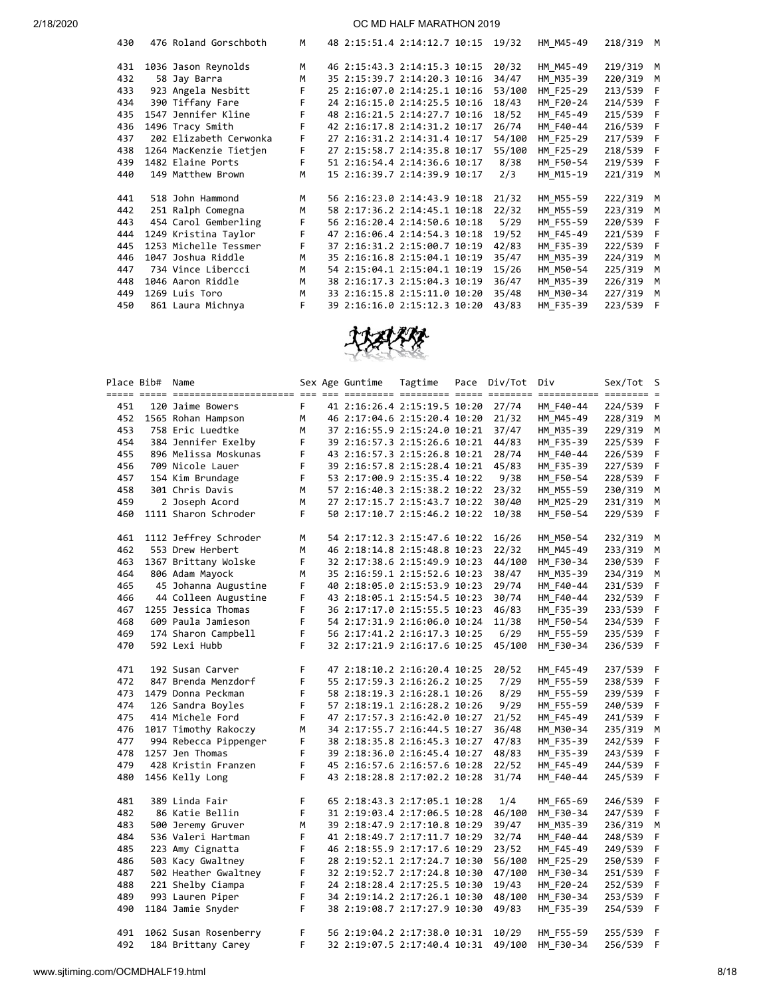| 430 | 476 Roland Gorschboth  | M  |  | 48 2:15:51.4 2:14:12.7 10:15 | 19/32  | HM M45-49 | 218/319 M |     |
|-----|------------------------|----|--|------------------------------|--------|-----------|-----------|-----|
| 431 | 1036 Jason Reynolds    | M  |  | 46 2:15:43.3 2:14:15.3 10:15 | 20/32  | HM M45-49 | 219/319 M |     |
| 432 | 58 Jay Barra           | M  |  | 35 2:15:39.7 2:14:20.3 10:16 | 34/47  | HM M35-39 | 220/319   | M   |
| 433 | 923 Angela Nesbitt     | F. |  | 25 2:16:07.0 2:14:25.1 10:16 | 53/100 | HM F25-29 | 213/539 F |     |
| 434 | 390 Tiffany Fare       | F. |  | 24 2:16:15.0 2:14:25.5 10:16 | 18/43  | HM F20-24 | 214/539 F |     |
| 435 | 1547 Jennifer Kline    | F. |  | 48 2:16:21.5 2:14:27.7 10:16 | 18/52  | HM F45-49 | 215/539 F |     |
| 436 | 1496 Tracy Smith       | F. |  | 42 2:16:17.8 2:14:31.2 10:17 | 26/74  | HM F40-44 | 216/539 F |     |
| 437 | 202 Elizabeth Cerwonka | F  |  | 27 2:16:31.2 2:14:31.4 10:17 | 54/100 | HM F25-29 | 217/539 F |     |
| 438 | 1264 MacKenzie Tietjen | F. |  | 27 2:15:58.7 2:14:35.8 10:17 | 55/100 | HM F25-29 | 218/539 F |     |
| 439 | 1482 Elaine Ports      | F  |  | 51 2:16:54.4 2:14:36.6 10:17 | 8/38   | HM F50-54 | 219/539   | - F |
| 440 | 149 Matthew Brown      | M  |  | 15 2:16:39.7 2:14:39.9 10:17 | 2/3    | HM M15-19 | 221/319   | M   |
| 441 | 518 John Hammond       | M  |  | 56 2:16:23.0 2:14:43.9 10:18 | 21/32  | HM M55-59 | 222/319 M |     |
| 442 | 251 Ralph Comegna      | M  |  | 58 2:17:36.2 2:14:45.1 10:18 | 22/32  | HM M55-59 | 223/319   | M   |
| 443 | 454 Carol Gemberling   | F  |  | 56 2:16:20.4 2:14:50.6 10:18 | 5/29   | HM F55-59 | 220/539 F |     |
| 444 | 1249 Kristina Taylor   | F  |  | 47 2:16:06.4 2:14:54.3 10:18 | 19/52  | HM F45-49 | 221/539 F |     |
| 445 | 1253 Michelle Tessmer  | F. |  | 37 2:16:31.2 2:15:00.7 10:19 | 42/83  | HM F35-39 | 222/539 F |     |
| 446 | 1047 Joshua Riddle     | M  |  | 35 2:16:16.8 2:15:04.1 10:19 | 35/47  | HM M35-39 | 224/319   | M   |
| 447 | 734 Vince Libercci     | M  |  | 54 2:15:04.1 2:15:04.1 10:19 | 15/26  | HM M50-54 | 225/319   | M   |
| 448 | 1046 Aaron Riddle      | M  |  | 38 2:16:17.3 2:15:04.3 10:19 | 36/47  | HM M35-39 | 226/319   | M   |
| 449 | 1269 Luis Toro         | M  |  | 33 2:16:15.8 2:15:11.0 10:20 | 35/48  | HM M30-34 | 227/319   | M   |
| 450 | 861 Laura Michnya      | F. |  | 39 2:16:16.0 2:15:12.3 10:20 | 43/83  | HM F35-39 | 223/539   | - F |



|     | Place Bib# Name |                       |              | Sex Age Guntime              | Tagtime | Pace | Div/Tot Div |                        | Sex/Tot S |             |
|-----|-----------------|-----------------------|--------------|------------------------------|---------|------|-------------|------------------------|-----------|-------------|
| 451 |                 | 120 Jaime Bowers      | F.           | 41 2:16:26.4 2:15:19.5 10:20 |         |      | 27/74       | HM F40-44              | 224/539 F |             |
| 452 |                 | 1565 Rohan Hampson    | М            | 46 2:17:04.6 2:15:20.4 10:20 |         |      | 21/32       | HM M45-49              | 228/319   | м           |
| 453 |                 | 758 Eric Luedtke      | M            | 37 2:16:55.9 2:15:24.0 10:21 |         |      | 37/47       | HM M35-39              | 229/319   | м           |
| 454 |                 | 384 Jennifer Exelby   | F            | 39 2:16:57.3 2:15:26.6 10:21 |         |      | 44/83       | HM F35-39              | 225/539   | $\mathsf F$ |
| 455 |                 | 896 Melissa Moskunas  | F            | 43 2:16:57.3 2:15:26.8 10:21 |         |      | 28/74       | HM F40-44              | 226/539   | F           |
| 456 |                 | 709 Nicole Lauer      | $\mathsf{F}$ | 39 2:16:57.8 2:15:28.4 10:21 |         |      | 45/83       | HM F35-39              | 227/539   | F           |
| 457 |                 | 154 Kim Brundage      | F.           | 53 2:17:00.9 2:15:35.4 10:22 |         |      | 9/38        | HM_F50-54              | 228/539   | F           |
| 458 |                 | 301 Chris Davis       | M            | 57 2:16:40.3 2:15:38.2 10:22 |         |      | 23/32       | HM_M55-59              | 230/319 M |             |
| 459 |                 | 2 Joseph Acord        | M            | 27 2:17:15.7 2:15:43.7 10:22 |         |      | 30/40       | HM M25-29              | 231/319 M |             |
| 460 |                 | 1111 Sharon Schroder  | F.           | 50 2:17:10.7 2:15:46.2 10:22 |         |      | 10/38       | HM F50-54              | 229/539   | - F         |
| 461 |                 | 1112 Jeffrey Schroder | M            | 54 2:17:12.3 2:15:47.6 10:22 |         |      | 16/26       | HM M50-54              | 232/319 M |             |
| 462 |                 | 553 Drew Herbert      | М            | 46 2:18:14.8 2:15:48.8 10:23 |         |      | 22/32       | HM_M45-49              | 233/319   | M           |
| 463 |                 | 1367 Brittany Wolske  | F            | 32 2:17:38.6 2:15:49.9 10:23 |         |      | 44/100      | HM F30-34              | 230/539   | F           |
| 464 |                 | 806 Adam Mayock       | M            | 35 2:16:59.1 2:15:52.6 10:23 |         |      | 38/47       | HM M35-39              | 234/319   | M           |
| 465 |                 | 45 Johanna Augustine  | F            | 40 2:18:05.0 2:15:53.9 10:23 |         |      | 29/74       | HM F40-44              | 231/539   | F           |
| 466 |                 | 44 Colleen Augustine  | F            | 43 2:18:05.1 2:15:54.5 10:23 |         |      | 30/74       | HM_F40-44              | 232/539 F |             |
| 467 |                 | 1255 Jessica Thomas   | F.           | 36 2:17:17.0 2:15:55.5 10:23 |         |      | 46/83       | HM F35-39              | 233/539 F |             |
| 468 |                 | 609 Paula Jamieson    | F            | 54 2:17:31.9 2:16:06.0 10:24 |         |      | 11/38       | HM_F50-54              | 234/539 F |             |
| 469 |                 | 174 Sharon Campbell   | F            | 56 2:17:41.2 2:16:17.3 10:25 |         |      | 6/29        | HM F55-59              | 235/539 F |             |
| 470 |                 | 592 Lexi Hubb         | F.           | 32 2:17:21.9 2:16:17.6 10:25 |         |      | 45/100      | HM F30-34              | 236/539 F |             |
|     |                 |                       |              |                              |         |      |             |                        |           |             |
| 471 |                 | 192 Susan Carver      | $\mathsf F$  | 47 2:18:10.2 2:16:20.4 10:25 |         |      | 20/52       | HM F45-49              | 237/539 F |             |
| 472 |                 | 847 Brenda Menzdorf   | $\mathsf F$  | 55 2:17:59.3 2:16:26.2 10:25 |         |      | 7/29        | HM F55-59              | 238/539 F |             |
| 473 |                 | 1479 Donna Peckman    | $\mathsf F$  | 58 2:18:19.3 2:16:28.1 10:26 |         |      | 8/29        | HM F55-59              | 239/539   | F           |
| 474 |                 | 126 Sandra Boyles     | F            | 57 2:18:19.1 2:16:28.2 10:26 |         |      | 9/29        | HM_F55-59              | 240/539 F |             |
| 475 |                 | 414 Michele Ford      | F            | 47 2:17:57.3 2:16:42.0 10:27 |         |      | 21/52       | HM F45-49              | 241/539   | F           |
| 476 |                 | 1017 Timothy Rakoczy  | M            | 34 2:17:55.7 2:16:44.5 10:27 |         |      | 36/48       | HM M30-34              | 235/319 M |             |
| 477 |                 | 994 Rebecca Pippenger | $\mathsf F$  | 38 2:18:35.8 2:16:45.3 10:27 |         |      | 47/83       | HM F35-39              | 242/539   | F           |
| 478 |                 | 1257 Jen Thomas       | F            | 39 2:18:36.0 2:16:45.4 10:27 |         |      | 48/83       | HM F35-39              | 243/539   | - F         |
| 479 |                 | 428 Kristin Franzen   | $\mathsf F$  | 45 2:16:57.6 2:16:57.6 10:28 |         |      | 22/52       | HM F45-49              | 244/539   | F           |
| 480 |                 | 1456 Kelly Long       | F            | 43 2:18:28.8 2:17:02.2 10:28 |         |      | 31/74       | HM_F40-44              | 245/539   | -F          |
| 481 |                 | 389 Linda Fair        | $\mathsf F$  | 65 2:18:43.3 2:17:05.1 10:28 |         |      | 1/4         | HM_F65-69              | 246/539 F |             |
| 482 |                 | 86 Katie Bellin       | $\mathsf F$  | 31 2:19:03.4 2:17:06.5 10:28 |         |      | 46/100      | HM_F30-34              | 247/539 F |             |
| 483 |                 | 500 Jeremy Gruver     | M            | 39 2:18:47.9 2:17:10.8 10:29 |         |      | 39/47       | HM M35-39              | 236/319   | M           |
| 484 |                 | 536 Valeri Hartman    | F            | 41 2:18:49.7 2:17:11.7 10:29 |         |      | 32/74       | HM F40-44              | 248/539 F |             |
| 485 |                 | 223 Amy Cignatta      | F            | 46 2:18:55.9 2:17:17.6 10:29 |         |      | 23/52       | HM_F45-49              | 249/539   | F           |
| 486 |                 | 503 Kacy Gwaltney     | F            | 28 2:19:52.1 2:17:24.7 10:30 |         |      | 56/100      | HM F25-29              | 250/539   | F           |
| 487 |                 | 502 Heather Gwaltney  | $\mathsf F$  | 32 2:19:52.7 2:17:24.8 10:30 |         |      | 47/100      | HM_F30-34              | 251/539   | - F         |
| 488 |                 | 221 Shelby Ciampa     | F            | 24 2:18:28.4 2:17:25.5 10:30 |         |      | 19/43       | HM F20-24              | 252/539   | F           |
| 489 |                 | 993 Lauren Piper      | $\mathsf{F}$ | 34 2:19:14.2 2:17:26.1 10:30 |         |      | 48/100      | HM F30-34              | 253/539   | $\mathsf F$ |
| 490 |                 | 1184 Jamie Snyder     | F.           | 38 2:19:08.7 2:17:27.9 10:30 |         |      | 49/83       | HM_F35-39              | 254/539 F |             |
| 491 |                 | 1062 Susan Rosenberry | F            | 56 2:19:04.2 2:17:38.0 10:31 |         |      | 10/29       |                        | 255/539 F |             |
| 492 |                 | 184 Brittany Carey    | F            | 32 2:19:07.5 2:17:40.4 10:31 |         |      | 49/100      | HM F55-59<br>HM F30-34 | 256/539 F |             |
|     |                 |                       |              |                              |         |      |             |                        |           |             |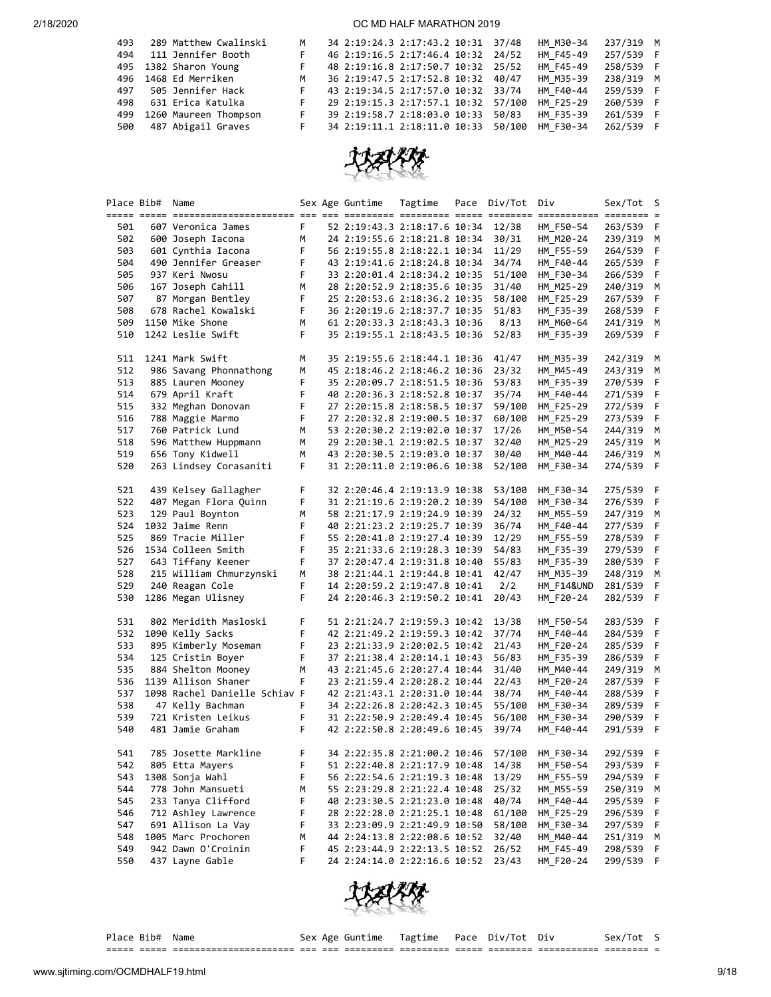| 289 Matthew Cwalinski | M                                             |  |                              | HM M30-34                                                                                                                                                                                                                                                         | 237/319 M |  |
|-----------------------|-----------------------------------------------|--|------------------------------|-------------------------------------------------------------------------------------------------------------------------------------------------------------------------------------------------------------------------------------------------------------------|-----------|--|
| 111 Jennifer Booth    | F.                                            |  |                              | HM F45-49                                                                                                                                                                                                                                                         | 257/539 F |  |
|                       | F.                                            |  |                              | HM F45-49                                                                                                                                                                                                                                                         | 258/539 F |  |
|                       | M                                             |  |                              | HM M35-39                                                                                                                                                                                                                                                         | 238/319 M |  |
| 505 Jennifer Hack     | F.                                            |  |                              | HM F40-44                                                                                                                                                                                                                                                         | 259/539 F |  |
| 631 Erica Katulka     |                                               |  |                              | HM F25-29                                                                                                                                                                                                                                                         | 260/539 F |  |
| 1260 Maureen Thompson | F.                                            |  | 50/83                        | HM F35-39                                                                                                                                                                                                                                                         | 261/539 F |  |
| 487 Abigail Graves    |                                               |  | 50/100                       | HM F30-34                                                                                                                                                                                                                                                         | 262/539 F |  |
|                       | 495 1382 Sharon Young<br>496 1468 Ed Merriken |  | 39 2:19:58.7 2:18:03.0 10:33 | 34 2:19:24.3 2:17:43.2 10:31 37/48<br>46 2:19:16.5 2:17:46.4 10:32 24/52<br>48 2:19:16.8 2:17:50.7 10:32 25/52<br>36 2:19:47.5 2:17:52.8 10:32 40/47<br>43 2:19:34.5 2:17:57.0 10:32 33/74<br>29 2:19:15.3 2:17:57.1 10:32 57/100<br>34 2:19:11.1 2:18:11.0 10:33 |           |  |



|            | Place Bib# Name |                                            |    | Sex Age Guntime              | Tagtime | Pace | Div/Tot Div     |                        | Sex/Tot S              |     |
|------------|-----------------|--------------------------------------------|----|------------------------------|---------|------|-----------------|------------------------|------------------------|-----|
| 501        |                 | 607 Veronica James                         | F. | 52 2:19:43.3 2:18:17.6 10:34 |         |      | 12/38           | HM F50-54              | 263/539 F              |     |
| 502        |                 |                                            | M  |                              |         |      | 30/31           |                        |                        |     |
|            |                 | 600 Joseph Iacona                          | F  | 24 2:19:55.6 2:18:21.8 10:34 |         |      | 11/29           | HM M20-24              | 239/319 M<br>264/539 F |     |
| 503<br>504 |                 | 601 Cynthia Iacona<br>490 Jennifer Greaser | F  | 56 2:19:55.8 2:18:22.1 10:34 |         |      |                 | HM_F55-59<br>HM_F40-44 | 265/539 F              |     |
| 505        |                 | 937 Keri Nwosu                             | F  | 43 2:19:41.6 2:18:24.8 10:34 |         |      | 34/74<br>51/100 |                        | 266/539 F              |     |
|            |                 | 167 Joseph Cahill                          |    | 33 2:20:01.4 2:18:34.2 10:35 |         |      |                 | HM F30-34              |                        |     |
| 506        |                 |                                            | M  | 28 2:20:52.9 2:18:35.6 10:35 |         |      | 31/40           | HM M25-29              | 240/319 M              |     |
| 507        |                 | 87 Morgan Bentley                          | F  | 25 2:20:53.6 2:18:36.2 10:35 |         |      | 58/100          | HM_F25-29              | 267/539                | - F |
| 508        |                 | 678 Rachel Kowalski                        | F. | 36 2:20:19.6 2:18:37.7 10:35 |         |      | 51/83           | HM_F35-39              | 268/539                | F   |
| 509        |                 | 1150 Mike Shone                            | М  | 61 2:20:33.3 2:18:43.3 10:36 |         |      | 8/13            | HM M60-64              | 241/319 M              |     |
| 510        |                 | 1242 Leslie Swift                          | F. | 35 2:19:55.1 2:18:43.5 10:36 |         |      | 52/83           | HM_F35-39              | 269/539 F              |     |
| 511        |                 | 1241 Mark Swift                            | М  | 35 2:19:55.6 2:18:44.1 10:36 |         |      | 41/47           | HM M35-39              | 242/319 M              |     |
| 512        |                 | 986 Savang Phonnathong                     | М  | 45 2:18:46.2 2:18:46.2 10:36 |         |      | 23/32           | HM_M45-49              | 243/319                | M   |
| 513        |                 | 885 Lauren Mooney                          | F  | 35 2:20:09.7 2:18:51.5 10:36 |         |      | 53/83           | HM_F35-39              | 270/539 F              |     |
| 514        |                 | 679 April Kraft                            | F  | 40 2:20:36.3 2:18:52.8 10:37 |         |      | 35/74           | HM_F40-44              | 271/539 F              |     |
| 515        |                 | 332 Meghan Donovan                         | F  | 27 2:20:15.8 2:18:58.5 10:37 |         |      | 59/100          | HM_F25-29              | 272/539 F              |     |
| 516        |                 | 788 Maggie Marmo                           | F  | 27 2:20:32.8 2:19:00.5 10:37 |         |      | 60/100          | HM_F25-29              | 273/539 F              |     |
| 517        |                 | 760 Patrick Lund                           | M  | 53 2:20:30.2 2:19:02.0 10:37 |         |      | 17/26           | HM M50-54              | 244/319 M              |     |
| 518        |                 | 596 Matthew Huppmann                       | M  | 29 2:20:30.1 2:19:02.5 10:37 |         |      | 32/40           | HM_M25-29              | 245/319                | M   |
| 519        |                 | 656 Tony Kidwell                           | М  | 43 2:20:30.5 2:19:03.0 10:37 |         |      | 30/40           | HM M40-44              | 246/319 M              |     |
| 520        |                 | 263 Lindsey Corasaniti                     | F  | 31 2:20:11.0 2:19:06.6 10:38 |         |      | 52/100          | HM_F30-34              | 274/539 F              |     |
| 521        |                 | 439 Kelsey Gallagher                       | F  | 32 2:20:46.4 2:19:13.9 10:38 |         |      | 53/100          | HM F30-34              | 275/539 F              |     |
| 522        |                 | 407 Megan Flora Quinn                      | F  | 31 2:21:19.6 2:19:20.2 10:39 |         |      | 54/100          | HM_F30-34              | 276/539                | - F |
| 523        |                 | 129 Paul Boynton                           | М  | 58 2:21:17.9 2:19:24.9 10:39 |         |      | 24/32           | HM M55-59              | 247/319 M              |     |
| 524        |                 | 1032 Jaime Renn                            | F  | 40 2:21:23.2 2:19:25.7 10:39 |         |      | 36/74           | HM_F40-44              | 277/539 F              |     |
| 525        |                 | 869 Tracie Miller                          | F  | 55 2:20:41.0 2:19:27.4 10:39 |         |      | 12/29           | HM_F55-59              | 278/539                | - F |
| 526        |                 | 1534 Colleen Smith                         | F  | 35 2:21:33.6 2:19:28.3 10:39 |         |      | 54/83           | HM_F35-39              | 279/539 F              |     |
| 527        |                 | 643 Tiffany Keener                         | F  | 37 2:20:47.4 2:19:31.8 10:40 |         |      | 55/83           | HM_F35-39              | 280/539 F              |     |
| 528        |                 | 215 William Chmurzynski                    | М  | 38 2:21:44.1 2:19:44.8 10:41 |         |      | 42/47           | HM M35-39              | 248/319 M              |     |
| 529        |                 | 240 Reagan Cole                            | F. | 14 2:20:59.2 2:19:47.8 10:41 |         |      | 2/2             | HM F14&UND             | 281/539                | - F |
| 530        |                 | 1286 Megan Ulisney                         | F. | 24 2:20:46.3 2:19:50.2 10:41 |         |      | 20/43           | HM F20-24              | 282/539 F              |     |
| 531        |                 | 802 Meridith Masloski                      | F  | 51 2:21:24.7 2:19:59.3 10:42 |         |      | 13/38           | HM F50-54              | 283/539 F              |     |
| 532        |                 | 1090 Kelly Sacks                           | F  | 42 2:21:49.2 2:19:59.3 10:42 |         |      | 37/74           | HM_F40-44              | 284/539 F              |     |
| 533        |                 | 895 Kimberly Moseman                       | F  | 23 2:21:33.9 2:20:02.5 10:42 |         |      | 21/43           | HM F20-24              | 285/539 F              |     |
| 534        |                 | 125 Cristin Boyer                          | F  | 37 2:21:38.4 2:20:14.1 10:43 |         |      | 56/83           | HM_F35-39              | 286/539                | F   |
| 535        |                 | 884 Shelton Mooney                         | М  | 43 2:21:45.6 2:20:27.4 10:44 |         |      | 31/40           | HM_M40-44              | 249/319 M              |     |
| 536        |                 | 1139 Allison Shaner                        | F  | 23 2:21:59.4 2:20:28.2 10:44 |         |      | 22/43           | HM_F20-24              | 287/539 F              |     |
| 537        |                 | 1098 Rachel Danielle Schiav F              |    | 42 2:21:43.1 2:20:31.0 10:44 |         |      | 38/74           | HM_F40-44              | 288/539 F              |     |
| 538        |                 | 47 Kelly Bachman                           | F  | 34 2:22:26.8 2:20:42.3 10:45 |         |      | 55/100          | HM F30-34              | 289/539 F              |     |
| 539        |                 | 721 Kristen Leikus                         | F  | 31 2:22:50.9 2:20:49.4 10:45 |         |      | 56/100          | HM_F30-34              | 290/539                | - F |
| 540        |                 | 481 Jamie Graham                           | F. | 42 2:22:50.8 2:20:49.6 10:45 |         |      | 39/74           | HM_F40-44              | 291/539                | - F |
|            |                 |                                            |    |                              |         |      |                 |                        |                        |     |
| 541        |                 | 785 Josette Markline                       | F. | 34 2:22:35.8 2:21:00.2 10:46 |         |      | 57/100          | HM_F30-34              | 292/539 F              |     |
| 542        |                 | 805 Etta Mayers                            | F  | 51 2:22:40.8 2:21:17.9 10:48 |         |      | 14/38           | HM_F50-54              | 293/539                | -F  |
| 543        |                 | 1308 Sonja Wahl                            | F  | 56 2:22:54.6 2:21:19.3 10:48 |         |      | 13/29           | HM_F55-59              | 294/539 F              |     |
| 544        |                 | 778 John Mansueti                          | М  | 55 2:23:29.8 2:21:22.4 10:48 |         |      | 25/32           | HM_M55-59              | 250/319                | M   |
| 545        |                 | 233 Tanya Clifford                         | F  | 40 2:23:30.5 2:21:23.0 10:48 |         |      | 40/74           | HM_F40-44              | 295/539                | F   |
| 546        |                 | 712 Ashley Lawrence                        | F  | 28 2:22:28.0 2:21:25.1 10:48 |         |      | 61/100          | HM F25-29              | 296/539                | F   |
| 547        |                 | 691 Allison La Vay                         | F  | 33 2:23:09.9 2:21:49.9 10:50 |         |      | 58/100          | HM_F30-34              | 297/539                | F   |
| 548        |                 | 1005 Marc Prochoren                        | М  | 44 2:24:13.8 2:22:08.6 10:52 |         |      | 32/40           | HM_M40-44              | 251/319 M              |     |
| 549        |                 | 942 Dawn O'Croinin                         | F  | 45 2:23:44.9 2:22:13.5 10:52 |         |      | 26/52           | HM F45-49              | 298/539                | -F  |
| 550        |                 | 437 Layne Gable                            | F  | 24 2:24:14.0 2:22:16.6 10:52 |         |      | 23/43           | HM F20-24              | 299/539 F              |     |



|  | Р⊥асе вір# | Nam |
|--|------------|-----|
|  |            |     |

Place Bib# Name Sex Age Guntime Tagtime Pace Div/Tot Div Sex/Tot S

===== ===== ====================== === === ========= ========= ===== ======== =========== ======== =

www.sjtiming.com/OCMDHALF19.html 9/18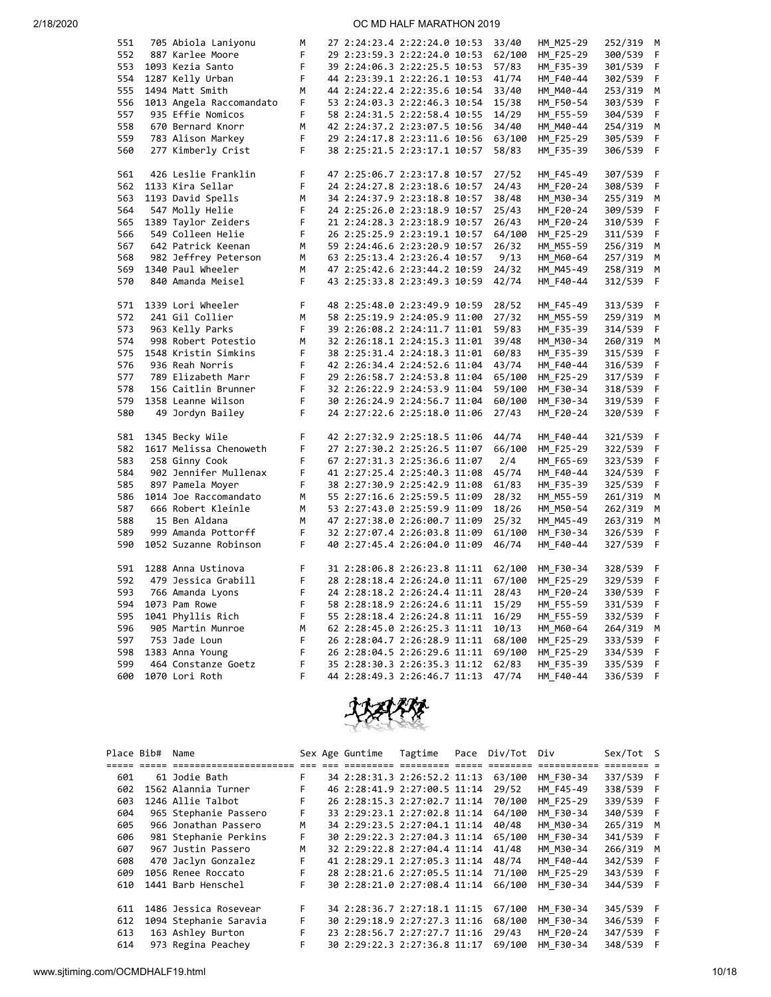| 551 | 705 Abiola Laniyonu      | М      |  | 27 2:24:23.4 2:22:24.0 10:53 | 33/40  | HM_M25-29 | 252/319 | M  |
|-----|--------------------------|--------|--|------------------------------|--------|-----------|---------|----|
| 552 | 887 Karlee Moore         | F      |  | 29 2:23:59.3 2:22:24.0 10:53 | 62/100 | HM F25-29 | 300/539 | F  |
| 553 | 1093 Kezia Santo         | F      |  | 39 2:24:06.3 2:22:25.5 10:53 | 57/83  | HM F35-39 | 301/539 | F  |
| 554 | 1287 Kelly Urban         | F      |  | 44 2:23:39.1 2:22:26.1 10:53 | 41/74  | HM_F40-44 | 302/539 | F  |
| 555 | 1494 Matt Smith          | М      |  | 44 2:24:22.4 2:22:35.6 10:54 | 33/40  | HM M40-44 | 253/319 | М  |
| 556 | 1013 Angela Raccomandato | F      |  | 53 2:24:03.3 2:22:46.3 10:54 | 15/38  | HM F50-54 | 303/539 | F  |
| 557 | 935 Effie Nomicos        | F      |  | 58 2:24:31.5 2:22:58.4 10:55 | 14/29  | HM F55-59 | 304/539 | F  |
| 558 | 670 Bernard Knorr        | M      |  | 42 2:24:37.2 2:23:07.5 10:56 | 34/40  | HM_M40-44 | 254/319 | M  |
| 559 | 783 Alison Markey        | F      |  | 29 2:24:17.8 2:23:11.6 10:56 | 63/100 | HM F25-29 | 305/539 | F  |
| 560 | 277 Kimberly Crist       | F      |  | 38 2:25:21.5 2:23:17.1 10:57 | 58/83  | HM F35-39 | 306/539 | F  |
|     |                          |        |  |                              |        |           |         |    |
| 561 | 426 Leslie Franklin      | F      |  | 47 2:25:06.7 2:23:17.8 10:57 | 27/52  | HM_F45-49 | 307/539 | F  |
| 562 | 1133 Kira Sellar         | F      |  | 24 2:24:27.8 2:23:18.6 10:57 | 24/43  |           |         | F  |
|     |                          |        |  |                              |        | HM_F20-24 | 308/539 |    |
| 563 | 1193 David Spells        | М<br>F |  | 34 2:24:37.9 2:23:18.8 10:57 | 38/48  | HM M30-34 | 255/319 | М  |
| 564 | 547 Molly Helie          |        |  | 24 2:25:26.0 2:23:18.9 10:57 | 25/43  | HM F20-24 | 309/539 | F  |
| 565 | 1389 Taylor Zeiders      | F      |  | 21 2:24:28.3 2:23:18.9 10:57 | 26/43  | HM_F20-24 | 310/539 | F  |
| 566 | 549 Colleen Helie        | F      |  | 26 2:25:25.9 2:23:19.1 10:57 | 64/100 | HM_F25-29 | 311/539 | F  |
| 567 | 642 Patrick Keenan       | М      |  | 59 2:24:46.6 2:23:20.9 10:57 | 26/32  | HM M55-59 | 256/319 | М  |
| 568 | 982 Jeffrey Peterson     | М      |  | 63 2:25:13.4 2:23:26.4 10:57 | 9/13   | HM M60-64 | 257/319 | М  |
| 569 | 1340 Paul Wheeler        | М      |  | 47 2:25:42.6 2:23:44.2 10:59 | 24/32  | HM M45-49 | 258/319 | M  |
| 570 | 840 Amanda Meisel        | F      |  | 43 2:25:33.8 2:23:49.3 10:59 | 42/74  | HM_F40-44 | 312/539 | F  |
|     |                          |        |  |                              |        |           |         |    |
| 571 | 1339 Lori Wheeler        | F      |  | 48 2:25:48.0 2:23:49.9 10:59 | 28/52  | HM F45-49 | 313/539 | F  |
| 572 | 241 Gil Collier          | М      |  | 58 2:25:19.9 2:24:05.9 11:00 | 27/32  | HM_M55-59 | 259/319 | M  |
| 573 | 963 Kelly Parks          | F      |  | 39 2:26:08.2 2:24:11.7 11:01 | 59/83  | HM_F35-39 | 314/539 | F  |
| 574 | 998 Robert Potestio      | M      |  | 32 2:26:18.1 2:24:15.3 11:01 | 39/48  | HM M30-34 | 260/319 | М  |
| 575 | 1548 Kristin Simkins     | F      |  | 38 2:25:31.4 2:24:18.3 11:01 | 60/83  | HM F35-39 | 315/539 | F  |
| 576 | 936 Reah Norris          | F      |  | 42 2:26:34.4 2:24:52.6 11:04 | 43/74  | HM_F40-44 | 316/539 | F  |
| 577 | 789 Elizabeth Marr       | F      |  | 29 2:26:58.7 2:24:53.8 11:04 | 65/100 | HM_F25-29 | 317/539 | F  |
| 578 | 156 Caitlin Brunner      | F      |  | 32 2:26:22.9 2:24:53.9 11:04 | 59/100 | HM F30-34 | 318/539 | F  |
| 579 | 1358 Leanne Wilson       | F      |  | 30 2:26:24.9 2:24:56.7 11:04 | 60/100 | HM F30-34 | 319/539 | F  |
| 580 | 49 Jordyn Bailey         | F      |  | 24 2:27:22.6 2:25:18.0 11:06 | 27/43  | HM_F20-24 | 320/539 | F  |
|     |                          |        |  |                              |        |           |         |    |
| 581 | 1345 Becky Wile          | F      |  | 42 2:27:32.9 2:25:18.5 11:06 | 44/74  | HM F40-44 | 321/539 | -F |
| 582 | 1617 Melissa Chenoweth   | F      |  | 27 2:27:30.2 2:25:26.5 11:07 | 66/100 | HM_F25-29 | 322/539 | F  |
| 583 | 258 Ginny Cook           | F      |  | 67 2:27:31.3 2:25:36.6 11:07 | 2/4    | HM F65-69 | 323/539 | F  |
| 584 | 902 Jennifer Mullenax    | F      |  | 41 2:27:25.4 2:25:40.3 11:08 | 45/74  | HM_F40-44 | 324/539 | F  |
| 585 | 897 Pamela Moyer         | F      |  | 38 2:27:30.9 2:25:42.9 11:08 | 61/83  | HM F35-39 | 325/539 | F  |
| 586 | 1014 Joe Raccomandato    | М      |  | 55 2:27:16.6 2:25:59.5 11:09 | 28/32  | HM M55-59 | 261/319 | М  |
| 587 | 666 Robert Kleinle       | M      |  | 53 2:27:43.0 2:25:59.9 11:09 | 18/26  | HM M50-54 | 262/319 | М  |
| 588 | 15 Ben Aldana            | M      |  | 47 2:27:38.0 2:26:00.7 11:09 | 25/32  | HM M45-49 | 263/319 | М  |
| 589 | 999 Amanda Pottorff      | F      |  | 32 2:27:07.4 2:26:03.8 11:09 | 61/100 | HM F30-34 | 326/539 | F  |
| 590 | 1052 Suzanne Robinson    | F      |  | 40 2:27:45.4 2:26:04.0 11:09 | 46/74  | HM F40-44 | 327/539 | F  |
|     |                          |        |  |                              |        |           |         |    |
| 591 |                          | F      |  |                              |        |           |         |    |
| 592 | 1288 Anna Ustinova       | F      |  | 31 2:28:06.8 2:26:23.8 11:11 | 62/100 | HM_F30-34 | 328/539 | -F |
|     | 479 Jessica Grabill      |        |  | 28 2:28:18.4 2:26:24.0 11:11 | 67/100 | HM_F25-29 | 329/539 | F  |
| 593 | 766 Amanda Lyons         | F      |  | 24 2:28:18.2 2:26:24.4 11:11 | 28/43  | HM_F20-24 | 330/539 | F  |
| 594 | 1073 Pam Rowe            | F      |  | 58 2:28:18.9 2:26:24.6 11:11 | 15/29  | HM_F55-59 | 331/539 | F  |
| 595 | 1041 Phyllis Rich        | F      |  | 55 2:28:18.4 2:26:24.8 11:11 | 16/29  | HM_F55-59 | 332/539 | F  |
| 596 | 905 Martin Munroe        | M      |  | 62 2:28:45.0 2:26:25.3 11:11 | 10/13  | HM M60-64 | 264/319 | М  |
| 597 | 753 Jade Loun            | F      |  | 26 2:28:04.7 2:26:28.9 11:11 | 68/100 | HM_F25-29 | 333/539 | F  |
| 598 | 1383 Anna Young          | F      |  | 26 2:28:04.5 2:26:29.6 11:11 | 69/100 | HM_F25-29 | 334/539 | F  |
| 599 | 464 Constanze Goetz      | F      |  | 35 2:28:30.3 2:26:35.3 11:12 | 62/83  | HM F35-39 | 335/539 | F  |
| 600 | 1070 Lori Roth           | F      |  | 44 2:28:49.3 2:26:46.7 11:13 | 47/74  | HM F40-44 | 336/539 | F  |



| Place Bib# | Name                   |    | Sex Age Guntime              | Tagtime | Pace | Div/Tot | Div       | Sex/Tot S |     |
|------------|------------------------|----|------------------------------|---------|------|---------|-----------|-----------|-----|
|            |                        |    |                              |         |      |         |           |           |     |
| 601        | 61 Jodie Bath          | F. | 34 2:28:31.3 2:26:52.2 11:13 |         |      | 63/100  | HM F30-34 | 337/539 F |     |
| 602        | 1562 Alannia Turner    | F  | 46 2:28:41.9 2:27:00.5 11:14 |         |      | 29/52   | HM F45-49 | 338/539 F |     |
| 603        | 1246 Allie Talbot      | F  | 26 2:28:15.3 2:27:02.7 11:14 |         |      | 70/100  | HM F25-29 | 339/539 F |     |
| 604        | 965 Stephanie Passero  | F. | 33 2:29:23.1 2:27:02.8 11:14 |         |      | 64/100  | HM F30-34 | 340/539 F |     |
| 605        | 966 Jonathan Passero   | M  | 34 2:29:23.5 2:27:04.1 11:14 |         |      | 40/48   | HM M30-34 | 265/319 M |     |
| 606        | 981 Stephanie Perkins  | F  | 30 2:29:22.3 2:27:04.3 11:14 |         |      | 65/100  | HM F30-34 | 341/539   | - F |
| 607        | 967 Justin Passero     | M  | 32 2:29:22.8 2:27:04.4 11:14 |         |      | 41/48   | HM M30-34 | 266/319   | M   |
| 608        | 470 Jaclyn Gonzalez    | F. | 41 2:28:29.1 2:27:05.3 11:14 |         |      | 48/74   | HM F40-44 | 342/539 F |     |
| 609        | 1056 Renee Roccato     | F. | 28 2:28:21.6 2:27:05.5 11:14 |         |      | 71/100  | HM F25-29 | 343/539 F |     |
| 610        | 1441 Barb Henschel     | F  | 30 2:28:21.0 2:27:08.4 11:14 |         |      | 66/100  | HM F30-34 | 344/539 F |     |
| 611        | 1486 Jessica Rosevear  | F. | 34 2:28:36.7 2:27:18.1 11:15 |         |      | 67/100  | HM F30-34 | 345/539 F |     |
| 612        | 1094 Stephanie Saravia | F. | 30 2:29:18.9 2:27:27.3 11:16 |         |      | 68/100  | HM F30-34 | 346/539   | - F |
| 613        | 163 Ashley Burton      | F. | 23 2:28:56.7 2:27:27.7 11:16 |         |      | 29/43   | HM F20-24 | 347/539   | - F |
| 614        | 973 Regina Peachey     | F  | 30 2:29:22.3 2:27:36.8 11:17 |         |      | 69/100  | HM F30-34 | 348/539   | F   |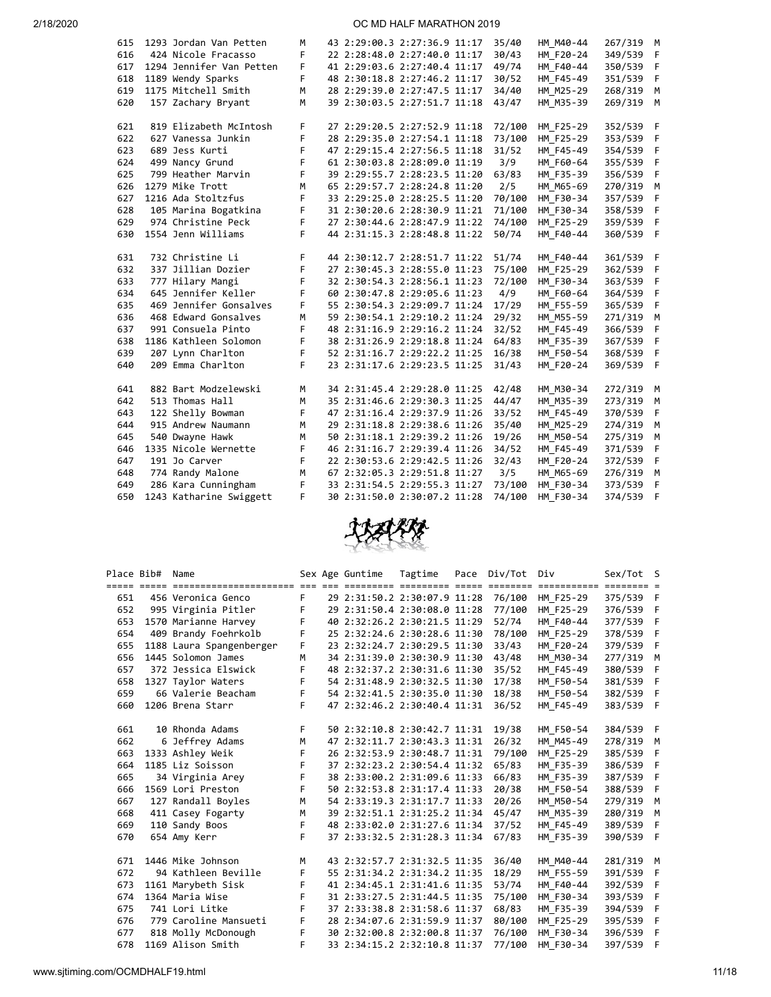| 615 | 1293 Jordan Van Petten   | м |  | 43 2:29:00.3 2:27:36.9 11:17 | 35/40  | HM M40-44 | 267/319 M |              |
|-----|--------------------------|---|--|------------------------------|--------|-----------|-----------|--------------|
| 616 | 424 Nicole Fracasso      | F |  | 22 2:28:48.0 2:27:40.0 11:17 | 30/43  | HM F20-24 | 349/539   | $-F$         |
| 617 | 1294 Jennifer Van Petten | F |  | 41 2:29:03.6 2:27:40.4 11:17 | 49/74  | HM F40-44 | 350/539   | - F          |
| 618 | 1189 Wendy Sparks        | F |  | 48 2:30:18.8 2:27:46.2 11:17 | 30/52  | HM F45-49 | 351/539   | -F           |
| 619 | 1175 Mitchell Smith      | M |  | 28 2:29:39.0 2:27:47.5 11:17 | 34/40  | HM M25-29 | 268/319   | M            |
| 620 | 157 Zachary Bryant       | M |  | 39 2:30:03.5 2:27:51.7 11:18 | 43/47  | HM_M35-39 | 269/319   | M            |
|     |                          |   |  |                              |        |           |           |              |
| 621 | 819 Elizabeth McIntosh   | F |  | 27 2:29:20.5 2:27:52.9 11:18 | 72/100 | HM F25-29 | 352/539   | - F          |
| 622 | 627 Vanessa Junkin       | F |  | 28 2:29:35.0 2:27:54.1 11:18 | 73/100 | HM F25-29 | 353/539   | $\mathsf{F}$ |
| 623 | 689 Jess Kurti           | F |  | 47 2:29:15.4 2:27:56.5 11:18 | 31/52  | HM_F45-49 | 354/539   | - F          |
| 624 | 499 Nancy Grund          | F |  | 61 2:30:03.8 2:28:09.0 11:19 | 3/9    | HM F60-64 | 355/539   | - F          |
| 625 | 799 Heather Marvin       | F |  | 39 2:29:55.7 2:28:23.5 11:20 | 63/83  | HM F35-39 | 356/539   | - F          |
| 626 | 1279 Mike Trott          | M |  | 65 2:29:57.7 2:28:24.8 11:20 | 2/5    | HM M65-69 | 270/319   | м            |
| 627 | 1216 Ada Stoltzfus       | F |  | 33 2:29:25.0 2:28:25.5 11:20 | 70/100 | HM F30-34 | 357/539   | F            |
| 628 | 105 Marina Bogatkina     | F |  | 31 2:30:20.6 2:28:30.9 11:21 | 71/100 | HM F30-34 | 358/539   | F            |
| 629 | 974 Christine Peck       | F |  | 27 2:30:44.6 2:28:47.9 11:22 | 74/100 | HM_F25-29 | 359/539   | -F           |
| 630 | 1554 Jenn Williams       | F |  | 44 2:31:15.3 2:28:48.8 11:22 | 50/74  | HM F40-44 | 360/539   | - F          |
|     |                          |   |  |                              |        |           |           |              |
| 631 | 732 Christine Li         | F |  | 44 2:30:12.7 2:28:51.7 11:22 | 51/74  | HM F40-44 | 361/539 F |              |
| 632 | 337 Jillian Dozier       | F |  | 27 2:30:45.3 2:28:55.0 11:23 | 75/100 | HM_F25-29 | 362/539   | - F          |
| 633 | 777 Hilary Mangi         | F |  | 32 2:30:54.3 2:28:56.1 11:23 | 72/100 | HM F30-34 | 363/539   | - F          |
| 634 | 645 Jennifer Keller      | F |  | 60 2:30:47.8 2:29:05.6 11:23 | 4/9    | HM F60-64 | 364/539 F |              |
| 635 | 469 Jennifer Gonsalves   | F |  | 55 2:30:54.3 2:29:09.7 11:24 | 17/29  | HM F55-59 | 365/539   | - F          |
| 636 | 468 Edward Gonsalves     | M |  | 59 2:30:54.1 2:29:10.2 11:24 | 29/32  | HM M55-59 | 271/319   | М            |
| 637 | 991 Consuela Pinto       | F |  | 48 2:31:16.9 2:29:16.2 11:24 | 32/52  | HM F45-49 | 366/539   | F            |
| 638 | 1186 Kathleen Solomon    | F |  | 38 2:31:26.9 2:29:18.8 11:24 | 64/83  | HM F35-39 | 367/539   | F            |
| 639 | 207 Lynn Charlton        | F |  | 52 2:31:16.7 2:29:22.2 11:25 | 16/38  | HM F50-54 | 368/539   | F            |
| 640 | 209 Emma Charlton        | F |  | 23 2:31:17.6 2:29:23.5 11:25 | 31/43  | HM F20-24 | 369/539   | - F          |
|     |                          |   |  |                              |        |           |           |              |
| 641 | 882 Bart Modzelewski     | M |  | 34 2:31:45.4 2:29:28.0 11:25 | 42/48  | HM M30-34 | 272/319   | М            |
| 642 | 513 Thomas Hall          | M |  | 35 2:31:46.6 2:29:30.3 11:25 | 44/47  | HM M35-39 | 273/319   | М            |
| 643 | 122 Shelly Bowman        | F |  | 47 2:31:16.4 2:29:37.9 11:26 | 33/52  | HM F45-49 | 370/539   | F            |
| 644 | 915 Andrew Naumann       | M |  | 29 2:31:18.8 2:29:38.6 11:26 | 35/40  | HM M25-29 | 274/319   | M            |
| 645 | 540 Dwayne Hawk          | M |  | 50 2:31:18.1 2:29:39.2 11:26 | 19/26  | HM M50-54 | 275/319   | М            |
| 646 | 1335 Nicole Wernette     | F |  | 46 2:31:16.7 2:29:39.4 11:26 | 34/52  | HM_F45-49 | 371/539   | F            |
| 647 | 191 Jo Carver            | F |  | 22 2:30:53.6 2:29:42.5 11:26 | 32/43  | HM F20-24 | 372/539   | F            |
| 648 | 774 Randy Malone         | M |  | 67 2:32:05.3 2:29:51.8 11:27 | 3/5    | HM M65-69 | 276/319   | м            |
| 649 | 286 Kara Cunningham      | F |  | 33 2:31:54.5 2:29:55.3 11:27 | 73/100 | HM F30-34 | 373/539   | F            |
| 650 | 1243 Katharine Swiggett  | F |  | 30 2:31:50.0 2:30:07.2 11:28 | 74/100 | HM F30-34 | 374/539   | $\mathsf{F}$ |
|     |                          |   |  |                              |        |           |           |              |



|     | Place Bib# Name |                          |    | Sex Age Guntime              | Tagtime | Pace Div/Tot Div |           | Sex/Tot S |     |
|-----|-----------------|--------------------------|----|------------------------------|---------|------------------|-----------|-----------|-----|
|     |                 |                          |    |                              |         |                  |           |           |     |
| 651 |                 | 456 Veronica Genco       | F. | 29 2:31:50.2 2:30:07.9 11:28 |         | 76/100           | HM F25-29 | 375/539 F |     |
| 652 |                 | 995 Virginia Pitler      | F  | 29 2:31:50.4 2:30:08.0 11:28 |         | 77/100           | HM_F25-29 | 376/539 F |     |
| 653 |                 | 1570 Marianne Harvey     | F  | 40 2:32:26.2 2:30:21.5 11:29 |         | 52/74            | HM F40-44 | 377/539 F |     |
| 654 |                 | 409 Brandy Foehrkolb     | F  | 25 2:32:24.6 2:30:28.6 11:30 |         | 78/100           | HM F25-29 | 378/539 F |     |
| 655 |                 | 1188 Laura Spangenberger | F  | 23 2:32:24.7 2:30:29.5 11:30 |         | 33/43            | HM F20-24 | 379/539 F |     |
| 656 |                 | 1445 Solomon James       | M  | 34 2:31:39.0 2:30:30.9 11:30 |         | 43/48            | HM M30-34 | 277/319 M |     |
| 657 |                 | 372 Jessica Elswick      | F  | 48 2:32:37.2 2:30:31.6 11:30 |         | 35/52            | HM F45-49 | 380/539 F |     |
| 658 |                 | 1327 Taylor Waters       | F  | 54 2:31:48.9 2:30:32.5 11:30 |         | 17/38            | HM F50-54 | 381/539 F |     |
| 659 |                 | 66 Valerie Beacham       | F  | 54 2:32:41.5 2:30:35.0 11:30 |         | 18/38            | HM F50-54 | 382/539 F |     |
| 660 |                 | 1206 Brena Starr         | E  | 47 2:32:46.2 2:30:40.4 11:31 |         | 36/52            | HM F45-49 | 383/539 F |     |
|     |                 |                          |    |                              |         |                  |           |           |     |
| 661 |                 | 10 Rhonda Adams          | F. | 50 2:32:10.8 2:30:42.7 11:31 |         | 19/38            | HM F50-54 | 384/539 F |     |
| 662 |                 | 6 Jeffrey Adams          | M  | 47 2:32:11.7 2:30:43.3 11:31 |         | 26/32            | HM M45-49 | 278/319 M |     |
| 663 |                 | 1333 Ashley Weik         | F  | 26 2:32:53.9 2:30:48.7 11:31 |         | 79/100           | HM F25-29 | 385/539   | - F |
| 664 |                 | 1185 Liz Soisson         | F  | 37 2:32:23.2 2:30:54.4 11:32 |         | 65/83            | HM F35-39 | 386/539 F |     |
| 665 |                 | 34 Virginia Arey         | F  | 38 2:33:00.2 2:31:09.6 11:33 |         | 66/83            | HM F35-39 | 387/539 F |     |
| 666 |                 | 1569 Lori Preston        | F  | 50 2:32:53.8 2:31:17.4 11:33 |         | 20/38            | HM F50-54 | 388/539 F |     |
| 667 |                 | 127 Randall Boyles       | M  | 54 2:33:19.3 2:31:17.7 11:33 |         | 20/26            | HM M50-54 | 279/319 M |     |
| 668 |                 | 411 Casey Fogarty        | M  | 39 2:32:51.1 2:31:25.2 11:34 |         | 45/47            | HM M35-39 | 280/319   | м   |
| 669 |                 | 110 Sandy Boos           | F  | 48 2:33:02.0 2:31:27.6 11:34 |         | 37/52            | HM F45-49 | 389/539 F |     |
| 670 |                 | 654 Amy Kerr             | F  | 37 2:33:32.5 2:31:28.3 11:34 |         | 67/83            | HM F35-39 | 390/539 F |     |
|     |                 |                          |    |                              |         |                  |           |           |     |
| 671 |                 | 1446 Mike Johnson        | M  | 43 2:32:57.7 2:31:32.5 11:35 |         | 36/40            | HM M40-44 | 281/319 M |     |
| 672 |                 | 94 Kathleen Beville      | F  | 55 2:31:34.2 2:31:34.2 11:35 |         | 18/29            | HM F55-59 | 391/539 F |     |
| 673 |                 | 1161 Marybeth Sisk       | F  | 41 2:34:45.1 2:31:41.6 11:35 |         | 53/74            | HM F40-44 | 392/539 F |     |
| 674 |                 | 1364 Maria Wise          | F  | 31 2:33:27.5 2:31:44.5 11:35 |         | 75/100           | HM F30-34 | 393/539 F |     |
| 675 |                 | 741 Lori Litke           | F  | 37 2:33:38.8 2:31:58.6 11:37 |         | 68/83            | HM F35-39 | 394/539 F |     |
| 676 |                 | 779 Caroline Mansueti    | F  | 28 2:34:07.6 2:31:59.9 11:37 |         | 80/100           | HM F25-29 | 395/539 F |     |
| 677 |                 | 818 Molly McDonough      | F  | 30 2:32:00.8 2:32:00.8 11:37 |         | 76/100           | HM F30-34 | 396/539 F |     |
| 678 |                 | 1169 Alison Smith        | F  | 33 2:34:15.2 2:32:10.8 11:37 |         | 77/100           | HM F30-34 | 397/539   | F   |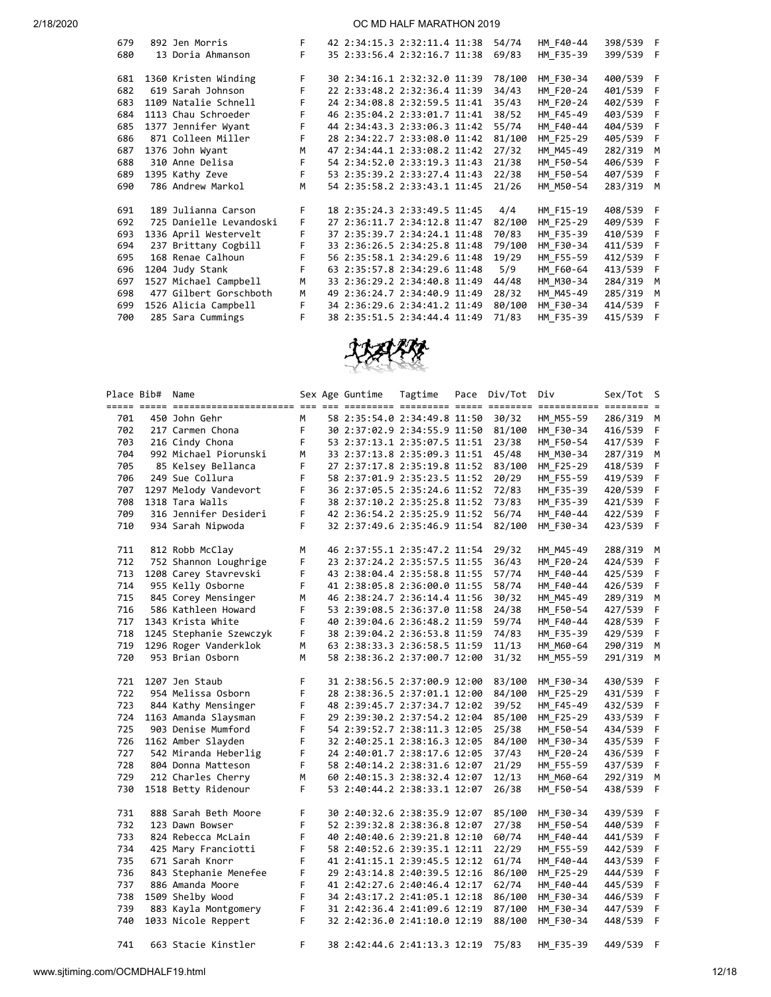|  | F                                                                                                                                                                                                                                                                                                                                                                                                                                                                                                     |  |  | 54/74                                                                                                                                                                                                                                                                                                                                                                                                                                                                                                                                                                                                                                                                                                                        | HM F40-44 | 398/539 F |           |
|--|-------------------------------------------------------------------------------------------------------------------------------------------------------------------------------------------------------------------------------------------------------------------------------------------------------------------------------------------------------------------------------------------------------------------------------------------------------------------------------------------------------|--|--|------------------------------------------------------------------------------------------------------------------------------------------------------------------------------------------------------------------------------------------------------------------------------------------------------------------------------------------------------------------------------------------------------------------------------------------------------------------------------------------------------------------------------------------------------------------------------------------------------------------------------------------------------------------------------------------------------------------------------|-----------|-----------|-----------|
|  | F.                                                                                                                                                                                                                                                                                                                                                                                                                                                                                                    |  |  | 69/83                                                                                                                                                                                                                                                                                                                                                                                                                                                                                                                                                                                                                                                                                                                        | HM F35-39 | 399/539   | - F       |
|  | F.                                                                                                                                                                                                                                                                                                                                                                                                                                                                                                    |  |  | 78/100                                                                                                                                                                                                                                                                                                                                                                                                                                                                                                                                                                                                                                                                                                                       |           |           |           |
|  | F                                                                                                                                                                                                                                                                                                                                                                                                                                                                                                     |  |  | 34/43                                                                                                                                                                                                                                                                                                                                                                                                                                                                                                                                                                                                                                                                                                                        | HM F20-24 | 401/539   | - F       |
|  | F.                                                                                                                                                                                                                                                                                                                                                                                                                                                                                                    |  |  | 35/43                                                                                                                                                                                                                                                                                                                                                                                                                                                                                                                                                                                                                                                                                                                        | HM F20-24 | 402/539 F |           |
|  | F.                                                                                                                                                                                                                                                                                                                                                                                                                                                                                                    |  |  | 38/52                                                                                                                                                                                                                                                                                                                                                                                                                                                                                                                                                                                                                                                                                                                        | HM F45-49 | 403/539   | - F       |
|  | F                                                                                                                                                                                                                                                                                                                                                                                                                                                                                                     |  |  | 55/74                                                                                                                                                                                                                                                                                                                                                                                                                                                                                                                                                                                                                                                                                                                        | HM F40-44 | 404/539 F |           |
|  | F.                                                                                                                                                                                                                                                                                                                                                                                                                                                                                                    |  |  | 81/100                                                                                                                                                                                                                                                                                                                                                                                                                                                                                                                                                                                                                                                                                                                       | HM F25-29 | 405/539   | - F       |
|  | M                                                                                                                                                                                                                                                                                                                                                                                                                                                                                                     |  |  | 27/32                                                                                                                                                                                                                                                                                                                                                                                                                                                                                                                                                                                                                                                                                                                        | HM M45-49 | 282/319   | M         |
|  | F                                                                                                                                                                                                                                                                                                                                                                                                                                                                                                     |  |  | 21/38                                                                                                                                                                                                                                                                                                                                                                                                                                                                                                                                                                                                                                                                                                                        | HM F50-54 | 406/539   | - F       |
|  | F                                                                                                                                                                                                                                                                                                                                                                                                                                                                                                     |  |  | 22/38                                                                                                                                                                                                                                                                                                                                                                                                                                                                                                                                                                                                                                                                                                                        | HM F50-54 | 407/539   | - F       |
|  | M                                                                                                                                                                                                                                                                                                                                                                                                                                                                                                     |  |  | 21/26                                                                                                                                                                                                                                                                                                                                                                                                                                                                                                                                                                                                                                                                                                                        | HM M50-54 | 283/319   | M         |
|  | F.                                                                                                                                                                                                                                                                                                                                                                                                                                                                                                    |  |  | 4/4                                                                                                                                                                                                                                                                                                                                                                                                                                                                                                                                                                                                                                                                                                                          | HM F15-19 | 408/539 F |           |
|  | F                                                                                                                                                                                                                                                                                                                                                                                                                                                                                                     |  |  | 82/100                                                                                                                                                                                                                                                                                                                                                                                                                                                                                                                                                                                                                                                                                                                       | HM F25-29 | 409/539   | - F       |
|  | F.                                                                                                                                                                                                                                                                                                                                                                                                                                                                                                    |  |  | 70/83                                                                                                                                                                                                                                                                                                                                                                                                                                                                                                                                                                                                                                                                                                                        | HM F35-39 | 410/539 F |           |
|  | F                                                                                                                                                                                                                                                                                                                                                                                                                                                                                                     |  |  | 79/100                                                                                                                                                                                                                                                                                                                                                                                                                                                                                                                                                                                                                                                                                                                       | HM F30-34 | 411/539   | - F       |
|  | F                                                                                                                                                                                                                                                                                                                                                                                                                                                                                                     |  |  | 19/29                                                                                                                                                                                                                                                                                                                                                                                                                                                                                                                                                                                                                                                                                                                        | HM F55-59 | 412/539   | - F       |
|  | F                                                                                                                                                                                                                                                                                                                                                                                                                                                                                                     |  |  | 5/9                                                                                                                                                                                                                                                                                                                                                                                                                                                                                                                                                                                                                                                                                                                          | HM F60-64 | 413/539   | - F       |
|  | M                                                                                                                                                                                                                                                                                                                                                                                                                                                                                                     |  |  | 44/48                                                                                                                                                                                                                                                                                                                                                                                                                                                                                                                                                                                                                                                                                                                        | HM M30-34 | 284/319   | M         |
|  | M                                                                                                                                                                                                                                                                                                                                                                                                                                                                                                     |  |  | 28/32                                                                                                                                                                                                                                                                                                                                                                                                                                                                                                                                                                                                                                                                                                                        | HM M45-49 | 285/319   | M         |
|  | F.                                                                                                                                                                                                                                                                                                                                                                                                                                                                                                    |  |  | 80/100                                                                                                                                                                                                                                                                                                                                                                                                                                                                                                                                                                                                                                                                                                                       | HM F30-34 | 414/539   | - F       |
|  | F                                                                                                                                                                                                                                                                                                                                                                                                                                                                                                     |  |  | 71/83                                                                                                                                                                                                                                                                                                                                                                                                                                                                                                                                                                                                                                                                                                                        | HM F35-39 | 415/539   | - F       |
|  | 892 Jen Morris<br>13 Doria Ahmanson<br>1360 Kristen Winding<br>619 Sarah Johnson<br>1109 Natalie Schnell<br>1113 Chau Schroeder<br>1377 Jennifer Wyant<br>871 Colleen Miller<br>1376 John Wyant<br>310 Anne Delisa<br>1395 Kathy Zeve<br>786 Andrew Markol<br>189 Julianna Carson<br>725 Danielle Levandoski<br>1336 April Westervelt<br>237 Brittany Cogbill<br>168 Renae Calhoun<br>1204 Judy Stank<br>1527 Michael Campbell<br>477 Gilbert Gorschboth<br>1526 Alicia Campbell<br>285 Sara Cummings |  |  | 42 2:34:15.3 2:32:11.4 11:38<br>35 2:33:56.4 2:32:16.7 11:38<br>30 2:34:16.1 2:32:32.0 11:39<br>22 2:33:48.2 2:32:36.4 11:39<br>24 2:34:08.8 2:32:59.5 11:41<br>46 2:35:04.2 2:33:01.7 11:41<br>44 2:34:43.3 2:33:06.3 11:42<br>28 2:34:22.7 2:33:08.0 11:42<br>47 2:34:44.1 2:33:08.2 11:42<br>54 2:34:52.0 2:33:19.3 11:43<br>53 2:35:39.2 2:33:27.4 11:43<br>54 2:35:58.2 2:33:43.1 11:45<br>18 2:35:24.3 2:33:49.5 11:45<br>27 2:36:11.7 2:34:12.8 11:47<br>37 2:35:39.7 2:34:24.1 11:48<br>33 2:36:26.5 2:34:25.8 11:48<br>56 2:35:58.1 2:34:29.6 11:48<br>63 2:35:57.8 2:34:29.6 11:48<br>33 2:36:29.2 2:34:40.8 11:49<br>49 2:36:24.7 2:34:40.9 11:49<br>34 2:36:29.6 2:34:41.2 11:49<br>38 2:35:51.5 2:34:44.4 11:49 |           | HM F30-34 | 400/539 F |



|            | Place Bib# Name | Sex Age Guntime<br>Tagtime<br>Pace       |              | Div/Tot Div                  |  | Sex/Tot S |           |           |              |
|------------|-----------------|------------------------------------------|--------------|------------------------------|--|-----------|-----------|-----------|--------------|
| 701        |                 | 450 John Gehr                            | M            | 58 2:35:54.0 2:34:49.8 11:50 |  | 30/32     | HM M55-59 | 286/319 M |              |
| 702        |                 | 217 Carmen Chona                         | F.           | 30 2:37:02.9 2:34:55.9 11:50 |  | 81/100    | HM F30-34 | 416/539   | F            |
| 703        |                 | 216 Cindy Chona                          | F            | 53 2:37:13.1 2:35:07.5 11:51 |  | 23/38     | HM F50-54 | 417/539   | F            |
| 704        |                 | 992 Michael Piorunski                    | M            | 33 2:37:13.8 2:35:09.3 11:51 |  | 45/48     | HM M30-34 | 287/319 M |              |
| 705        |                 | 85 Kelsey Bellanca                       | F            | 27 2:37:17.8 2:35:19.8 11:52 |  | 83/100    | HM F25-29 | 418/539   | - F          |
| 706        |                 | 249 Sue Collura                          | F            | 58 2:37:01.9 2:35:23.5 11:52 |  | 20/29     | HM F55-59 | 419/539   | F            |
| 707        |                 | 1297 Melody Vandevort                    | $\mathsf F$  | 36 2:37:05.5 2:35:24.6 11:52 |  | 72/83     | HM_F35-39 | 420/539   | F            |
| 708        |                 | 1318 Tara Walls                          | $\mathsf F$  | 38 2:37:10.2 2:35:25.8 11:52 |  | 73/83     | HM F35-39 | 421/539   | F            |
| 709        |                 | 316 Jennifer Desideri                    | $\mathsf F$  | 42 2:36:54.2 2:35:25.9 11:52 |  | 56/74     | HM_F40-44 | 422/539 F |              |
| 710        |                 | 934 Sarah Nipwoda                        | F            | 32 2:37:49.6 2:35:46.9 11:54 |  | 82/100    | HM F30-34 | 423/539 F |              |
|            |                 |                                          |              |                              |  |           |           |           |              |
| 711        |                 | 812 Robb McClay                          | M            | 46 2:37:55.1 2:35:47.2 11:54 |  | 29/32     | HM M45-49 | 288/319 M |              |
| 712        |                 | 752 Shannon Loughrige                    | F            | 23 2:37:24.2 2:35:57.5 11:55 |  | 36/43     | HM F20-24 | 424/539   | F            |
| 713        |                 | 1208 Carey Stavrevski                    | F            | 43 2:38:04.4 2:35:58.8 11:55 |  | 57/74     | HM F40-44 | 425/539 F |              |
| 714        |                 | 955 Kelly Osborne                        | F            | 41 2:38:05.8 2:36:00.0 11:55 |  | 58/74     | HM F40-44 | 426/539   | F            |
| 715        |                 | 845 Corey Mensinger                      | M            | 46 2:38:24.7 2:36:14.4 11:56 |  | 30/32     | HM M45-49 | 289/319 M |              |
| 716        |                 | 586 Kathleen Howard                      | F            | 53 2:39:08.5 2:36:37.0 11:58 |  | 24/38     | HM F50-54 | 427/539   | - F          |
| 717        |                 | 1343 Krista White                        | F            | 40 2:39:04.6 2:36:48.2 11:59 |  | 59/74     | HM F40-44 | 428/539   | F            |
| 718        |                 | 1245 Stephanie Szewczyk                  | F            | 38 2:39:04.2 2:36:53.8 11:59 |  | 74/83     | HM_F35-39 | 429/539   | F            |
| 719        |                 | 1296 Roger Vanderklok                    | М            | 63 2:38:33.3 2:36:58.5 11:59 |  | 11/13     | HM M60-64 | 290/319   | м            |
| 720        |                 | 953 Brian Osborn                         | M            | 58 2:38:36.2 2:37:00.7 12:00 |  | 31/32     | HM_M55-59 | 291/319 M |              |
|            |                 |                                          | F            |                              |  |           |           |           |              |
| 721        |                 | 1207 Jen Staub                           | F            | 31 2:38:56.5 2:37:00.9 12:00 |  | 83/100    | HM F30-34 | 430/539   | - F          |
| 722        |                 | 954 Melissa Osborn                       |              | 28 2:38:36.5 2:37:01.1 12:00 |  | 84/100    | HM F25-29 | 431/539   | F            |
| 723        |                 | 844 Kathy Mensinger                      | F<br>F       | 48 2:39:45.7 2:37:34.7 12:02 |  | 39/52     | HM_F45-49 | 432/539   | F            |
| 724        |                 | 1163 Amanda Slaysman                     |              | 29 2:39:30.2 2:37:54.2 12:04 |  | 85/100    | HM F25-29 | 433/539 F |              |
| 725        |                 | 903 Denise Mumford                       | F<br>F       | 54 2:39:52.7 2:38:11.3 12:05 |  | 25/38     | HM F50-54 | 434/539 F |              |
| 726<br>727 |                 | 1162 Amber Slayden                       | $\mathsf F$  | 32 2:40:25.1 2:38:16.3 12:05 |  | 84/100    | HM F30-34 | 435/539   | - F          |
|            |                 | 542 Miranda Heberlig                     |              | 24 2:40:01.7 2:38:17.6 12:05 |  | 37/43     | HM F20-24 | 436/539 F |              |
| 728<br>729 |                 | 804 Donna Matteson<br>212 Charles Cherry | F<br>M       | 58 2:40:14.2 2:38:31.6 12:07 |  | 21/29     | HM F55-59 | 437/539   | F            |
|            |                 |                                          | F.           | 60 2:40:15.3 2:38:32.4 12:07 |  | 12/13     | HM_M60-64 | 292/319 M |              |
| 730        |                 | 1518 Betty Ridenour                      |              | 53 2:40:44.2 2:38:33.1 12:07 |  | 26/38     | HM F50-54 | 438/539 F |              |
| 731        |                 | 888 Sarah Beth Moore                     | F.           | 30 2:40:32.6 2:38:35.9 12:07 |  | 85/100    | HM F30-34 | 439/539 F |              |
| 732        |                 | 123 Dawn Bowser                          | F            | 52 2:39:32.8 2:38:36.8 12:07 |  | 27/38     | HM F50-54 | 440/539   | F            |
| 733        |                 | 824 Rebecca McLain                       | F            | 40 2:40:40.6 2:39:21.8 12:10 |  | 60/74     | HM F40-44 | 441/539 F |              |
| 734        |                 | 425 Mary Franciotti                      | F.           | 58 2:40:52.6 2:39:35.1 12:11 |  | 22/29     | HM F55-59 | 442/539   | F            |
| 735        |                 | 671 Sarah Knorr                          | F            | 41 2:41:15.1 2:39:45.5 12:12 |  | 61/74     | HM F40-44 | 443/539 F |              |
| 736        |                 | 843 Stephanie Menefee                    | F            | 29 2:43:14.8 2:40:39.5 12:16 |  | 86/100    | HM_F25-29 | 444/539   | - F          |
| 737        |                 | 886 Amanda Moore                         | F            | 41 2:42:27.6 2:40:46.4 12:17 |  | 62/74     | HM F40-44 | 445/539   | F            |
| 738        |                 | 1509 Shelby Wood                         | $\mathsf{F}$ | 34 2:43:17.2 2:41:05.1 12:18 |  | 86/100    | HM F30-34 | 446/539 F |              |
| 739        |                 | 883 Kayla Montgomery                     | $\mathsf F$  | 31 2:42:36.4 2:41:09.6 12:19 |  | 87/100    | HM F30-34 | 447/539   | $\mathsf{F}$ |
| 740        |                 | 1033 Nicole Reppert                      | F            | 32 2:42:36.0 2:41:10.0 12:19 |  | 88/100    | HM_F30-34 | 448/539 F |              |
|            |                 |                                          | F            |                              |  |           |           |           |              |
| 741        |                 | 663 Stacie Kinstler                      |              | 38 2:42:44.6 2:41:13.3 12:19 |  | 75/83     | HM F35-39 | 449/539   | - F          |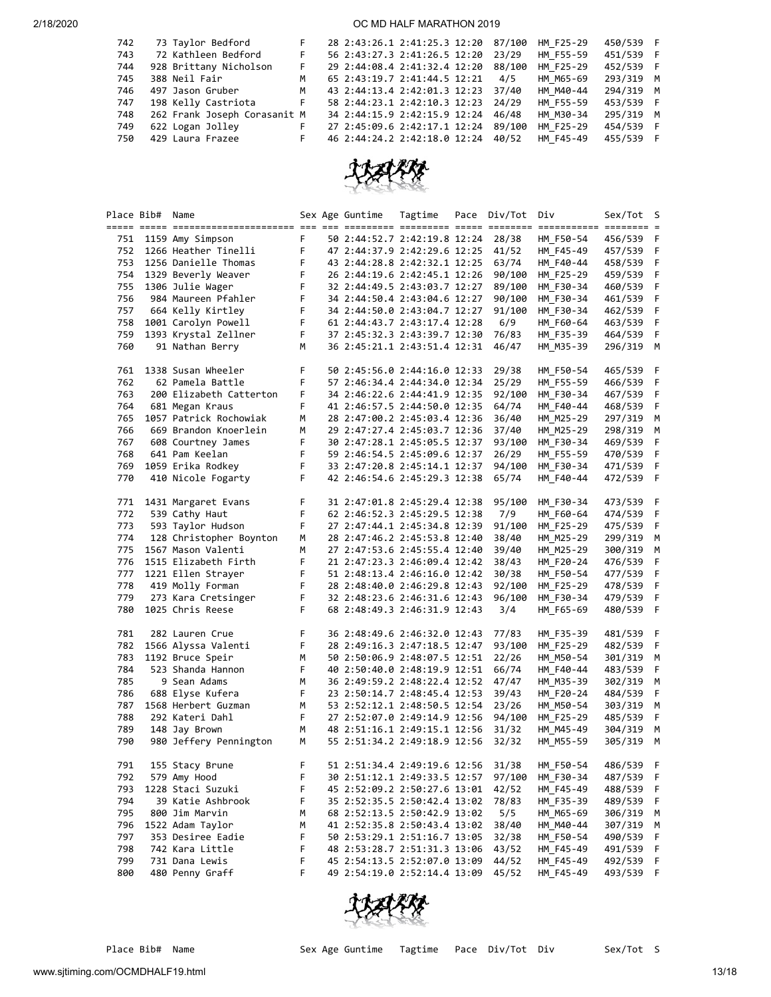| 742 | 73 Taylor Bedford            | F.        | 28 2:43:26.1 2:41:25.3 12:20 87/100 |        | HM F25-29 | 450/539 F |  |
|-----|------------------------------|-----------|-------------------------------------|--------|-----------|-----------|--|
| 743 | 72 Kathleen Bedford          | F.        | 56 2:43:27.3 2:41:26.5 12:20        | 23/29  | HM F55-59 | 451/539 F |  |
| 744 | 928 Brittany Nicholson       | F.        | 29 2:44:08.4 2:41:32.4 12:20        | 88/100 | HM F25-29 | 452/539 F |  |
| 745 | 388 Neil Fair                | M         | 65 2:43:19.7 2:41:44.5 12:21        | 4/5    | HM M65-69 | 293/319 M |  |
| 746 | 497 Jason Gruber             | M         | 43 2:44:13.4 2:42:01.3 12:23        | 37/40  | HM M40-44 | 294/319 M |  |
| 747 | 198 Kelly Castriota          | $-$ F $-$ | 58 2:44:23.1 2:42:10.3 12:23        | 24/29  | HM F55-59 | 453/539 F |  |
| 748 | 262 Frank Joseph Corasanit M |           | 34 2:44:15.9 2:42:15.9 12:24        | 46/48  | HM M30-34 | 295/319 M |  |
| 749 | 622 Logan Jolley             | F.        | 27 2:45:09.6 2:42:17.1 12:24        | 89/100 | HM F25-29 | 454/539 F |  |
| 750 | 429 Laura Frazee             | F.        | 46 2:44:24.2 2:42:18.0 12:24        | 40/52  | HM F45-49 | 455/539 F |  |
|     |                              |           |                                     |        |           |           |  |



|     | Place Bib# Name |                                   |             |  | Sex Age Guntime              | Tagtime | Pace | Div/Tot Div |                        | Sex/Tot S |     |
|-----|-----------------|-----------------------------------|-------------|--|------------------------------|---------|------|-------------|------------------------|-----------|-----|
|     |                 |                                   |             |  |                              |         |      |             |                        |           |     |
|     |                 | 751 1159 Amy Simpson              | F.          |  | 50 2:44:52.7 2:42:19.8 12:24 |         |      | 28/38       | HM F50-54              | 456/539 F |     |
|     |                 | 752 1266 Heather Tinelli          | $\mathsf F$ |  | 47 2:44:37.9 2:42:29.6 12:25 |         |      | 41/52       | HM F45-49              | 457/539 F |     |
| 753 |                 | 1256 Danielle Thomas              | F           |  | 43 2:44:28.8 2:42:32.1 12:25 |         |      | 63/74       | HM F40-44              | 458/539   | F   |
|     |                 | 754 1329 Beverly Weaver           | F           |  | 26 2:44:19.6 2:42:45.1 12:26 |         |      | 90/100      | HM_F25-29              | 459/539 F |     |
| 755 |                 | 1306 Julie Wager                  | F           |  | 32 2:44:49.5 2:43:03.7 12:27 |         |      | 89/100      | HM F30-34              | 460/539 F |     |
| 756 |                 | 984 Maureen Pfahler               | F           |  | 34 2:44:50.4 2:43:04.6 12:27 |         |      | 90/100      | HM F30-34              | 461/539 F |     |
| 757 |                 | 664 Kelly Kirtley                 | F           |  | 34 2:44:50.0 2:43:04.7 12:27 |         |      | 91/100      | HM F30-34              | 462/539 F |     |
| 758 |                 | 1001 Carolyn Powell               | F           |  | 61 2:44:43.7 2:43:17.4 12:28 |         |      | 6/9         |                        | 463/539 F |     |
| 759 |                 | 1393 Krystal Zellner              | F           |  | 37 2:45:32.3 2:43:39.7 12:30 |         |      | 76/83       | HM_F60-64<br>HM F35-39 | 464/539 F |     |
| 760 |                 | 91 Nathan Berry                   |             |  | 36 2:45:21.1 2:43:51.4 12:31 |         |      |             |                        |           |     |
|     |                 |                                   | М           |  |                              |         |      | 46/47       | HM_M35-39              | 296/319 M |     |
| 761 |                 | 1338 Susan Wheeler                | F           |  | 50 2:45:56.0 2:44:16.0 12:33 |         |      | 29/38       |                        |           |     |
| 762 |                 | 62 Pamela Battle                  | F           |  | 57 2:46:34.4 2:44:34.0 12:34 |         |      | 25/29       | HM_F50-54<br>HM F55-59 | 465/539 F | - F |
|     |                 |                                   |             |  |                              |         |      |             |                        | 466/539   |     |
| 763 |                 | 200 Elizabeth Catterton           | F           |  | 34 2:46:22.6 2:44:41.9 12:35 |         |      | 92/100      | HM F30-34              | 467/539   | - F |
| 764 |                 | 681 Megan Kraus                   | F           |  | 41 2:46:57.5 2:44:50.0 12:35 |         |      | 64/74       | HM_F40-44              | 468/539   | F   |
| 765 |                 | 1057 Patrick Rochowiak            | M           |  | 28 2:47:00.2 2:45:03.4 12:36 |         |      | 36/40       | HM_M25-29              | 297/319 M |     |
| 766 |                 | 669 Brandon Knoerlein             | M           |  | 29 2:47:27.4 2:45:03.7 12:36 |         |      | 37/40       | HM M25-29              | 298/319 M |     |
| 767 |                 | 608 Courtney James                | F           |  | 30 2:47:28.1 2:45:05.5 12:37 |         |      | 93/100      | HM F30-34              | 469/539 F |     |
| 768 |                 | 641 Pam Keelan                    | F           |  | 59 2:46:54.5 2:45:09.6 12:37 |         |      | 26/29       | HM_F55-59              | 470/539 F |     |
| 769 |                 | 1059 Erika Rodkey                 | F.          |  | 33 2:47:20.8 2:45:14.1 12:37 |         |      | 94/100      | HM_F30-34              | 471/539 F |     |
| 770 |                 | 410 Nicole Fogarty                | $\mathsf F$ |  | 42 2:46:54.6 2:45:29.3 12:38 |         |      | 65/74       | HM_F40-44              | 472/539 F |     |
|     |                 |                                   |             |  |                              |         |      |             |                        |           |     |
| 771 |                 | 1431 Margaret Evans               | F           |  | 31 2:47:01.8 2:45:29.4 12:38 |         |      | 95/100      | HM F30-34              | 473/539 F |     |
| 772 |                 | 539 Cathy Haut                    | F           |  | 62 2:46:52.3 2:45:29.5 12:38 |         |      | 7/9         | HM_F60-64              | 474/539 F |     |
| 773 |                 | 593 Taylor Hudson                 | F           |  | 27 2:47:44.1 2:45:34.8 12:39 |         |      | 91/100      | HM F25-29              | 475/539 F |     |
| 774 |                 | 128 Christopher Boynton           | M           |  | 28 2:47:46.2 2:45:53.8 12:40 |         |      | 38/40       | HM M25-29              | 299/319 M |     |
| 775 |                 | 1567 Mason Valenti                | М           |  | 27 2:47:53.6 2:45:55.4 12:40 |         |      | 39/40       | HM M25-29              | 300/319 M |     |
| 776 |                 | 1515 Elizabeth Firth              | F           |  | 21 2:47:23.3 2:46:09.4 12:42 |         |      | 38/43       | HM F20-24              | 476/539 F |     |
| 777 |                 | 1221 Ellen Strayer                | $\mathsf F$ |  | 51 2:48:13.4 2:46:16.0 12:42 |         |      | 30/38       | HM F50-54              | 477/539 F |     |
| 778 |                 | 419 Molly Forman                  | F           |  | 28 2:48:40.0 2:46:29.8 12:43 |         |      | 92/100      | HM F25-29              | 478/539 F |     |
| 779 |                 | 273 Kara Cretsinger               | F           |  | 32 2:48:23.6 2:46:31.6 12:43 |         |      | 96/100      | HM_F30-34              | 479/539 F |     |
| 780 |                 | 1025 Chris Reese                  | F.          |  | 68 2:48:49.3 2:46:31.9 12:43 |         |      | 3/4         | HM_F65-69              | 480/539 F |     |
|     |                 |                                   |             |  |                              |         |      |             |                        |           |     |
| 781 |                 | 282 Lauren Crue                   | F           |  | 36 2:48:49.6 2:46:32.0 12:43 |         |      | 77/83       | HM_F35-39              | 481/539 F |     |
| 782 |                 | 1566 Alyssa Valenti               | $\mathsf F$ |  | 28 2:49:16.3 2:47:18.5 12:47 |         |      | 93/100      | HM F25-29              | 482/539 F |     |
| 783 |                 | 1192 Bruce Speir                  | M           |  | 50 2:50:06.9 2:48:07.5 12:51 |         |      | 22/26       | HM M50-54              | 301/319   | M   |
| 784 |                 | 523 Shanda Hannon                 | F           |  | 40 2:50:40.0 2:48:19.9 12:51 |         |      | 66/74       | HM_F40-44              | 483/539   | F.  |
| 785 |                 | 9 Sean Adams                      | M           |  | 36 2:49:59.2 2:48:22.4 12:52 |         |      | 47/47       | HM_M35-39              | 302/319 M |     |
| 786 |                 | 688 Elyse Kufera                  | F           |  | 23 2:50:14.7 2:48:45.4 12:53 |         |      | 39/43       | HM_F20-24              | 484/539 F |     |
| 787 |                 | 1568 Herbert Guzman               | M           |  | 53 2:52:12.1 2:48:50.5 12:54 |         |      | 23/26       | HM_M50-54              | 303/319 M |     |
| 788 |                 | 292 Kateri Dahl                   | F           |  | 27 2:52:07.0 2:49:14.9 12:56 |         |      | 94/100      | HM_F25-29              | 485/539 F |     |
| 789 |                 | 148 Jay Brown                     | M           |  | 48 2:51:16.1 2:49:15.1 12:56 |         |      | 31/32       | HM M45-49              | 304/319   | M   |
| 790 |                 | 980 Jeffery Pennington            | М           |  | 55 2:51:34.2 2:49:18.9 12:56 |         |      | 32/32       | HM M55-59              | 305/319   | м   |
|     |                 |                                   |             |  |                              |         |      |             |                        |           |     |
| 791 |                 | 155 Stacy Brune                   | F           |  | 51 2:51:34.4 2:49:19.6 12:56 |         |      | 31/38       | HM_F50-54              | 486/539   | - F |
| 792 |                 | 579 Amy Hood                      | F           |  | 30 2:51:12.1 2:49:33.5 12:57 |         |      | 97/100      | HM_F30-34              | 487/539 F |     |
| 793 |                 | 1228 Staci Suzuki                 | F           |  | 45 2:52:09.2 2:50:27.6 13:01 |         |      | 42/52       | HM F45-49              | 488/539 F |     |
| 794 |                 | 39 Katie Ashbrook                 | F           |  | 35 2:52:35.5 2:50:42.4 13:02 |         |      | 78/83       | HM_F35-39              | 489/539   | F   |
| 795 |                 | 800 Jim Marvin                    | М           |  | 68 2:52:13.5 2:50:42.9 13:02 |         |      | 5/5         | HM_M65-69              | 306/319 M |     |
| 796 |                 | 1522 Adam Taylor                  | М           |  | 41 2:52:35.8 2:50:43.4 13:02 |         |      | 38/40       | HM M40-44              | 307/319   | М   |
| 797 |                 | 353 Desiree Eadie                 | F           |  | 50 2:53:29.1 2:51:16.7 13:05 |         |      | 32/38       |                        | 490/539   | F   |
| 798 |                 | 742 Kara Little                   | F           |  | 48 2:53:28.7 2:51:31.3 13:06 |         |      | 43/52       | HM_F50-54              |           |     |
|     |                 |                                   |             |  |                              |         |      |             | HM_F45-49              | 491/539 F |     |
| 799 |                 | 731 Dana Lewis<br>480 Penny Graff | F           |  | 45 2:54:13.5 2:52:07.0 13:09 |         |      | 44/52       | HM F45-49              | 492/539 F |     |
| 800 |                 |                                   | F           |  | 49 2:54:19.0 2:52:14.4 13:09 |         |      | 45/52       | HM_F45-49              | 493/539 F |     |

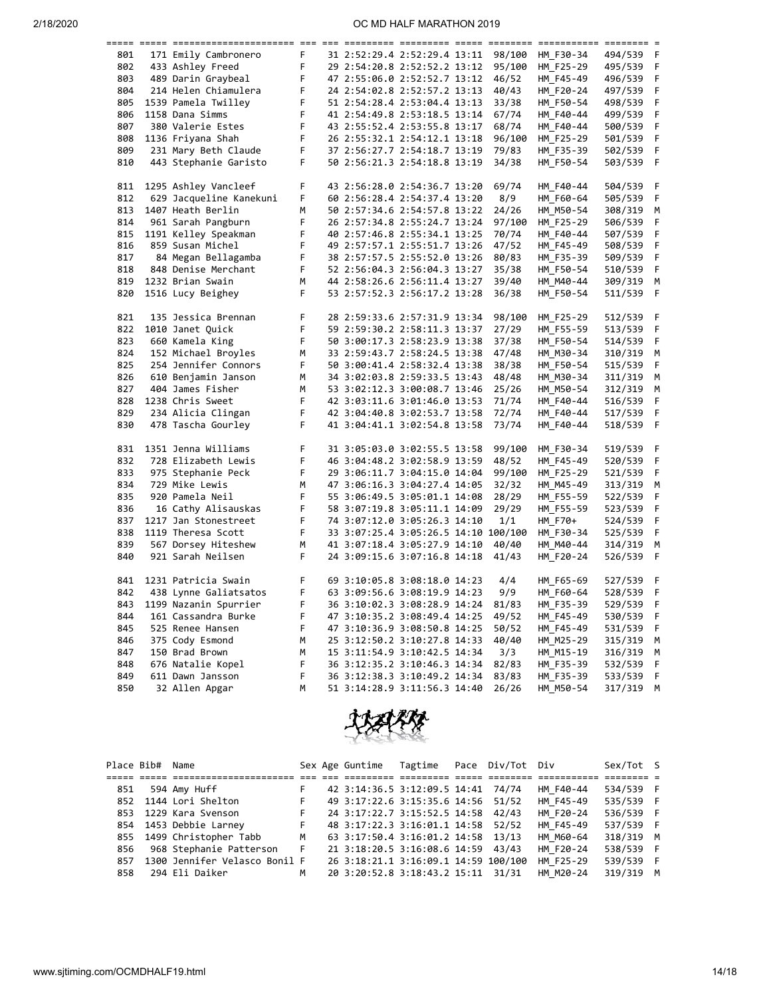|     |                         |        |                                      |  |        | =========== | $=$ $=$ $=$ $=$ $=$ $=$ |    |
|-----|-------------------------|--------|--------------------------------------|--|--------|-------------|-------------------------|----|
| 801 | 171 Emily Cambronero    | F      | 31 2:52:29.4 2:52:29.4 13:11         |  | 98/100 | HM_F30-34   | 494/539                 | -F |
| 802 | 433 Ashley Freed        | F      | 29 2:54:20.8 2:52:52.2 13:12         |  | 95/100 | HM F25-29   | 495/539                 | F  |
| 803 | 489 Darin Graybeal      | F      | 47 2:55:06.0 2:52:52.7 13:12         |  | 46/52  | HM F45-49   | 496/539                 | F  |
| 804 | 214 Helen Chiamulera    | F      | 24 2:54:02.8 2:52:57.2 13:13         |  | 40/43  | HM F20-24   | 497/539                 | F  |
| 805 | 1539 Pamela Twilley     | F      | 51 2:54:28.4 2:53:04.4 13:13         |  | 33/38  | HM F50-54   | 498/539                 | F  |
| 806 | 1158 Dana Simms         | F      | 41 2:54:49.8 2:53:18.5 13:14         |  | 67/74  | HM_F40-44   | 499/539                 | F  |
| 807 | 380 Valerie Estes       | F      | 43 2:55:52.4 2:53:55.8 13:17         |  | 68/74  | HM F40-44   | 500/539                 | F  |
| 808 | 1136 Friyana Shah       | F      | 26 2:55:32.1 2:54:12.1 13:18         |  | 96/100 | HM_F25-29   | 501/539                 | F  |
| 809 | 231 Mary Beth Claude    | F      | 37 2:56:27.7 2:54:18.7 13:19         |  | 79/83  | HM F35-39   | 502/539                 | F  |
| 810 | 443 Stephanie Garisto   | F      | 50 2:56:21.3 2:54:18.8 13:19         |  |        |             |                         | F  |
|     |                         |        |                                      |  | 34/38  | HM F50-54   | 503/539                 |    |
| 811 | 1295 Ashley Vancleef    | F      | 43 2:56:28.0 2:54:36.7 13:20         |  | 69/74  | HM F40-44   | 504/539                 | F  |
| 812 | 629 Jacqueline Kanekuni | F      | 60 2:56:28.4 2:54:37.4 13:20         |  | 8/9    | HM F60-64   | 505/539                 | F  |
| 813 | 1407 Heath Berlin       | M      | 50 2:57:34.6 2:54:57.8 13:22         |  | 24/26  | HM M50-54   | 308/319                 | м  |
| 814 | 961 Sarah Pangburn      | F      | 26 2:57:34.8 2:55:24.7 13:24         |  | 97/100 | HM_F25-29   | 506/539                 | F  |
| 815 | 1191 Kelley Speakman    | F      | 40 2:57:46.8 2:55:34.1 13:25         |  | 70/74  | HM F40-44   | 507/539                 | F  |
| 816 | 859 Susan Michel        | F      | 49 2:57:57.1 2:55:51.7 13:26         |  | 47/52  | HM_F45-49   | 508/539                 | F  |
| 817 | 84 Megan Bellagamba     | F      | 38 2:57:57.5 2:55:52.0 13:26         |  | 80/83  | HM F35-39   | 509/539                 | F  |
| 818 | 848 Denise Merchant     | F      | 52 2:56:04.3 2:56:04.3 13:27         |  | 35/38  | HM_F50-54   | 510/539                 | F  |
| 819 | 1232 Brian Swain        | M      | 44 2:58:26.6 2:56:11.4 13:27         |  | 39/40  | HM M40-44   | 309/319                 | М  |
| 820 | 1516 Lucy Beighey       | F      | 53 2:57:52.3 2:56:17.2 13:28         |  | 36/38  | HM F50-54   | 511/539                 | F  |
|     |                         |        |                                      |  |        |             |                         |    |
| 821 | 135 Jessica Brennan     | F      | 28 2:59:33.6 2:57:31.9 13:34         |  | 98/100 | HM F25-29   | 512/539                 | F  |
| 822 | 1010 Janet Quick        | F      | 59 2:59:30.2 2:58:11.3 13:37         |  | 27/29  | HM_F55-59   | 513/539                 | F  |
| 823 | 660 Kamela King         | F      | 50 3:00:17.3 2:58:23.9 13:38         |  | 37/38  | HM F50-54   | 514/539                 | F  |
| 824 | 152 Michael Broyles     | M      | 33 2:59:43.7 2:58:24.5 13:38         |  | 47/48  | HM M30-34   | 310/319                 | M  |
| 825 | 254 Jennifer Connors    | F      | 50 3:00:41.4 2:58:32.4 13:38         |  | 38/38  | HM_F50-54   | 515/539                 | F  |
| 826 | 610 Benjamin Janson     | M      | 34 3:02:03.8 2:59:33.5 13:43         |  | 48/48  | HM M30-34   | 311/319                 | M  |
| 827 | 404 James Fisher        | M      | 53 3:02:12.3 3:00:08.7 13:46         |  | 25/26  | HM M50-54   | 312/319                 | М  |
| 828 | 1238 Chris Sweet        | F      | 42 3:03:11.6 3:01:46.0 13:53         |  | 71/74  | HM F40-44   | 516/539                 | F  |
| 829 | 234 Alicia Clingan      | F      | 42 3:04:40.8 3:02:53.7 13:58         |  | 72/74  | HM F40-44   | 517/539                 | F  |
| 830 | 478 Tascha Gourley      | F      | 41 3:04:41.1 3:02:54.8 13:58         |  | 73/74  | HM F40-44   | 518/539                 | F  |
|     |                         |        |                                      |  |        |             |                         |    |
| 831 | 1351 Jenna Williams     | F      | 31 3:05:03.0 3:02:55.5 13:58         |  | 99/100 | HM F30-34   | 519/539                 | F  |
| 832 | 728 Elizabeth Lewis     | F      | 46 3:04:48.2 3:02:58.9 13:59         |  | 48/52  | HM F45-49   | 520/539                 | F  |
| 833 | 975 Stephanie Peck      | F      | 29 3:06:11.7 3:04:15.0 14:04         |  | 99/100 | HM_F25-29   | 521/539                 | F  |
| 834 | 729 Mike Lewis          | M      | 47 3:06:16.3 3:04:27.4 14:05         |  | 32/32  | HM M45-49   | 313/319                 | M  |
| 835 | 920 Pamela Neil         | F      | 55 3:06:49.5 3:05:01.1 14:08         |  | 28/29  | HM F55-59   | 522/539                 | F  |
| 836 | 16 Cathy Alisauskas     | F      | 58 3:07:19.8 3:05:11.1 14:09         |  | 29/29  | HM_F55-59   | 523/539                 | F  |
| 837 | 1217 Jan Stonestreet    | F      | 74 3:07:12.0 3:05:26.3 14:10         |  | 1/1    | HM F70+     | 524/539                 | F  |
| 838 | 1119 Theresa Scott      | F      | 33 3:07:25.4 3:05:26.5 14:10 100/100 |  |        | HM F30-34   | 525/539                 | F  |
| 839 | 567 Dorsey Hiteshew     | M      | 41 3:07:18.4 3:05:27.9 14:10         |  | 40/40  | HM_M40-44   | 314/319                 | м  |
| 840 | 921 Sarah Neilsen       | F      | 24 3:09:15.6 3:07:16.8 14:18         |  | 41/43  | HM F20-24   | 526/539                 | F  |
| 841 | 1231 Patricia Swain     | F      | 69 3:10:05.8 3:08:18.0 14:23         |  | 4/4    | HM F65-69   | 527/539                 | F  |
| 842 | 438 Lynne Galiatsatos   | F      | 63 3:09:56.6 3:08:19.9 14:23         |  | 9/9    | HM_F60-64   | 528/539                 | F  |
| 843 | 1199 Nazanin Spurrier   | F      | 36 3:10:02.3 3:08:28.9 14:24         |  | 81/83  | HM F35-39   | 529/539                 | F  |
| 844 | 161 Cassandra Burke     | F      | 47 3:10:35.2 3:08:49.4 14:25         |  | 49/52  | HM F45-49   | 530/539                 | F  |
| 845 |                         | F      |                                      |  | 50/52  |             |                         | F  |
|     | 525 Renee Hansen        | M      | 47 3:10:36.9 3:08:50.8 14:25         |  |        | HM F45-49   | 531/539                 |    |
| 846 | 375 Cody Esmond         |        | 25 3:12:50.2 3:10:27.8 14:33         |  | 40/40  | HM M25-29   | 315/319                 | м  |
| 847 | 150 Brad Brown          | M      | 15 3:11:54.9 3:10:42.5 14:34         |  | 3/3    | HM_M15-19   | 316/319                 | М  |
| 848 | 676 Natalie Kopel       | F<br>F | 36 3:12:35.2 3:10:46.3 14:34         |  | 82/83  | HM_F35-39   | 532/539                 | F  |
| 849 | 611 Dawn Jansson        |        | 36 3:12:38.3 3:10:49.2 14:34         |  | 83/83  | HM_F35-39   | 533/539                 | F  |
| 850 | 32 Allen Apgar          | M      | 51 3:14:28.9 3:11:56.3 14:40         |  | 26/26  | HM M50-54   | 317/319                 | M  |



| Place Bib# Name |                               |    | Sex Age Guntime Tagtime Pace Div/Tot Div |  |           | Sex/Tot S |  |
|-----------------|-------------------------------|----|------------------------------------------|--|-----------|-----------|--|
|                 |                               |    |                                          |  |           |           |  |
| 851             | 594 Amy Huff                  | F. | 42 3:14:36.5 3:12:09.5 14:41 74/74       |  | HM F40-44 | 534/539 F |  |
|                 | 852 1144 Lori Shelton         | F. | 49 3:17:22.6 3:15:35.6 14:56 51/52       |  | HM F45-49 | 535/539 F |  |
|                 | 853 1229 Kara Svenson         | F. | 24 3:17:22.7 3:15:52.5 14:58 42/43       |  | HM F20-24 | 536/539 F |  |
|                 | 854 1453 Debbie Larney        | F. | 48 3:17:22.3 3:16:01.1 14:58 52/52       |  | HM F45-49 | 537/539 F |  |
|                 | 855 1499 Christopher Tabb     | M  | 63 3:17:50.4 3:16:01.2 14:58 13/13       |  | HM M60-64 | 318/319 M |  |
| 856             | 968 Stephanie Patterson       | F. | 21 3:18:20.5 3:16:08.6 14:59 43/43       |  | HM F20-24 | 538/539 F |  |
| 857             | 1300 Jennifer Velasco Bonil F |    | 26 3:18:21.1 3:16:09.1 14:59 100/100     |  | HM F25-29 | 539/539 F |  |
| 858             | 294 Eli Daiker                | M  | 20 3:20:52.8 3:18:43.2 15:11 31/31       |  | HM M20-24 | 319/319 M |  |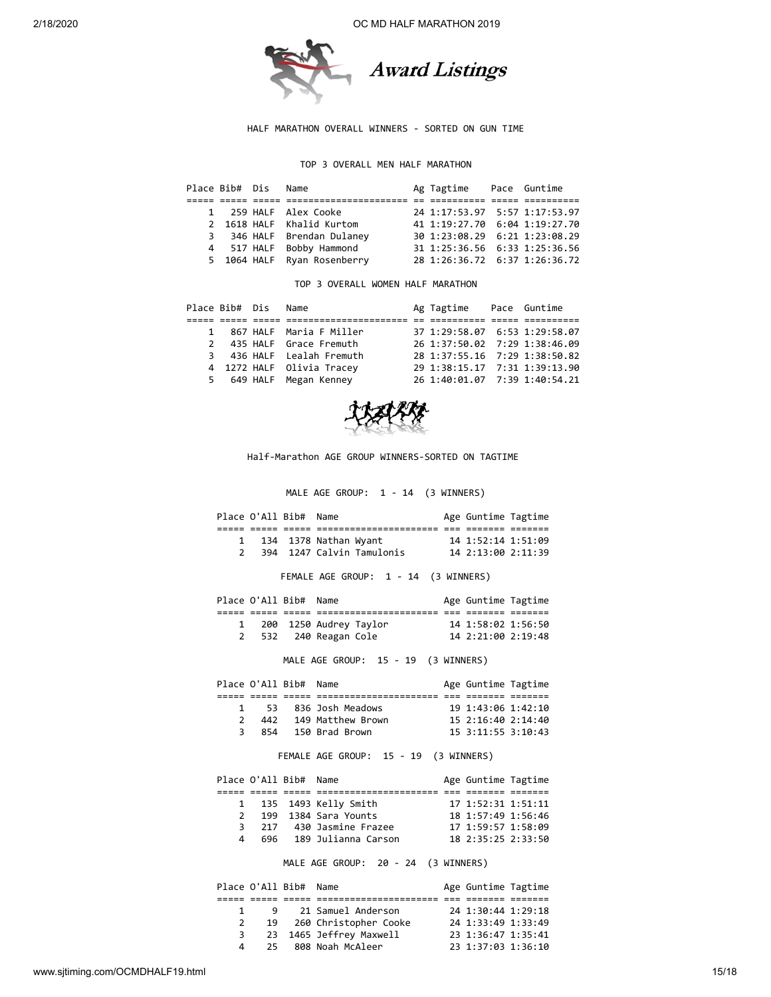

#### HALF MARATHON OVERALL WINNERS - SORTED ON GUN TIME

## TOP 3 OVERALL MEN HALF MARATHON

|  | Place Bib# Dis Name |                             | Ag Tagtime                    | Pace Guntime |
|--|---------------------|-----------------------------|-------------------------------|--------------|
|  |                     |                             |                               |              |
|  |                     | 1 259 HALF Alex Cooke       | 24 1:17:53.97 5:57 1:17:53.97 |              |
|  |                     | 2 1618 HALF Khalid Kurtom   | 41 1:19:27.70 6:04 1:19:27.70 |              |
|  |                     | 3 346 HALF Brendan Dulaney  | 30 1:23:08.29 6:21 1:23:08.29 |              |
|  |                     | 4 517 HALF Bobby Hammond    | 31 1:25:36.56 6:33 1:25:36.56 |              |
|  |                     | 5 1064 HALF Ryan Rosenberry | 28 1:26:36.72 6:37 1:26:36.72 |              |

TOP 3 OVERALL WOMEN HALF MARATHON

| Place Bib# Dis Name |                           | Ag Tagtime                    | Pace Guntime |
|---------------------|---------------------------|-------------------------------|--------------|
|                     |                           |                               |              |
|                     | 1 867 HALF Maria F Miller | 37 1:29:58.07 6:53 1:29:58.07 |              |
|                     | 2 435 HALF Grace Fremuth  | 26 1:37:50.02 7:29 1:38:46.09 |              |
|                     | 3 436 HALF Lealah Fremuth | 28 1:37:55.16 7:29 1:38:50.82 |              |
|                     | 4 1272 HALF Olivia Tracey | 29 1:38:15.17 7:31 1:39:13.90 |              |
|                     | 5 649 HALF Megan Kenney   | 26 1:40:01.07 7:39 1:40:54.21 |              |



Half-Marathon AGE GROUP WINNERS-SORTED ON TAGTIME

MALE AGE GROUP: 1 - 14 (3 WINNERS)

| Place O'All Bib# Name |  |                           |                    | Age Guntime Tagtime |
|-----------------------|--|---------------------------|--------------------|---------------------|
|                       |  |                           |                    |                     |
|                       |  | 1 134 1378 Nathan Wyant   | 14 1:52:14 1:51:09 |                     |
|                       |  | 394 1247 Calvin Tamulonis | 14 2:13:00 2:11:39 |                     |

FEMALE AGE GROUP: 1 - 14 (3 WINNERS)

|  | Place O'All Bib# Name |                        | Age Guntime Tagtime |  |
|--|-----------------------|------------------------|---------------------|--|
|  |                       |                        |                     |  |
|  |                       | 200 1250 Audrey Taylor | 14 1:58:02 1:56:50  |  |
|  |                       | 2 532 240 Reagan Cole  | 14 2:21:00 2:19:48  |  |

MALE AGE GROUP: 15 - 19 (3 WINNERS)

|   | Place O'All Bib# Name |                       | Age Guntime Tagtime      |  |
|---|-----------------------|-----------------------|--------------------------|--|
|   |                       |                       |                          |  |
|   |                       | 53 836 Josh Meadows   | 19 1:43:06 1:42:10       |  |
|   |                       | 442 149 Matthew Brown | $15$ $2:16:40$ $2:14:40$ |  |
| 3 |                       | 854 150 Brad Brown    | $15$ 3:11:55 3:10:43     |  |
|   |                       |                       |                          |  |

FEMALE AGE GROUP: 15 - 19 (3 WINNERS)

| Place O'All Bib# Name |                         | Age Guntime Tagtime |  |
|-----------------------|-------------------------|---------------------|--|
|                       |                         |                     |  |
|                       | 1 135 1493 Kelly Smith  | 17 1:52:31 1:51:11  |  |
|                       | 2 199 1384 Sara Younts  | 18 1:57:49 1:56:46  |  |
| 3                     | 217 430 Jasmine Frazee  | 17 1:59:57 1:58:09  |  |
| 4                     | 696 189 Julianna Carson | 18 2:35:25 2:33:50  |  |

MALE AGE GROUP: 20 - 24 (3 WINNERS)

|   |     | Place O'All Bib# Name |                          | Age Guntime Tagtime |  |
|---|-----|-----------------------|--------------------------|---------------------|--|
|   |     |                       |                          |                     |  |
|   | 9   |                       | 21 Samuel Anderson       | 24 1:30:44 1:29:18  |  |
| 2 |     |                       | 19 260 Christopher Cooke | 24 1:33:49 1:33:49  |  |
| 3 |     |                       | 23 1465 Jeffrey Maxwell  | 23 1:36:47 1:35:41  |  |
| 4 | 25. |                       | 808 Noah McAleer         | 23 1:37:03 1:36:10  |  |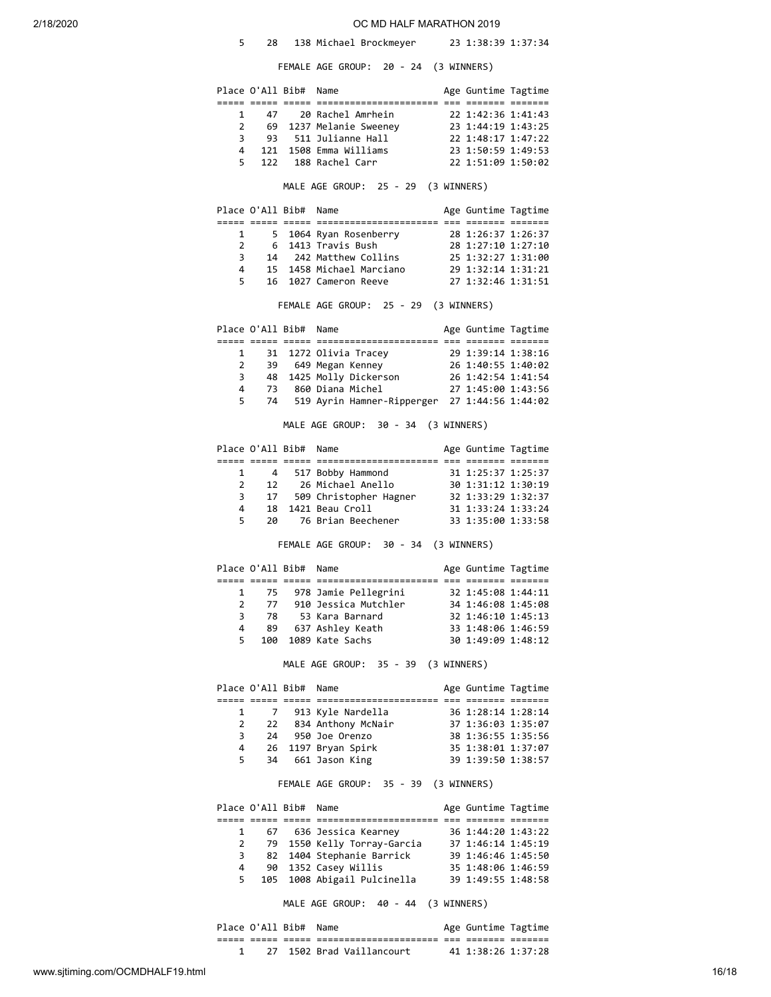|  |  | 138 Michael Brockmeyer |  | 23 1:38:39 1:37:34 |
|--|--|------------------------|--|--------------------|
|--|--|------------------------|--|--------------------|

FEMALE AGE GROUP: 20 - 24 (3 WINNERS)

|                     |          |                       | LALL AUL UNOU .<br>∼<br><u>дн</u>               |                                          |  |
|---------------------|----------|-----------------------|-------------------------------------------------|------------------------------------------|--|
|                     |          | Place O'All Bib# Name |                                                 | Age Guntime Tagtime                      |  |
| 1                   | 47       |                       | 20 Rachel Amrhein                               |                                          |  |
| $\overline{2}$      |          |                       | 69 1237 Melanie Sweeney                         | 22 1:42:36 1:41:43<br>23 1:44:19 1:43:25 |  |
| 3                   | 93       |                       | 511 Julianne Hall                               | 22 1:48:17 1:47:22                       |  |
| 4                   |          |                       | 121 1508 Emma Williams                          | 23 1:50:59 1:49:53                       |  |
| 5                   | 122      |                       | 188 Rachel Carr                                 | 22 1:51:09 1:50:02                       |  |
|                     |          |                       | MALE AGE GROUP: 25 - 29 (3 WINNERS)             |                                          |  |
|                     |          | Place O'All Bib# Name |                                                 | Age Guntime Tagtime                      |  |
| 1                   | 5        |                       | 1064 Ryan Rosenberry                            | 28 1:26:37 1:26:37                       |  |
| 2                   | 6        |                       | 1413 Travis Bush                                | 28 1:27:10 1:27:10                       |  |
| 3                   | 14       |                       | 242 Matthew Collins                             | 25 1:32:27 1:31:00                       |  |
| 4                   |          |                       | 15 1458 Michael Marciano                        | 29 1:32:14 1:31:21                       |  |
| 5                   |          |                       | 16 1027 Cameron Reeve                           | 27 1:32:46 1:31:51                       |  |
|                     |          |                       | FEMALE AGE GROUP: 25 - 29 (3 WINNERS)           |                                          |  |
|                     |          | Place O'All Bib# Name |                                                 | Age Guntime Tagtime                      |  |
| 1                   |          |                       | 31 1272 Olivia Tracey                           | 29 1:39:14 1:38:16                       |  |
| 2                   | 39       |                       | 649 Megan Kenney                                | 26 1:40:55 1:40:02                       |  |
| 3                   |          |                       | 48 1425 Molly Dickerson                         | 26 1:42:54 1:41:54                       |  |
| 4                   | 73       |                       | 860 Diana Michel                                | 27 1:45:00 1:43:56                       |  |
| 5.                  | 74       |                       | 519 Ayrin Hamner-Ripperger 27 1:44:56 1:44:02   |                                          |  |
|                     |          |                       | MALE AGE GROUP: 30 - 34 (3 WINNERS)             |                                          |  |
|                     |          | Place O'All Bib#      | Name                                            | Age Guntime Tagtime                      |  |
|                     |          |                       |                                                 |                                          |  |
| 1                   | 4        |                       | 517 Bobby Hammond                               | 31 1:25:37 1:25:37                       |  |
| 2                   | 12       |                       |                                                 | 30 1:31:12 1:30:19                       |  |
| 3                   | 17       |                       | 26 Michael Anello<br>509 Christopher Hagner     | 32 1:33:29 1:32:37                       |  |
| 4                   | 18       |                       | 1421 Beau Croll                                 | 31 1:33:24 1:33:24                       |  |
| 5                   | 20       |                       | 76 Brian Beechener                              | 33 1:35:00 1:33:58                       |  |
|                     |          |                       | FEMALE AGE GROUP: 30 - 34 (3 WINNERS)           |                                          |  |
|                     |          | Place O'All Bib#      | Name                                            | Age Guntime Tagtime                      |  |
| 1                   | 75       |                       | 978 Jamie Pellegrini                            | 32 1:45:08 1:44:11                       |  |
| 2                   | 77       |                       | 910 Jessica Mutchler                            | 34 1:46:08 1:45:08                       |  |
| 3                   | 78       |                       | 53 Kara Barnard                                 | 32 1:46:10 1:45:13                       |  |
| 4                   | 89       |                       | 637 Ashley Keath                                | 33 1:48:06 1:46:59                       |  |
| 5                   | 100      |                       | 1089 Kate Sachs                                 | 30 1:49:09 1:48:12                       |  |
|                     |          |                       | MALE AGE GROUP: 35 - 39 (3 WINNERS)             |                                          |  |
|                     |          | Place O'All Bib#      | Name                                            | Age Guntime Tagtime                      |  |
|                     |          |                       |                                                 |                                          |  |
| 1<br>$\overline{2}$ | 7        |                       | 913 Kyle Nardella                               | 36 1:28:14 1:28:14                       |  |
|                     | 22       |                       | 834 Anthony McNair                              | 37 1:36:03 1:35:07                       |  |
| 3                   | 24       |                       | 950 Joe Orenzo<br>1197 Bryan Spirk              | 38 1:36:55 1:35:56                       |  |
| 4<br>5.             | 26<br>34 |                       | 661 Jason King                                  | 35 1:38:01 1:37:07<br>39 1:39:50 1:38:57 |  |
|                     |          |                       | FEMALE AGE GROUP: 35 - 39 (3 WINNERS)           |                                          |  |
|                     |          | Place O'All Bib# Name |                                                 | Age Guntime Tagtime                      |  |
|                     |          |                       |                                                 |                                          |  |
| $\mathbf{1}$        |          |                       | 67 636 Jessica Kearney                          | 36 1:44:20 1:43:22                       |  |
| $\mathbf{2}$        |          |                       | 79 1550 Kelly Torray-Garcia                     | 37 1:46:14 1:45:19                       |  |
| 3                   |          |                       | 82 1404 Stephanie Barrick                       | 39 1:46:46 1:45:50                       |  |
| 4<br>5.             | 105      |                       | 90 1352 Casey Willis<br>1008 Abigail Pulcinella | 35 1:48:06 1:46:59<br>39 1:49:55 1:48:58 |  |
|                     |          |                       |                                                 |                                          |  |
|                     |          |                       | MALE AGE GROUP: 40 - 44 (3 WINNERS)             |                                          |  |
|                     |          | Place O'All Bib#      | Name                                            | Age Guntime Tagtime                      |  |
| 1                   |          |                       | 27 1502 Brad Vaillancourt                       | 41 1:38:26 1:37:28                       |  |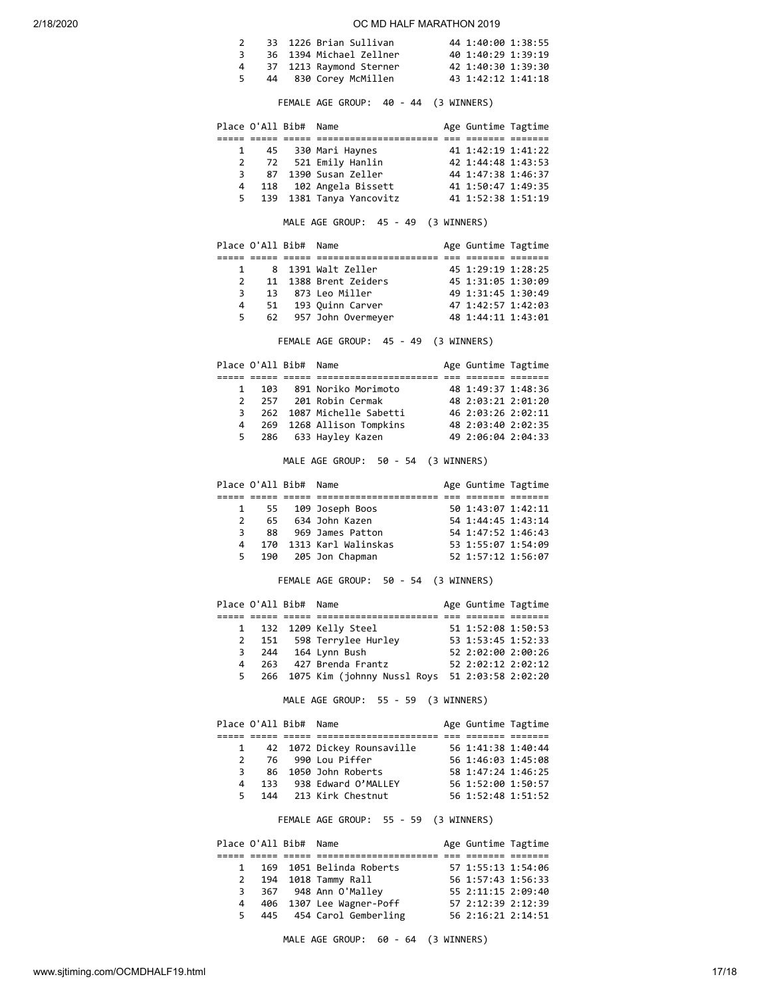|   | 33 1226 Brian Sullivan  | 44 1:40:00 1:38:55 |  |
|---|-------------------------|--------------------|--|
| 3 | 36 1394 Michael Zellner | 40 1:40:29 1:39:19 |  |
| 4 | 37 1213 Raymond Sterner | 42 1:40:30 1:39:30 |  |
|   | 44 830 Corey McMillen   | 43 1:42:12 1:41:18 |  |
|   |                         |                    |  |

FEMALE AGE GROUP: 40 - 44 (3 WINNERS)

|              | Place O'All Bib# Name |                            | Age Guntime Tagtime |  |
|--------------|-----------------------|----------------------------|---------------------|--|
|              |                       |                            |                     |  |
| $\mathbf{1}$ |                       | 45 330 Mari Haynes         | 41 1:42:19 1:41:22  |  |
|              |                       | 2 72 521 Emily Hanlin      | 42 1:44:48 1:43:53  |  |
|              |                       | 3 87 1390 Susan Zeller     | 44 1:47:38 1:46:37  |  |
|              |                       | 4 118 102 Angela Bissett   | 41 1:50:47 1:49:35  |  |
|              |                       | 5 139 1381 Tanya Yancovitz | 41 1:52:38 1:51:19  |  |

MALE AGE GROUP: 45 - 49 (3 WINNERS)

|               | Place O'All Bib# Name |                       | Age Guntime Tagtime |  |
|---------------|-----------------------|-----------------------|---------------------|--|
|               |                       |                       |                     |  |
|               |                       | 8 1391 Walt Zeller    | 45 1:29:19 1:28:25  |  |
| $\mathcal{P}$ |                       | 11 1388 Brent Zeiders | 45 1:31:05 1:30:09  |  |
| 3             |                       | 13 873 Leo Miller     | 49 1:31:45 1:30:49  |  |
| 4             |                       | 51 193 Quinn Carver   | 47 1:42:57 1:42:03  |  |
| 5             |                       | 62 957 John Overmeyer | 48 1:44:11 1:43:01  |  |

FEMALE AGE GROUP: 45 - 49 (3 WINNERS)

|              | Place O'All Bib# Name |                             | Age Guntime Tagtime |  |
|--------------|-----------------------|-----------------------------|---------------------|--|
|              |                       |                             |                     |  |
| $\mathbf{1}$ |                       | 103 891 Noriko Morimoto     | 48 1:49:37 1:48:36  |  |
|              |                       | 2 257 201 Robin Cermak      | 48 2:03:21 2:01:20  |  |
| 3            |                       | 262 1087 Michelle Sabetti   | 46 2:03:26 2:02:11  |  |
|              |                       | 4 269 1268 Allison Tompkins | 48 2:03:40 2:02:35  |  |
|              |                       | 5 286 633 Hayley Kazen      | 49 2:06:04 2:04:33  |  |
|              |                       |                             |                     |  |

MALE AGE GROUP: 50 - 54 (3 WINNERS)

|                |     | Place O'All Bib# Name |                         | Age Guntime Tagtime |  |
|----------------|-----|-----------------------|-------------------------|---------------------|--|
|                |     |                       |                         |                     |  |
|                |     |                       | 1 55 109 Joseph Boos    | 50 1:43:07 1:42:11  |  |
| $\overline{2}$ |     |                       | 65 634 John Kazen       | 54 1:44:45 1:43:14  |  |
| 3              | 88  |                       | 969 James Patton        | 54 1:47:52 1:46:43  |  |
| $\overline{4}$ |     |                       | 170 1313 Karl Walinskas | 53 1:55:07 1:54:09  |  |
| 5.             | 190 |                       | 205 Jon Chapman         | 52 1:57:12 1:56:07  |  |

## FEMALE AGE GROUP: 50 - 54 (3 WINNERS)

|   |     | Place O'All Bib# Name |                                   | Age Guntime Tagtime |  |
|---|-----|-----------------------|-----------------------------------|---------------------|--|
|   |     |                       |                                   |                     |  |
|   |     |                       | 1 132 1209 Kelly Steel            | 51 1:52:08 1:50:53  |  |
|   |     |                       | 2 151 598 Terrylee Hurley         | 53 1:53:45 1:52:33  |  |
| 3 |     |                       | 244 164 Lynn Bush                 | 52 2:02:00 2:00:26  |  |
| 4 | 263 |                       | 427 Brenda Frantz                 | 52 2:02:12 2:02:12  |  |
|   |     |                       | 5 266 1075 Kim (johnny Nussl Roys | 51 2:03:58 2:02:20  |  |

MALE AGE GROUP: 55 - 59 (3 WINNERS)

|               |              | Place O'All Bib# Name |                            | Age Guntime Tagtime |  |
|---------------|--------------|-----------------------|----------------------------|---------------------|--|
|               |              |                       |                            |                     |  |
|               | $\mathbf{1}$ |                       | 42 1072 Dickey Rounsaville | 56 1:41:38 1:40:44  |  |
| $\mathcal{P}$ |              |                       | 76 990 Lou Piffer          | 56 1:46:03 1:45:08  |  |
| 3             |              |                       | 86 1050 John Roberts       | 58 1:47:24 1:46:25  |  |
| 4             | 133          |                       | 938 Edward O'MALLEY        | 56 1:52:00 1:50:57  |  |
| 5.            |              |                       | 144 213 Kirk Chestnut      | 56 1:52:48 1:51:52  |  |

FEMALE AGE GROUP: 55 - 59 (3 WINNERS)

|              | Place O'All Bib# Name |                            | Age Guntime Tagtime |  |
|--------------|-----------------------|----------------------------|---------------------|--|
|              |                       |                            |                     |  |
|              |                       | 1 169 1051 Belinda Roberts | 57 1:55:13 1:54:06  |  |
| $\mathbf{2}$ |                       | 194 1018 Tammy Rall        | 56 1:57:43 1:56:33  |  |
| 3            |                       | 367 948 Ann O'Malley       | 55 2:11:15 2:09:40  |  |
| 4            |                       | 406 1307 Lee Wagner-Poff   | 57 2:12:39 2:12:39  |  |
| 5.           |                       | 445 454 Carol Gemberling   | 56 2:16:21 2:14:51  |  |

MALE AGE GROUP: 60 - 64 (3 WINNERS)